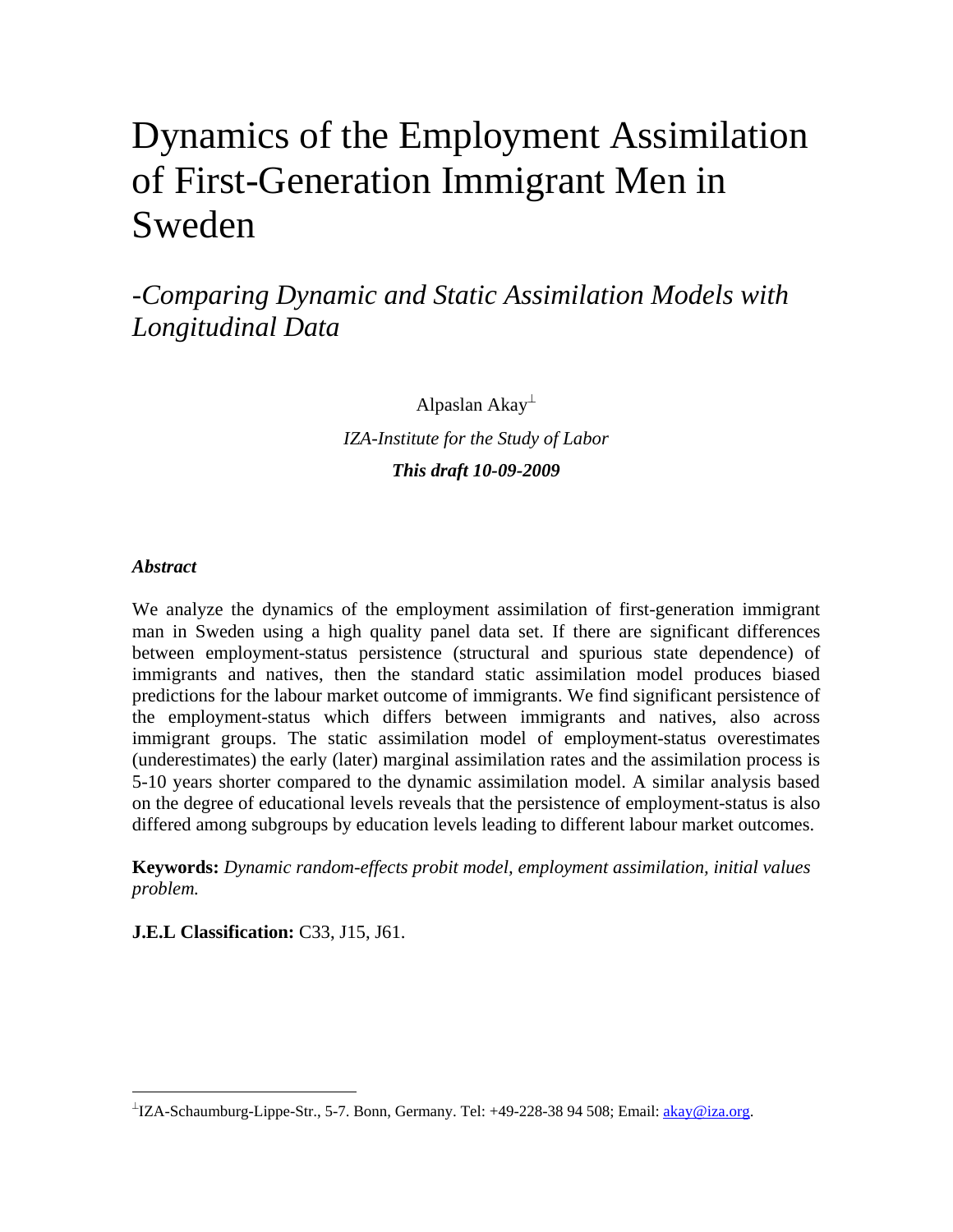# Dynamics of the Employment Assimilation of First-Generation Immigrant Men in Sweden

-*Comparing Dynamic and Static Assimilation Models with Longitudinal Data*

> Alpaslan Akay $<sup>\perp</sup>$ </sup> *IZA-Institute for the Study of Labor This draft 10-09-2009*

# *Abstract*

 $\overline{a}$ 

We analyze the dynamics of the employment assimilation of first-generation immigrant man in Sweden using a high quality panel data set. If there are significant differences between employment-status persistence (structural and spurious state dependence) of immigrants and natives, then the standard static assimilation model produces biased predictions for the labour market outcome of immigrants. We find significant persistence of the employment-status which differs between immigrants and natives, also across immigrant groups. The static assimilation model of employment-status overestimates (underestimates) the early (later) marginal assimilation rates and the assimilation process is 5-10 years shorter compared to the dynamic assimilation model. A similar analysis based on the degree of educational levels reveals that the persistence of employment-status is also differed among subgroups by education levels leading to different labour market outcomes.

**Keywords:** *Dynamic random-effects probit model, employment assimilation, initial values problem.* 

**J.E.L Classification:** C33, J15, J61.

<span id="page-0-0"></span><sup>⊥&</sup>lt;br>IZA-Schaumburg-Lippe-Str., 5-7. Bonn, Germany. Tel: +49-228-38 94 508; Email: [akay@iza.org.](mailto:akay@iza.org)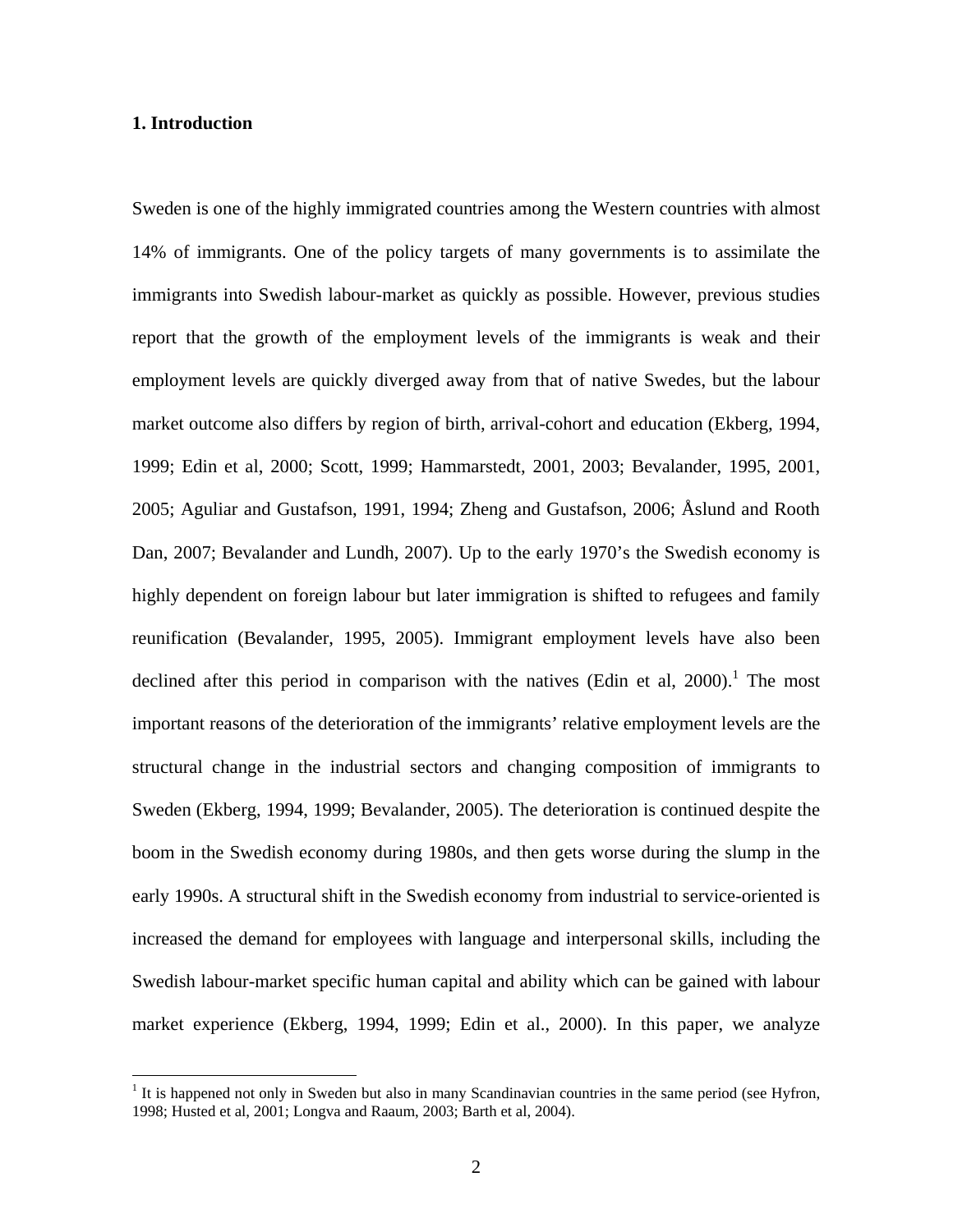#### **1. Introduction**

 $\overline{a}$ 

Sweden is one of the highly immigrated countries among the Western countries with almost 14% of immigrants. One of the policy targets of many governments is to assimilate the immigrants into Swedish labour-market as quickly as possible. However, previous studies report that the growth of the employment levels of the immigrants is weak and their employment levels are quickly diverged away from that of native Swedes, but the labour market outcome also differs by region of birth, arrival-cohort and education (Ekberg, 1994, 1999; Edin et al, 2000; Scott, 1999; Hammarstedt, 2001, 2003; Bevalander, 1995, 2001, 2005; Aguliar and Gustafson, 1991, 1994; Zheng and Gustafson, 2006; Åslund and Rooth Dan, 2007; Bevalander and Lundh, 2007). Up to the early 1970's the Swedish economy is highly dependent on foreign labour but later immigration is shifted to refugees and family reunification (Bevalander, 1995, 2005). Immigrant employment levels have also been declinedafter this period in comparison with the natives (Edin et al,  $2000$ ).<sup>1</sup> The most important reasons of the deterioration of the immigrants' relative employment levels are the structural change in the industrial sectors and changing composition of immigrants to Sweden (Ekberg, 1994, 1999; Bevalander, 2005). The deterioration is continued despite the boom in the Swedish economy during 1980s, and then gets worse during the slump in the early 1990s. A structural shift in the Swedish economy from industrial to service-oriented is increased the demand for employees with language and interpersonal skills, including the Swedish labour-market specific human capital and ability which can be gained with labour market experience (Ekberg, 1994, 1999; Edin et al., 2000). In this paper, we analyze

<span id="page-1-0"></span><sup>&</sup>lt;sup>1</sup> It is happened not only in Sweden but also in many Scandinavian countries in the same period (see Hyfron, 1998; Husted et al, 2001; Longva and Raaum, 2003; Barth et al, 2004).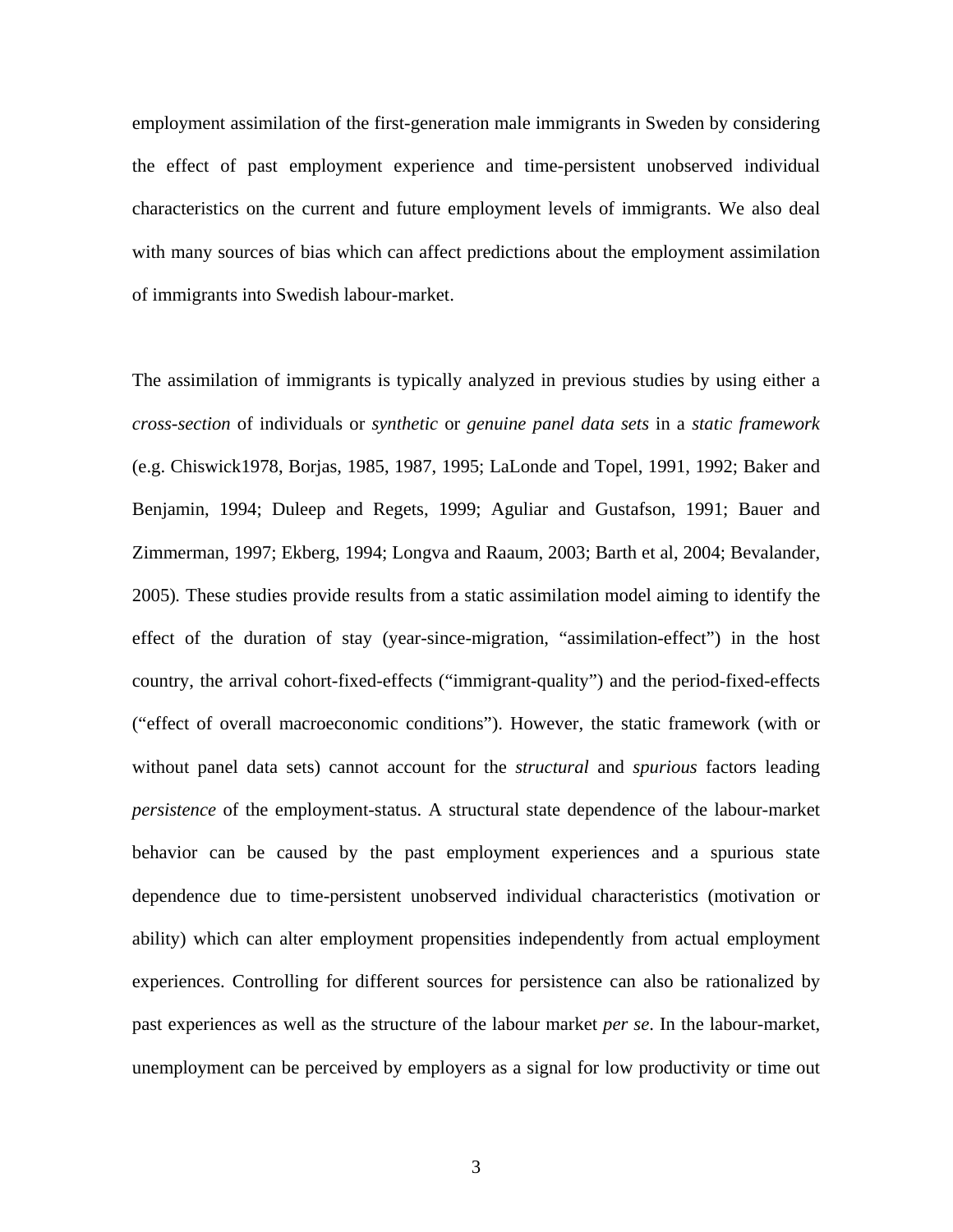employment assimilation of the first-generation male immigrants in Sweden by considering the effect of past employment experience and time-persistent unobserved individual characteristics on the current and future employment levels of immigrants. We also deal with many sources of bias which can affect predictions about the employment assimilation of immigrants into Swedish labour-market.

The assimilation of immigrants is typically analyzed in previous studies by using either a *cross-section* of individuals or *synthetic* or *genuine panel data sets* in a *static framework* (e.g. Chiswick1978, Borjas, 1985, 1987, 1995; LaLonde and Topel, 1991, 1992; Baker and Benjamin, 1994; Duleep and Regets, 1999; Aguliar and Gustafson, 1991; Bauer and Zimmerman, 1997; Ekberg, 1994; Longva and Raaum, 2003; Barth et al, 2004; Bevalander, 2005)*.* These studies provide results from a static assimilation model aiming to identify the effect of the duration of stay (year-since-migration, "assimilation-effect") in the host country, the arrival cohort-fixed-effects ("immigrant-quality") and the period-fixed-effects ("effect of overall macroeconomic conditions"). However, the static framework (with or without panel data sets) cannot account for the *structural* and *spurious* factors leading *persistence* of the employment-status. A structural state dependence of the labour-market behavior can be caused by the past employment experiences and a spurious state dependence due to time-persistent unobserved individual characteristics (motivation or ability) which can alter employment propensities independently from actual employment experiences. Controlling for different sources for persistence can also be rationalized by past experiences as well as the structure of the labour market *per se*. In the labour-market, unemployment can be perceived by employers as a signal for low productivity or time out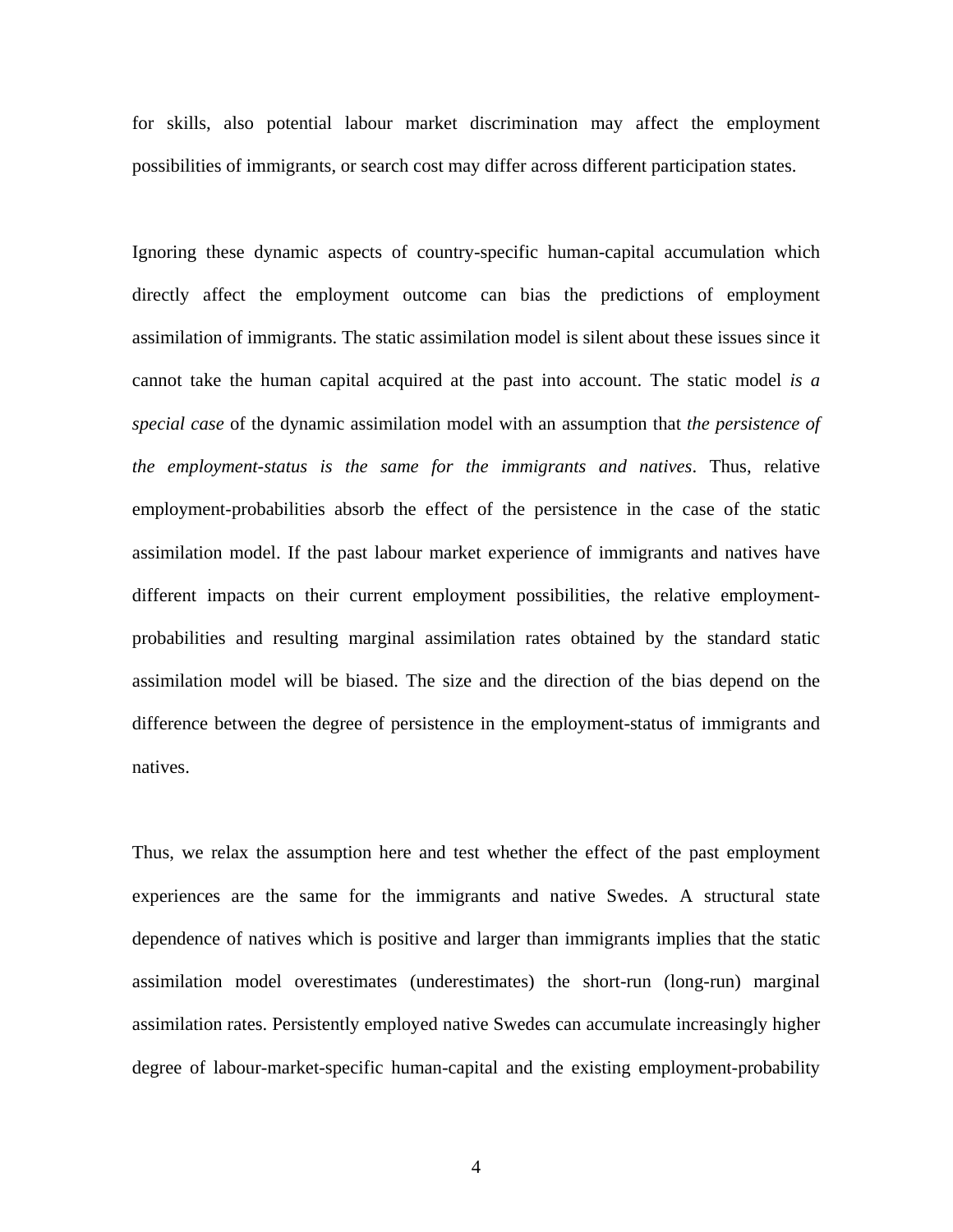for skills, also potential labour market discrimination may affect the employment possibilities of immigrants, or search cost may differ across different participation states.

Ignoring these dynamic aspects of country-specific human-capital accumulation which directly affect the employment outcome can bias the predictions of employment assimilation of immigrants. The static assimilation model is silent about these issues since it cannot take the human capital acquired at the past into account. The static model *is a special case* of the dynamic assimilation model with an assumption that *the persistence of the employment-status is the same for the immigrants and natives*. Thus, relative employment-probabilities absorb the effect of the persistence in the case of the static assimilation model. If the past labour market experience of immigrants and natives have different impacts on their current employment possibilities, the relative employmentprobabilities and resulting marginal assimilation rates obtained by the standard static assimilation model will be biased. The size and the direction of the bias depend on the difference between the degree of persistence in the employment-status of immigrants and natives.

Thus, we relax the assumption here and test whether the effect of the past employment experiences are the same for the immigrants and native Swedes. A structural state dependence of natives which is positive and larger than immigrants implies that the static assimilation model overestimates (underestimates) the short-run (long-run) marginal assimilation rates. Persistently employed native Swedes can accumulate increasingly higher degree of labour-market-specific human-capital and the existing employment-probability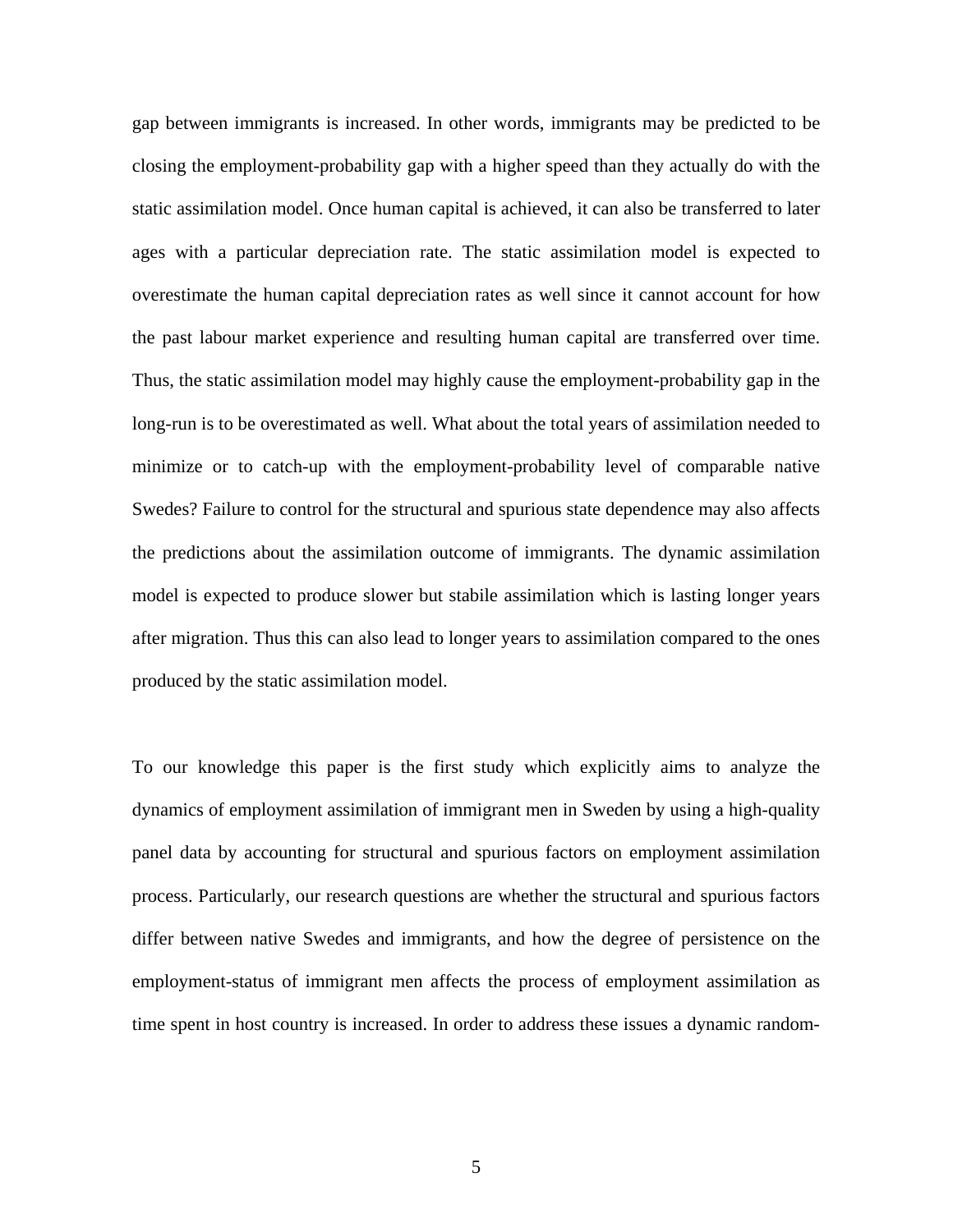gap between immigrants is increased. In other words, immigrants may be predicted to be closing the employment-probability gap with a higher speed than they actually do with the static assimilation model. Once human capital is achieved, it can also be transferred to later ages with a particular depreciation rate. The static assimilation model is expected to overestimate the human capital depreciation rates as well since it cannot account for how the past labour market experience and resulting human capital are transferred over time. Thus, the static assimilation model may highly cause the employment-probability gap in the long-run is to be overestimated as well. What about the total years of assimilation needed to minimize or to catch-up with the employment-probability level of comparable native Swedes? Failure to control for the structural and spurious state dependence may also affects the predictions about the assimilation outcome of immigrants. The dynamic assimilation model is expected to produce slower but stabile assimilation which is lasting longer years after migration. Thus this can also lead to longer years to assimilation compared to the ones produced by the static assimilation model.

To our knowledge this paper is the first study which explicitly aims to analyze the dynamics of employment assimilation of immigrant men in Sweden by using a high-quality panel data by accounting for structural and spurious factors on employment assimilation process. Particularly, our research questions are whether the structural and spurious factors differ between native Swedes and immigrants, and how the degree of persistence on the employment-status of immigrant men affects the process of employment assimilation as time spent in host country is increased. In order to address these issues a dynamic random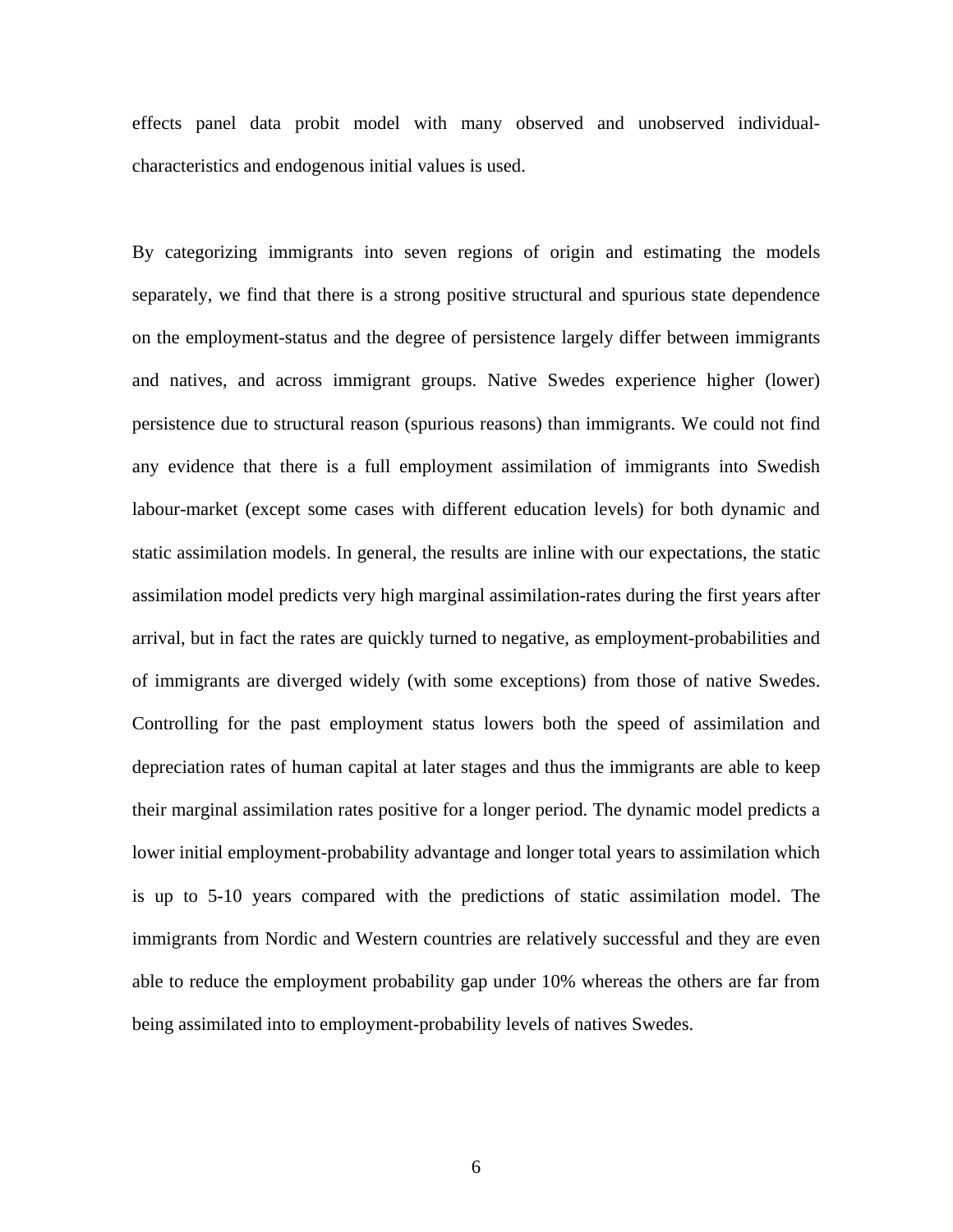effects panel data probit model with many observed and unobserved individualcharacteristics and endogenous initial values is used.

By categorizing immigrants into seven regions of origin and estimating the models separately, we find that there is a strong positive structural and spurious state dependence on the employment-status and the degree of persistence largely differ between immigrants and natives, and across immigrant groups. Native Swedes experience higher (lower) persistence due to structural reason (spurious reasons) than immigrants. We could not find any evidence that there is a full employment assimilation of immigrants into Swedish labour-market (except some cases with different education levels) for both dynamic and static assimilation models. In general, the results are inline with our expectations, the static assimilation model predicts very high marginal assimilation-rates during the first years after arrival, but in fact the rates are quickly turned to negative, as employment-probabilities and of immigrants are diverged widely (with some exceptions) from those of native Swedes. Controlling for the past employment status lowers both the speed of assimilation and depreciation rates of human capital at later stages and thus the immigrants are able to keep their marginal assimilation rates positive for a longer period. The dynamic model predicts a lower initial employment-probability advantage and longer total years to assimilation which is up to 5-10 years compared with the predictions of static assimilation model. The immigrants from Nordic and Western countries are relatively successful and they are even able to reduce the employment probability gap under 10% whereas the others are far from being assimilated into to employment-probability levels of natives Swedes.

6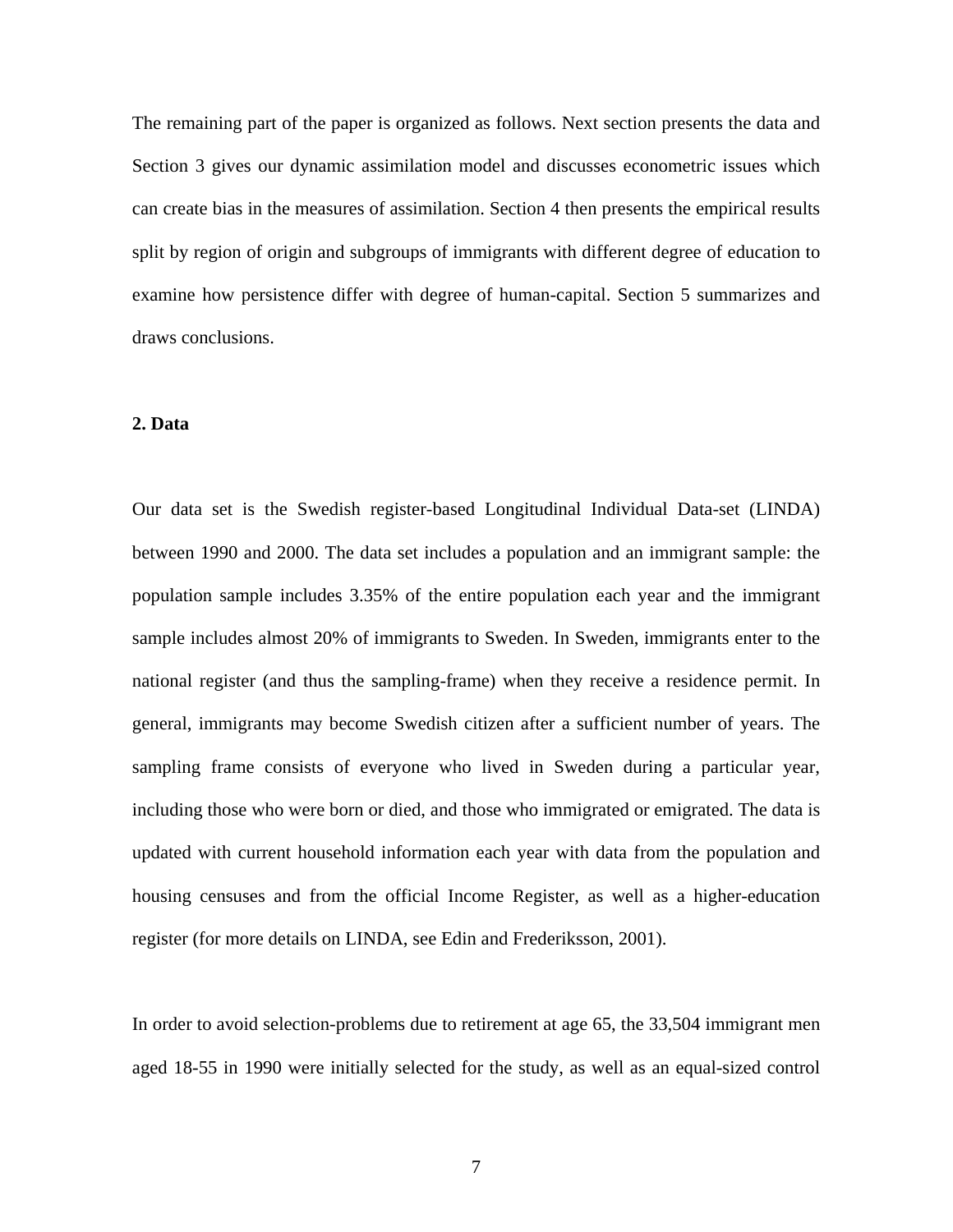The remaining part of the paper is organized as follows. Next section presents the data and Section 3 gives our dynamic assimilation model and discusses econometric issues which can create bias in the measures of assimilation. Section 4 then presents the empirical results split by region of origin and subgroups of immigrants with different degree of education to examine how persistence differ with degree of human-capital. Section 5 summarizes and draws conclusions.

## **2. Data**

Our data set is the Swedish register-based Longitudinal Individual Data-set (LINDA) between 1990 and 2000. The data set includes a population and an immigrant sample: the population sample includes 3.35% of the entire population each year and the immigrant sample includes almost 20% of immigrants to Sweden. In Sweden, immigrants enter to the national register (and thus the sampling-frame) when they receive a residence permit. In general, immigrants may become Swedish citizen after a sufficient number of years. The sampling frame consists of everyone who lived in Sweden during a particular year, including those who were born or died, and those who immigrated or emigrated. The data is updated with current household information each year with data from the population and housing censuses and from the official Income Register, as well as a higher-education register (for more details on LINDA, see Edin and Frederiksson, 2001).

In order to avoid selection-problems due to retirement at age 65, the 33,504 immigrant men aged 18-55 in 1990 were initially selected for the study, as well as an equal-sized control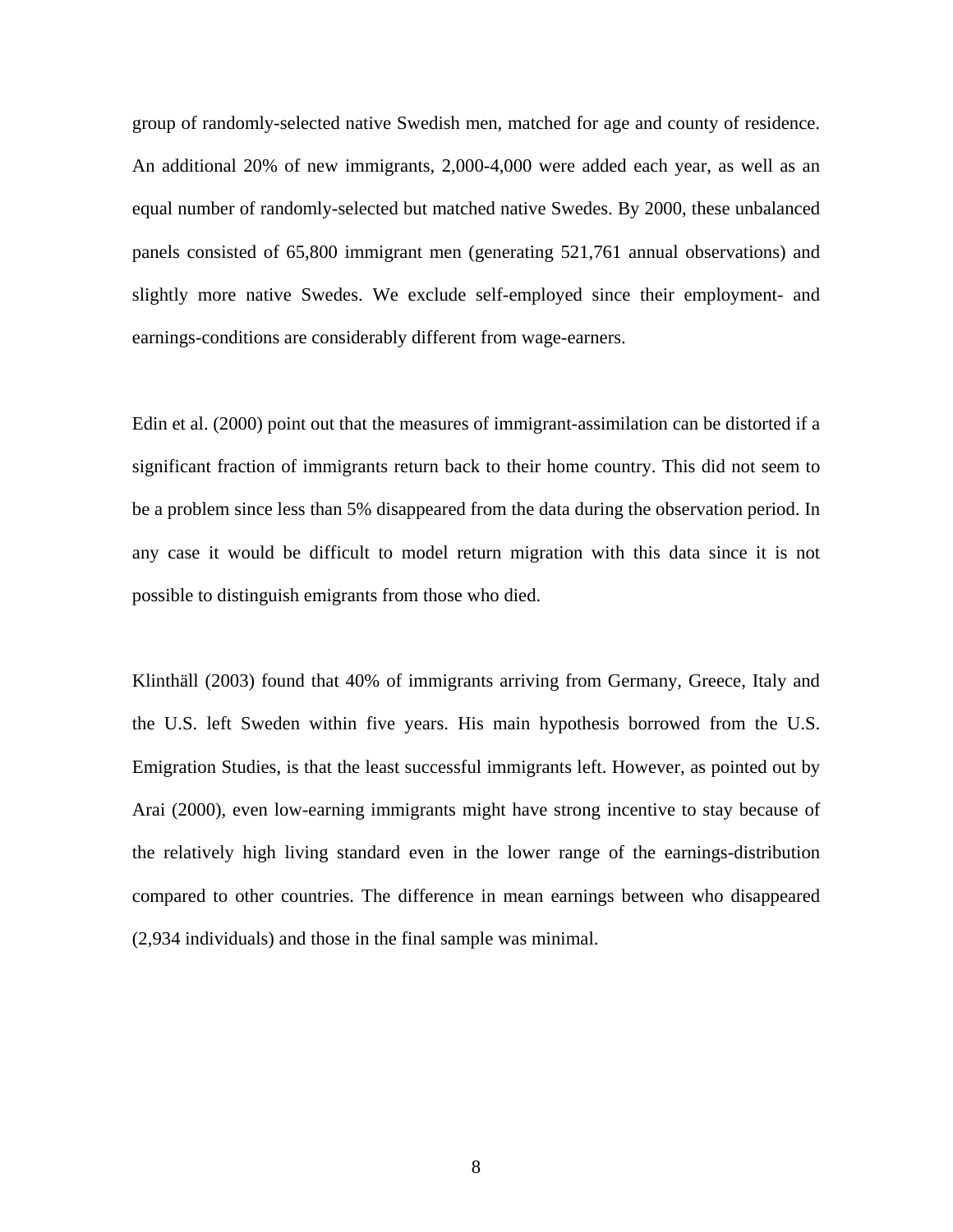group of randomly-selected native Swedish men, matched for age and county of residence. An additional 20% of new immigrants, 2,000-4,000 were added each year, as well as an equal number of randomly-selected but matched native Swedes. By 2000, these unbalanced panels consisted of 65,800 immigrant men (generating 521,761 annual observations) and slightly more native Swedes. We exclude self-employed since their employment- and earnings-conditions are considerably different from wage-earners.

Edin et al. (2000) point out that the measures of immigrant-assimilation can be distorted if a significant fraction of immigrants return back to their home country. This did not seem to be a problem since less than 5% disappeared from the data during the observation period. In any case it would be difficult to model return migration with this data since it is not possible to distinguish emigrants from those who died.

Klinthäll (2003) found that 40% of immigrants arriving from Germany, Greece, Italy and the U.S. left Sweden within five years. His main hypothesis borrowed from the U.S. Emigration Studies, is that the least successful immigrants left. However, as pointed out by Arai (2000), even low-earning immigrants might have strong incentive to stay because of the relatively high living standard even in the lower range of the earnings-distribution compared to other countries. The difference in mean earnings between who disappeared (2,934 individuals) and those in the final sample was minimal.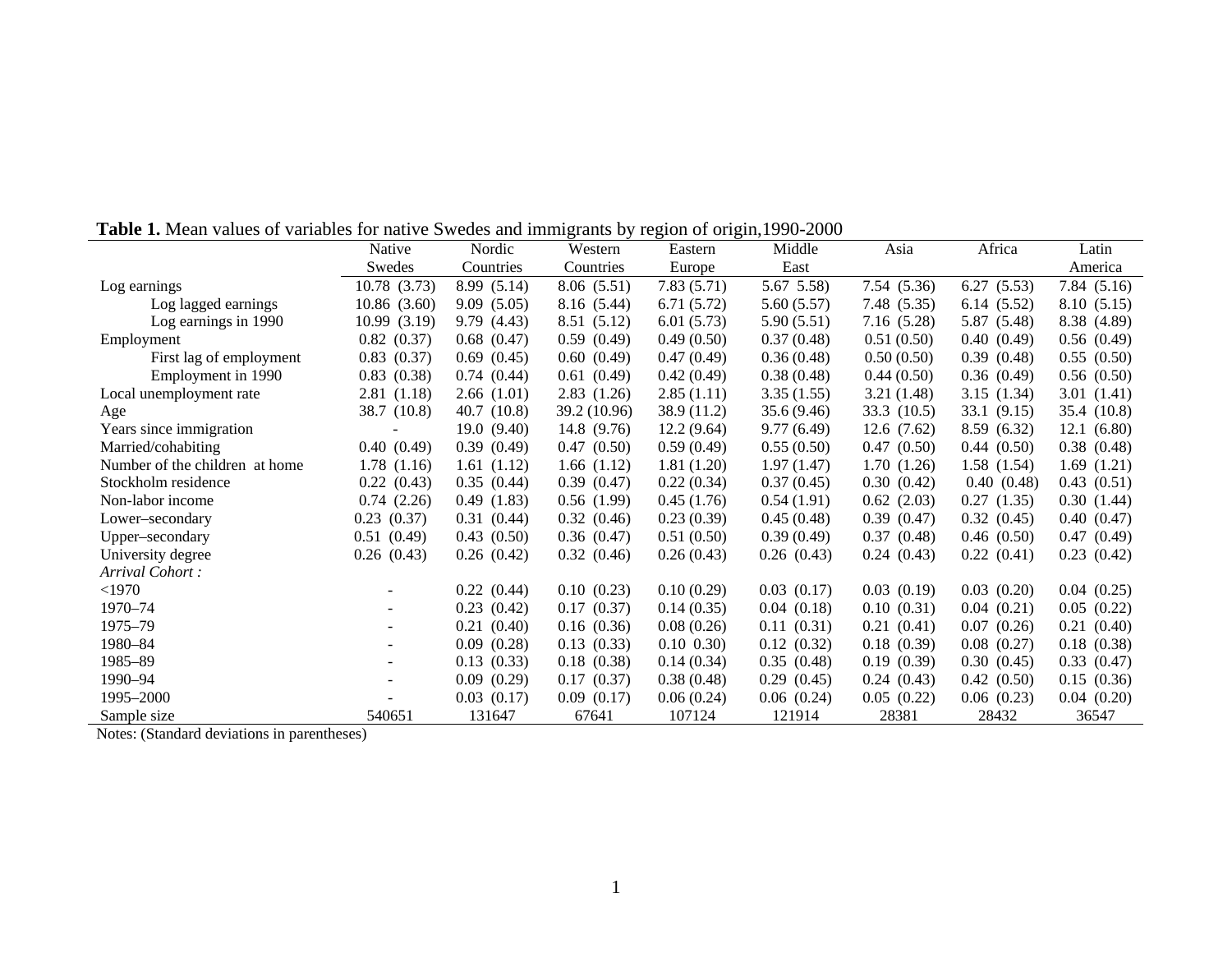|                                | Native       | Nordic      | Western      | Eastern         | Middle          | Asia        | Africa      | Latin       |
|--------------------------------|--------------|-------------|--------------|-----------------|-----------------|-------------|-------------|-------------|
|                                | Swedes       | Countries   | Countries    | Europe          | East            |             |             | America     |
| Log earnings                   | 10.78 (3.73) | 8.99 (5.14) | 8.06(5.51)   | 7.83(5.71)      | $5.67$ $5.58$ ) | 7.54 (5.36) | 6.27(5.53)  | 7.84(5.16)  |
| Log lagged earnings            | 10.86(3.60)  | 9.09(5.05)  | 8.16 (5.44)  | 6.71(5.72)      | 5.60(5.57)      | 7.48 (5.35) | 6.14(5.52)  | 8.10 (5.15) |
| Log earnings in 1990           | 10.99(3.19)  | 9.79 (4.43) | 8.51 (5.12)  | 6.01(5.73)      | 5.90(5.51)      | 7.16 (5.28) | 5.87 (5.48) | 8.38 (4.89) |
| Employment                     | 0.82(0.37)   | 0.68(0.47)  | 0.59(0.49)   | 0.49(0.50)      | 0.37(0.48)      | 0.51(0.50)  | 0.40(0.49)  | 0.56(0.49)  |
| First lag of employment        | 0.83(0.37)   | 0.69(0.45)  | 0.60(0.49)   | 0.47(0.49)      | 0.36(0.48)      | 0.50(0.50)  | 0.39(0.48)  | 0.55(0.50)  |
| Employment in 1990             | 0.83(0.38)   | 0.74(0.44)  | 0.61(0.49)   | 0.42(0.49)      | 0.38(0.48)      | 0.44(0.50)  | 0.36(0.49)  | 0.56(0.50)  |
| Local unemployment rate        | 2.81 (1.18)  | 2.66(1.01)  | 2.83(1.26)   | 2.85(1.11)      | 3.35(1.55)      | 3.21(1.48)  | 3.15(1.34)  | 3.01(1.41)  |
| Age                            | 38.7 (10.8)  | 40.7(10.8)  | 39.2 (10.96) | 38.9 (11.2)     | 35.6(9.46)      | 33.3 (10.5) | 33.1(9.15)  | 35.4 (10.8) |
| Years since immigration        |              | 19.0(9.40)  | 14.8 (9.76)  | 12.2(9.64)      | 9.77(6.49)      | 12.6(7.62)  | 8.59 (6.32) | 12.1(6.80)  |
| Married/cohabiting             | 0.40(0.49)   | 0.39(0.49)  | 0.47(0.50)   | 0.59(0.49)      | 0.55(0.50)      | 0.47(0.50)  | 0.44(0.50)  | 0.38(0.48)  |
| Number of the children at home | 1.78(1.16)   | 1.61(1.12)  | 1.66(1.12)   | 1.81(1.20)      | 1.97(1.47)      | 1.70(1.26)  | 1.58(1.54)  | 1.69(1.21)  |
| Stockholm residence            | 0.22(0.43)   | 0.35(0.44)  | 0.39(0.47)   | 0.22(0.34)      | 0.37(0.45)      | 0.30(0.42)  | 0.40(0.48)  | 0.43(0.51)  |
| Non-labor income               | 0.74(2.26)   | 0.49(1.83)  | 0.56(1.99)   | 0.45(1.76)      | 0.54(1.91)      | 0.62(2.03)  | 0.27(1.35)  | 0.30(1.44)  |
| Lower–secondary                | 0.23(0.37)   | 0.31(0.44)  | 0.32(0.46)   | 0.23(0.39)      | 0.45(0.48)      | 0.39(0.47)  | 0.32(0.45)  | 0.40(0.47)  |
| Upper-secondary                | 0.51(0.49)   | 0.43(0.50)  | 0.36(0.47)   | 0.51(0.50)      | 0.39(0.49)      | 0.37(0.48)  | 0.46(0.50)  | 0.47(0.49)  |
| University degree              | 0.26(0.43)   | 0.26(0.42)  | 0.32(0.46)   | 0.26(0.43)      | 0.26(0.43)      | 0.24(0.43)  | 0.22(0.41)  | 0.23(0.42)  |
| Arrival Cohort:                |              |             |              |                 |                 |             |             |             |
| $<$ 1970                       |              | 0.22(0.44)  | 0.10(0.23)   | 0.10(0.29)      | 0.03(0.17)      | 0.03(0.19)  | 0.03(0.20)  | 0.04(0.25)  |
| 1970-74                        |              | 0.23(0.42)  | 0.17(0.37)   | 0.14(0.35)      | 0.04(0.18)      | 0.10(0.31)  | 0.04(0.21)  | 0.05(0.22)  |
| 1975-79                        |              | 0.21(0.40)  | 0.16(0.36)   | 0.08(0.26)      | 0.11(0.31)      | 0.21(0.41)  | 0.07(0.26)  | 0.21(0.40)  |
| 1980-84                        |              | 0.09(0.28)  | 0.13(0.33)   | $0.10$ $0.30$ ) | 0.12(0.32)      | 0.18(0.39)  | 0.08(0.27)  | 0.18(0.38)  |
| 1985-89                        |              | 0.13(0.33)  | 0.18(0.38)   | 0.14(0.34)      | 0.35(0.48)      | 0.19(0.39)  | 0.30(0.45)  | 0.33(0.47)  |
| 1990-94                        |              | 0.09(0.29)  | 0.17(0.37)   | 0.38(0.48)      | 0.29(0.45)      | 0.24(0.43)  | 0.42(0.50)  | 0.15(0.36)  |
| 1995-2000                      |              | 0.03(0.17)  | 0.09(0.17)   | 0.06(0.24)      | 0.06(0.24)      | 0.05(0.22)  | 0.06(0.23)  | 0.04(0.20)  |
| Sample size                    | 540651       | 131647      | 67641        | 107124          | 121914          | 28381       | 28432       | 36547       |

**Table 1.** Mean values of variables for native Swedes and immigrants by region of origin,1990-2000

Notes: (Standard deviations in parentheses)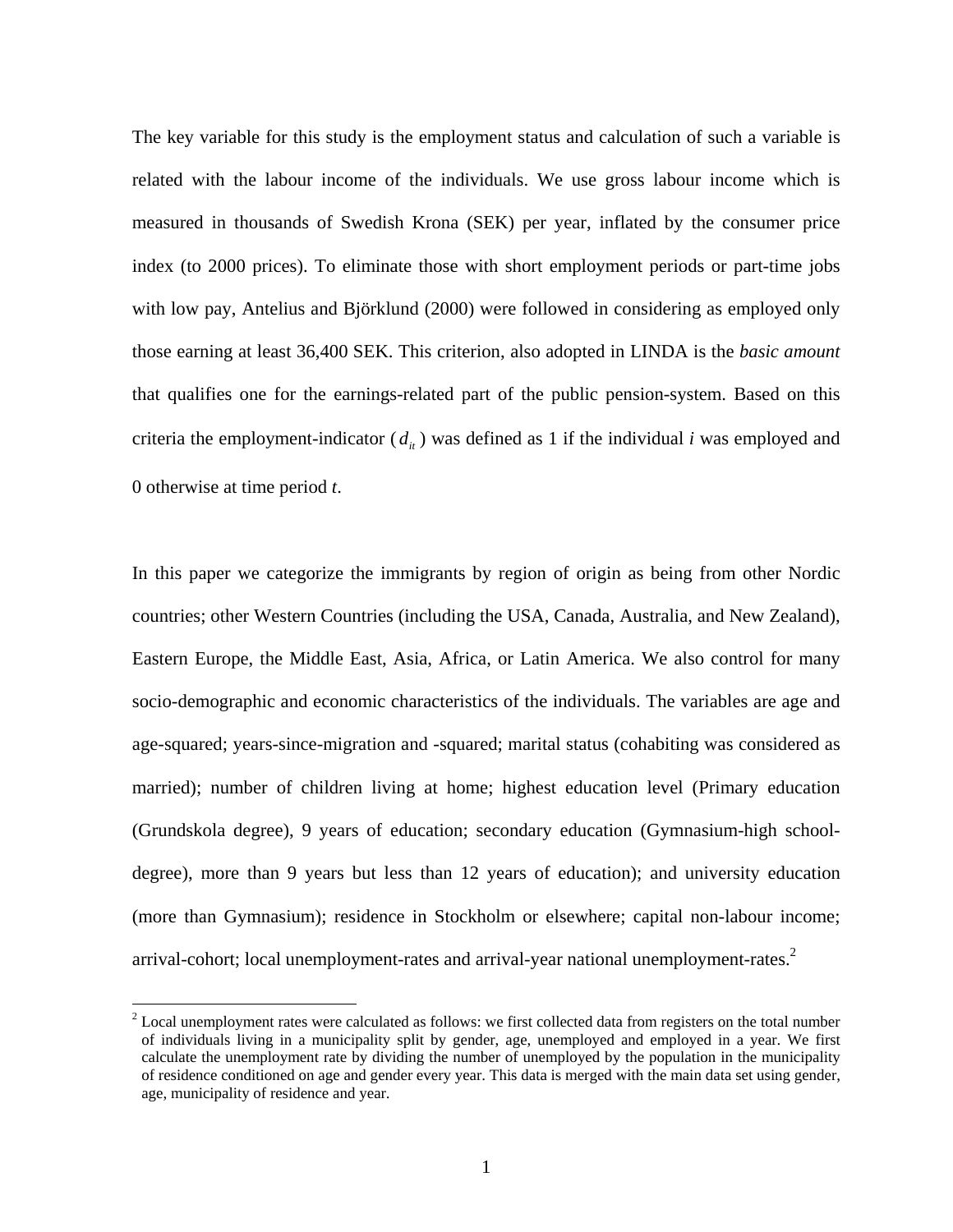The key variable for this study is the employment status and calculation of such a variable is related with the labour income of the individuals. We use gross labour income which is measured in thousands of Swedish Krona (SEK) per year, inflated by the consumer price index (to 2000 prices). To eliminate those with short employment periods or part-time jobs with low pay, Antelius and Björklund (2000) were followed in considering as employed only those earning at least 36,400 SEK. This criterion, also adopted in LINDA is the *basic amount* that qualifies one for the earnings-related part of the public pension-system. Based on this criteria the employment-indicator  $(d<sub>i</sub>)$  was defined as 1 if the individual *i* was employed and 0 otherwise at time period *t*.

In this paper we categorize the immigrants by region of origin as being from other Nordic countries; other Western Countries (including the USA, Canada, Australia, and New Zealand), Eastern Europe, the Middle East, Asia, Africa, or Latin America. We also control for many socio-demographic and economic characteristics of the individuals. The variables are age and age-squared; years-since-migration and -squared; marital status (cohabiting was considered as married); number of children living at home; highest education level (Primary education (Grundskola degree), 9 years of education; secondary education (Gymnasium-high schooldegree), more than 9 years but less than 12 years of education); and university education (more than Gymnasium); residence in Stockholm or elsewhere; capital non-labour income; arrival-cohort; local unemployment-rates and arrival-year national unemployment-rates. $2^2$  $2^2$ 

 $\overline{a}$ 

<span id="page-9-0"></span> $2$  Local unemployment rates were calculated as follows: we first collected data from registers on the total number of individuals living in a municipality split by gender, age, unemployed and employed in a year. We first calculate the unemployment rate by dividing the number of unemployed by the population in the municipality of residence conditioned on age and gender every year. This data is merged with the main data set using gender, age, municipality of residence and year.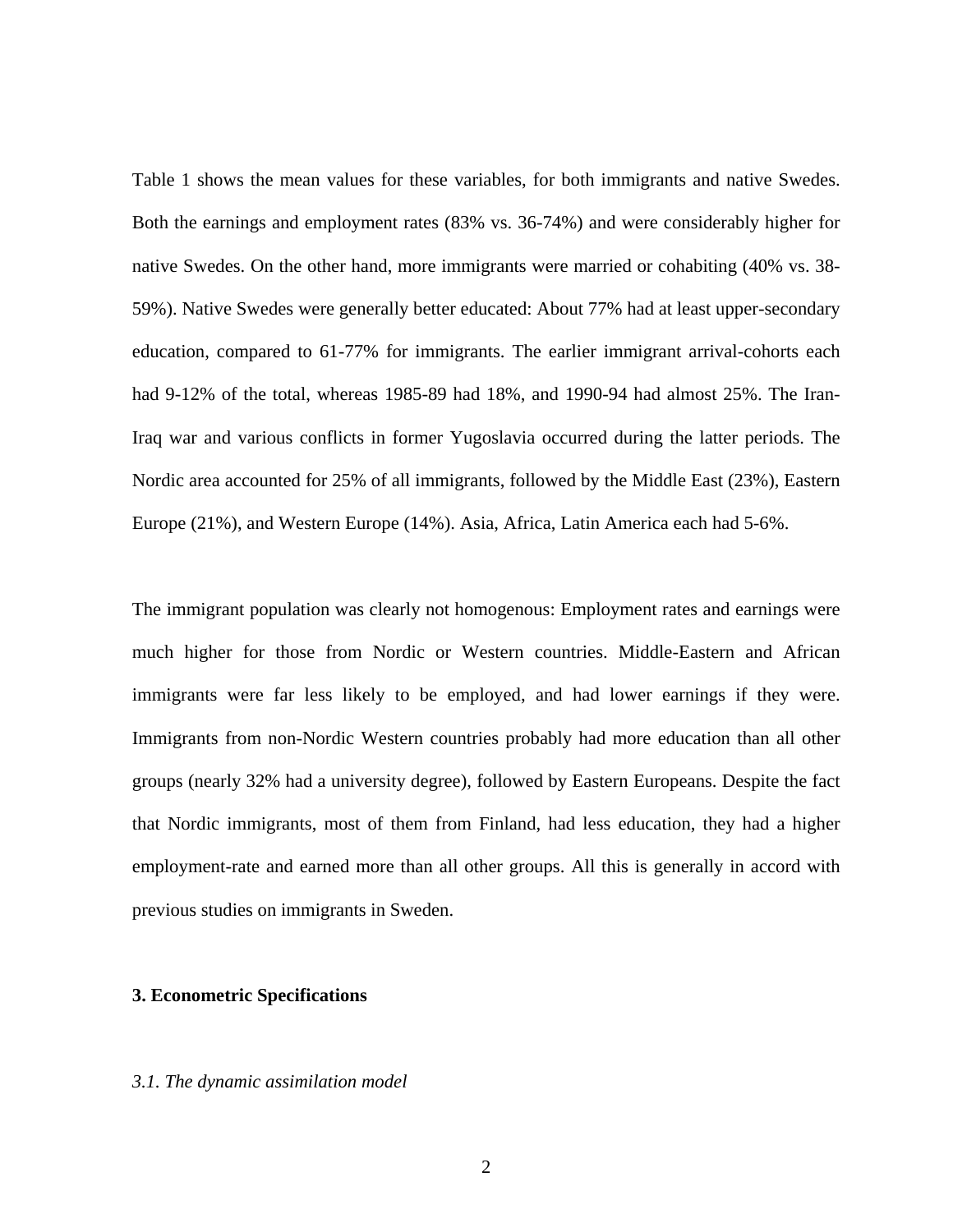Table 1 shows the mean values for these variables, for both immigrants and native Swedes. Both the earnings and employment rates (83% vs. 36-74%) and were considerably higher for native Swedes. On the other hand, more immigrants were married or cohabiting (40% vs. 38- 59%). Native Swedes were generally better educated: About 77% had at least upper-secondary education, compared to 61-77% for immigrants. The earlier immigrant arrival-cohorts each had 9-12% of the total, whereas 1985-89 had 18%, and 1990-94 had almost 25%. The Iran-Iraq war and various conflicts in former Yugoslavia occurred during the latter periods. The Nordic area accounted for 25% of all immigrants, followed by the Middle East (23%), Eastern Europe (21%), and Western Europe (14%). Asia, Africa, Latin America each had 5-6%.

The immigrant population was clearly not homogenous: Employment rates and earnings were much higher for those from Nordic or Western countries. Middle-Eastern and African immigrants were far less likely to be employed, and had lower earnings if they were. Immigrants from non-Nordic Western countries probably had more education than all other groups (nearly 32% had a university degree), followed by Eastern Europeans. Despite the fact that Nordic immigrants, most of them from Finland, had less education, they had a higher employment-rate and earned more than all other groups. All this is generally in accord with previous studies on immigrants in Sweden.

## **3. Econometric Specifications**

### *3.1. The dynamic assimilation model*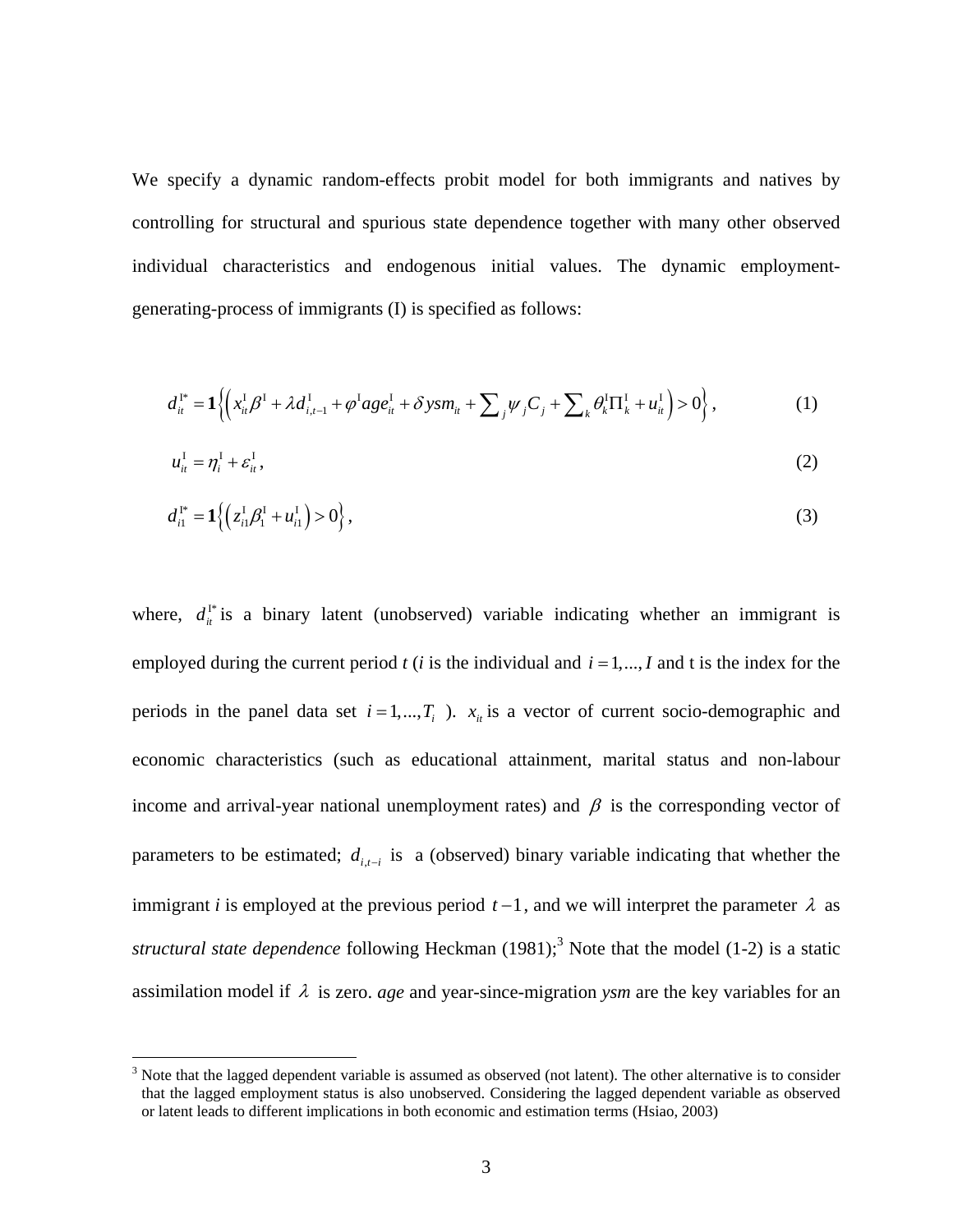We specify a dynamic random-effects probit model for both immigrants and natives by controlling for structural and spurious state dependence together with many other observed individual characteristics and endogenous initial values. The dynamic employmentgenerating-process of immigrants (I) is specified as follows:

$$
d_{ii}^{I^*} = \mathbf{1}\left\{ \left( x_{ii}^I \beta^I + \lambda d_{i,t-1}^I + \varphi^I a g e_{it}^I + \delta y s m_{it} + \sum_j \psi_j C_j + \sum_k \theta_k^I \Pi_k^I + u_{it}^I \right) > 0 \right\},
$$
 (1)

$$
u_{it}^{\mathrm{I}} = \eta_i^{\mathrm{I}} + \varepsilon_{it}^{\mathrm{I}},\tag{2}
$$

$$
d_{i1}^{I^*} = \mathbf{1}\Big\{\Big(z_{i1}^I \beta_1^I + u_{i1}^I\Big) > 0\Big\},\tag{3}
$$

employed during the current period  $t$  (*i* is the individual and  $i = 1, ..., I$  and t is the index for the where,  $d_{ii}^{\dagger}$  is a binary latent (unobserved) variable indicating whether an immigrant is periods in the panel data set  $i = 1, ..., T_i$ . *i*, *i*s a vector of current socio-demographic and economic characteristics (such as educational attainment, marital status and non-labour income and arrival-year national unemployment rates) and  $\beta$  is the corresponding vector of parameters to be estimated;  $d_{i,t-i}$  is a (observed) binary variable indicating that whether the immigrant *i* is employed at the previous period  $t-1$ , and we will interpret the parameter  $\lambda$  as structural state dependence following Heckman (1981);<sup>3</sup> Note that the model (1-2) is a static assimilation model if λ is zero. *age* and year-since-migration *ysm* are the key variables for an

 $\overline{a}$ 

<span id="page-11-0"></span> $3$  Note that the lagged dependent variable is assumed as observed (not latent). The other alternative is to consider that the lagged employment status is also unobserved. Considering the lagged dependent variable as observed or latent leads to different implications in both economic and estimation terms (Hsiao, 2003)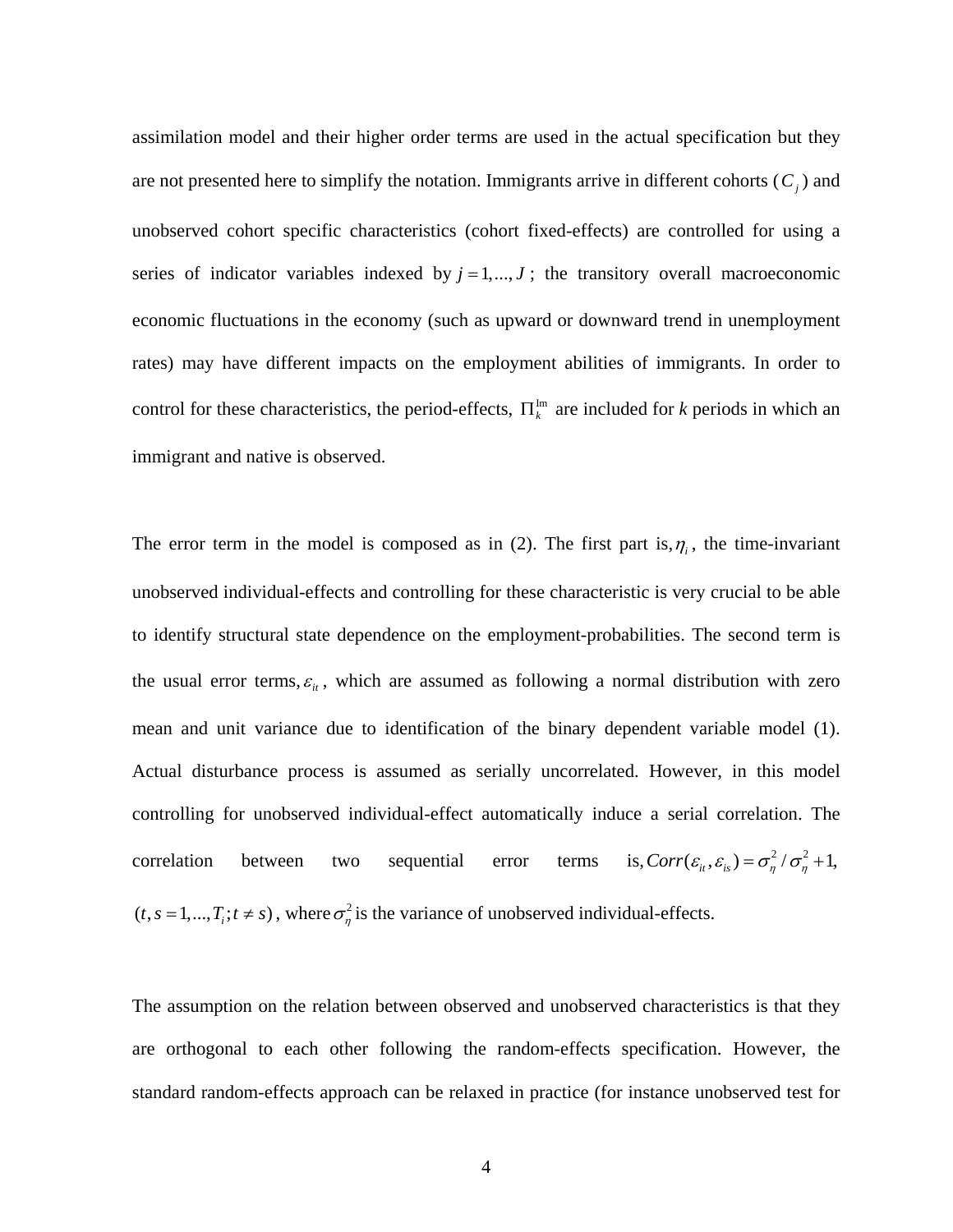assimilation model and their higher order terms are used in the actual specification but they are not presented here to simplify the notation. Immigrants arrive in different cohorts  $(C_i)$  and unobserved cohort specific characteristics (cohort fixed-effects) are controlled for using a series of indicator variables indexed by  $j = 1, \ldots, J$ ; the transitory overall macroeconomic economic fluctuations in the economy (such as upward or downward trend in unemployment rates) may have different impacts on the employment abilities of immigrants. In order to control for these characteristics, the period-effects,  $\Pi_k^{\text{Im}}$  are included for *k* periods in which an immigrant and native is observed.

The error term in the model is composed as in (2). The first part is,  $\eta_i$ , the time-invariant unobserved individual-effects and controlling for these characteristic is very crucial to be able to identify structural state dependence on the employment-probabilities. The second term is the usual error terms,  $\varepsilon$ <sub>*it*</sub>, which are assumed as following a normal distribution with zero mean and unit variance due to identification of the binary dependent variable model (1). Actual disturbance process is assumed as serially uncorrelated. However, in this model controlling for unobserved individual-effect automatically induce a serial correlation. The correlation between two sequential error terms is,  $Corr(\varepsilon_i, \varepsilon_i) = \sigma_{\eta}^2/\sigma_{\eta}^2 + 1$ ,  $(t, s = 1, ..., T_i; t \neq s)$ , where  $\sigma_{\eta}^2$  is the variance of unobserved individual-effects.

The assumption on the relation between observed and unobserved characteristics is that they are orthogonal to each other following the random-effects specification. However, the standard random-effects approach can be relaxed in practice (for instance unobserved test for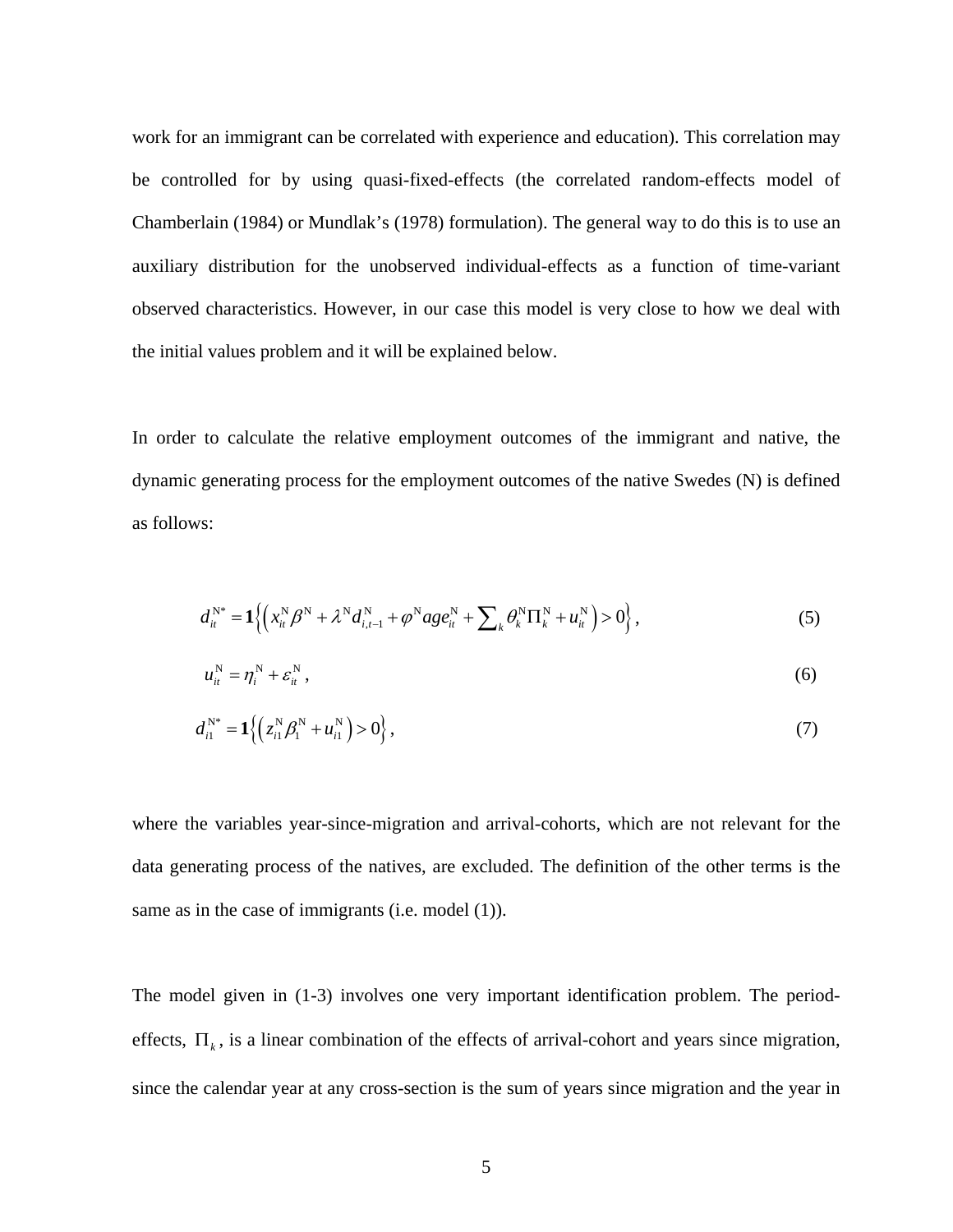work for an immigrant can be correlated with experience and education). This correlation may be controlled for by using quasi-fixed-effects (the correlated random-effects model of Chamberlain (1984) or Mundlak's (1978) formulation). The general way to do this is to use an auxiliary distribution for the unobserved individual-effects as a function of time-variant observed characteristics. However, in our case this model is very close to how we deal with the initial values problem and it will be explained below.

In order to calculate the relative employment outcomes of the immigrant and native, the dynamic generating process for the employment outcomes of the native Swedes (N) is defined as follows:

$$
d_{it}^{\mathbf{N}^{*}} = \mathbf{1}\Big\{ \Big( x_{it}^{\mathbf{N}} \beta^{\mathbf{N}} + \lambda^{\mathbf{N}} d_{i,t-1}^{\mathbf{N}} + \varphi^{\mathbf{N}} a g e_{it}^{\mathbf{N}} + \sum_{k} \theta_{k}^{\mathbf{N}} \Pi_{k}^{\mathbf{N}} + u_{it}^{\mathbf{N}} \Big) > 0 \Big\},
$$
 (5)

$$
u_{it}^N = \eta_i^N + \varepsilon_{it}^N, \tag{6}
$$

$$
d_{i1}^{N^*} = \mathbf{1}\left\{ \left( z_{i1}^N \beta_1^N + u_{i1}^N \right) > 0 \right\},\tag{7}
$$

where the variables year-since-migration and arrival-cohorts, which are not relevant for the data generating process of the natives, are excluded. The definition of the other terms is the same as in the case of immigrants (i.e. model (1)).

The model given in (1-3) involves one very important identification problem. The periodeffects,  $\Pi_k$ , is a linear combination of the effects of arrival-cohort and years since migration, since the calendar year at any cross-section is the sum of years since migration and the year in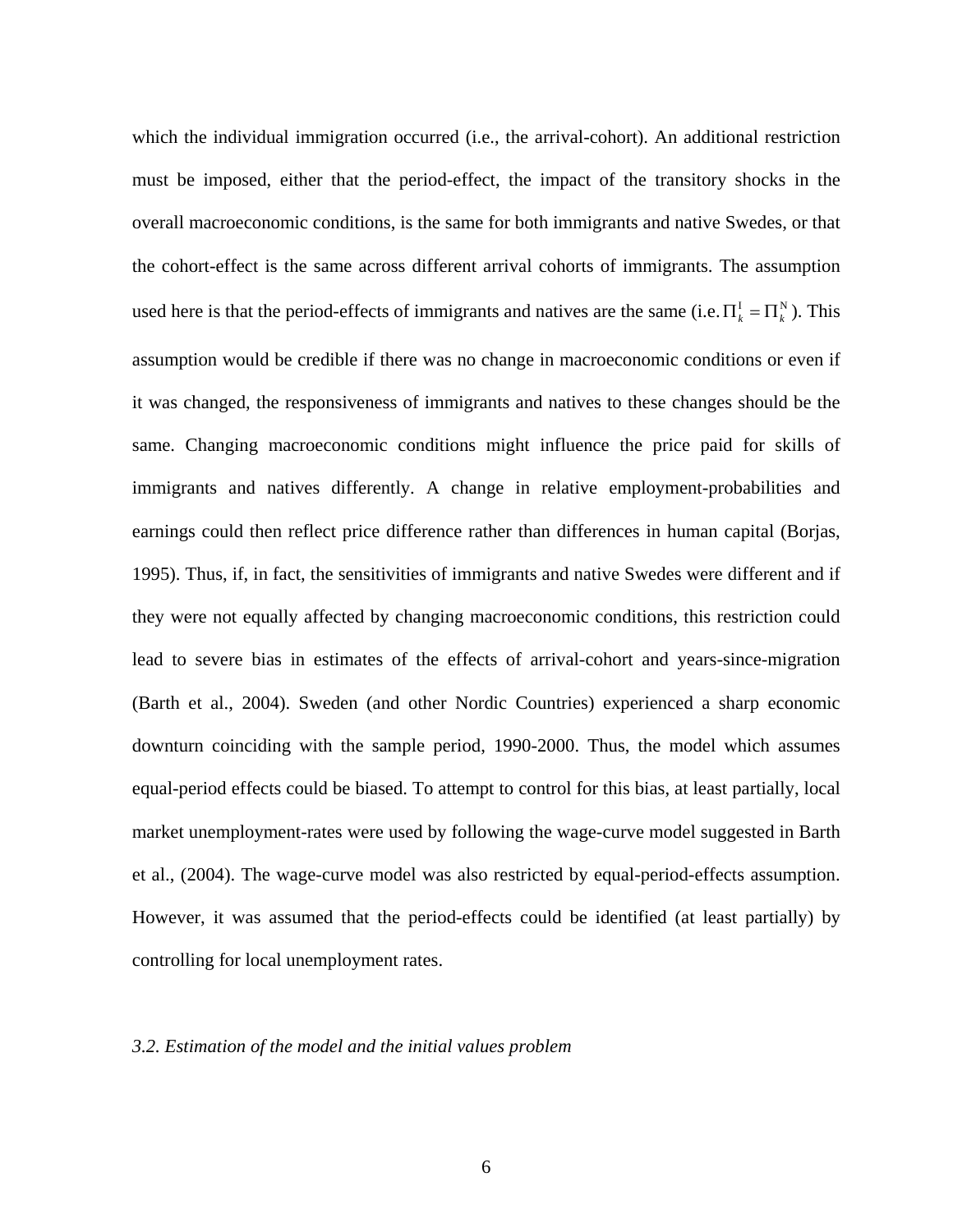which the individual immigration occurred (i.e., the arrival-cohort). An additional restriction must be imposed, either that the period-effect, the impact of the transitory shocks in the overall macroeconomic conditions, is the same for both immigrants and native Swedes, or that the cohort-effect is the same across different arrival cohorts of immigrants. The assumption used here is that the period-effects of immigrants and natives are the same (i.e.  $\Pi_k^I = \Pi_k^N$ ). This assumption would be credible if there was no change in macroeconomic conditions or even if it was changed, the responsiveness of immigrants and natives to these changes should be the same. Changing macroeconomic conditions might influence the price paid for skills of immigrants and natives differently. A change in relative employment-probabilities and earnings could then reflect price difference rather than differences in human capital (Borjas, 1995). Thus, if, in fact, the sensitivities of immigrants and native Swedes were different and if they were not equally affected by changing macroeconomic conditions, this restriction could lead to severe bias in estimates of the effects of arrival-cohort and years-since-migration (Barth et al., 2004). Sweden (and other Nordic Countries) experienced a sharp economic downturn coinciding with the sample period, 1990-2000. Thus, the model which assumes equal-period effects could be biased. To attempt to control for this bias, at least partially, local market unemployment-rates were used by following the wage-curve model suggested in Barth et al., (2004). The wage-curve model was also restricted by equal-period-effects assumption. However, it was assumed that the period-effects could be identified (at least partially) by controlling for local unemployment rates.

#### *3.2. Estimation of the model and the initial values problem*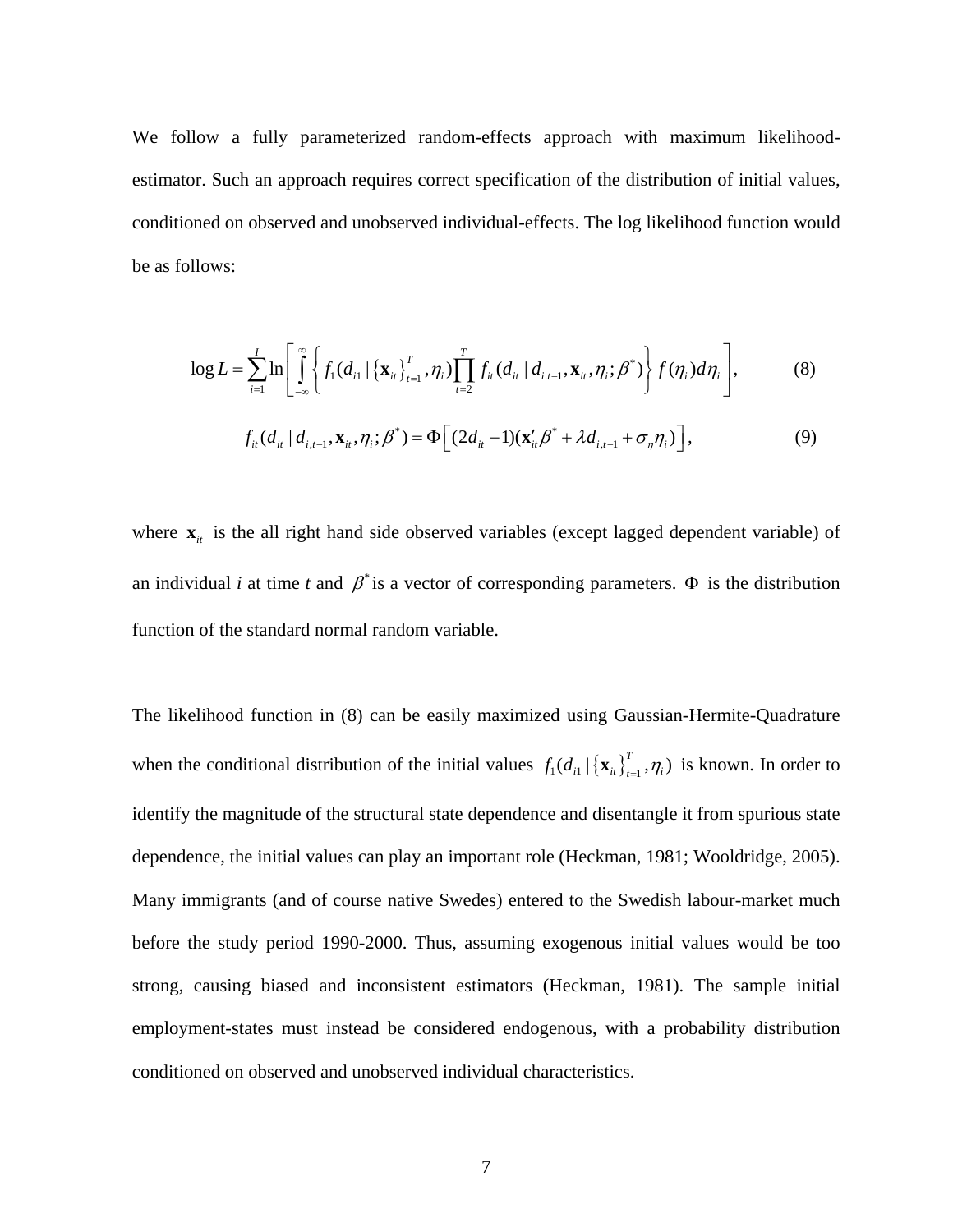We follow a fully parameterized random-effects approach with maximum likelihoodestimator. Such an approach requires correct specification of the distribution of initial values, conditioned on observed and unobserved individual-effects. The log likelihood function would be as follows:

$$
\log L = \sum_{i=1}^{I} \ln \left[ \int_{-\infty}^{\infty} \left\{ f_1(d_{i1} | \left\{ \mathbf{x}_{i} \right\}_{t=1}^{T}, \eta_i) \prod_{i=2}^{T} f_{i} (d_{i1} | d_{i} d_{i-1}, \mathbf{x}_{i}, \eta_i; \beta^*) \right\} f(\eta_i) d\eta_i \right],
$$
(8)

$$
f_{it}(d_{it} | d_{i,t-1}, \mathbf{x}_{it}, \eta_i; \beta^*) = \Phi\Big[(2d_{it} - 1)(\mathbf{x}_{it}'\beta^* + \lambda d_{i,t-1} + \sigma_{\eta}\eta_i)\Big],
$$
\n(9)

where  $\mathbf{x}_{it}$  is the all right hand side observed variables (except lagged dependent variable) of an individual *i* at time *t* and  $\beta^*$  is a vector of corresponding parameters.  $\Phi$  is the distribution function of the standard normal random variable.

The likelihood function in (8) can be easily maximized using Gaussian-Hermite-Quadrature when the conditional distribution of the initial values  $f_1(d_{i1} | {\bf x}_{it})^T_{t=1}, \eta_i)$  is known. In order to identify the magnitude of the structural state dependence and disentangle it from spurious state dependence, the initial values can play an important role (Heckman, 1981; Wooldridge, 2005). Many immigrants (and of course native Swedes) entered to the Swedish labour-market much before the study period 1990-2000. Thus, assuming exogenous initial values would be too strong, causing biased and inconsistent estimators (Heckman, 1981). The sample initial employment-states must instead be considered endogenous, with a probability distribution conditioned on observed and unobserved individual characteristics.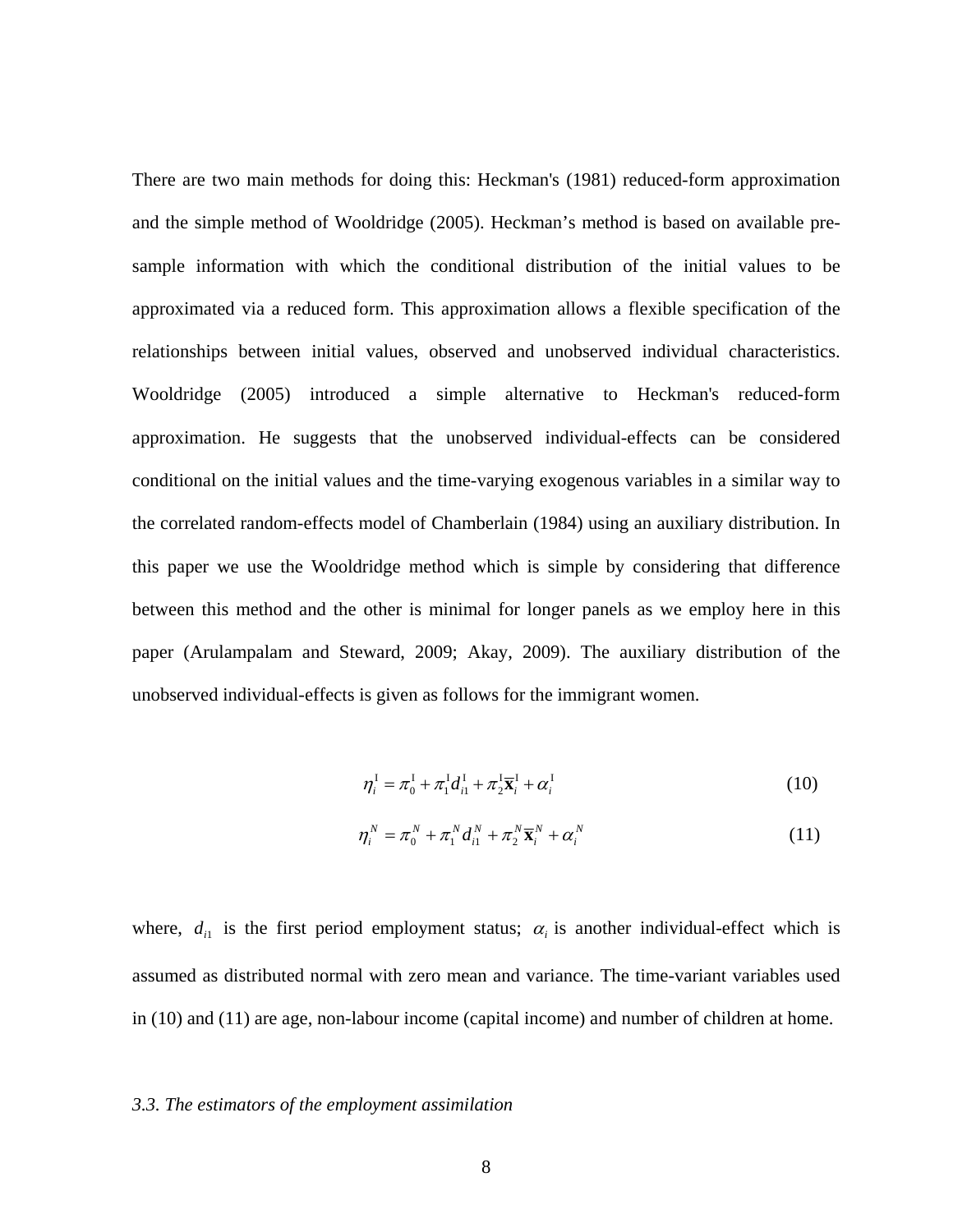There are two main methods for doing this: Heckman's (1981) reduced-form approximation and the simple method of Wooldridge (2005). Heckman's method is based on available presample information with which the conditional distribution of the initial values to be approximated via a reduced form. This approximation allows a flexible specification of the relationships between initial values, observed and unobserved individual characteristics. Wooldridge (2005) introduced a simple alternative to Heckman's reduced-form approximation. He suggests that the unobserved individual-effects can be considered conditional on the initial values and the time-varying exogenous variables in a similar way to the correlated random-effects model of Chamberlain (1984) using an auxiliary distribution. In this paper we use the Wooldridge method which is simple by considering that difference between this method and the other is minimal for longer panels as we employ here in this paper (Arulampalam and Steward, 2009; Akay, 2009). The auxiliary distribution of the unobserved individual-effects is given as follows for the immigrant women.

$$
\eta_i^{\mathrm{I}} = \pi_0^{\mathrm{I}} + \pi_1^{\mathrm{I}} d_{i1}^{\mathrm{I}} + \pi_2^{\mathrm{I}} \overline{\mathbf{x}}_i^{\mathrm{I}} + \alpha_i^{\mathrm{I}} \tag{10}
$$

$$
\eta_i^N = \pi_0^N + \pi_1^N d_{i1}^N + \pi_2^N \overline{\mathbf{x}}_i^N + \alpha_i^N
$$
\n(11)

where,  $d_{i1}$  is the first period employment status;  $\alpha_i$  is another individual-effect which is assumed as distributed normal with zero mean and variance. The time-variant variables used in (10) and (11) are age, non-labour income (capital income) and number of children at home.

#### *3.3. The estimators of the employment assimilation*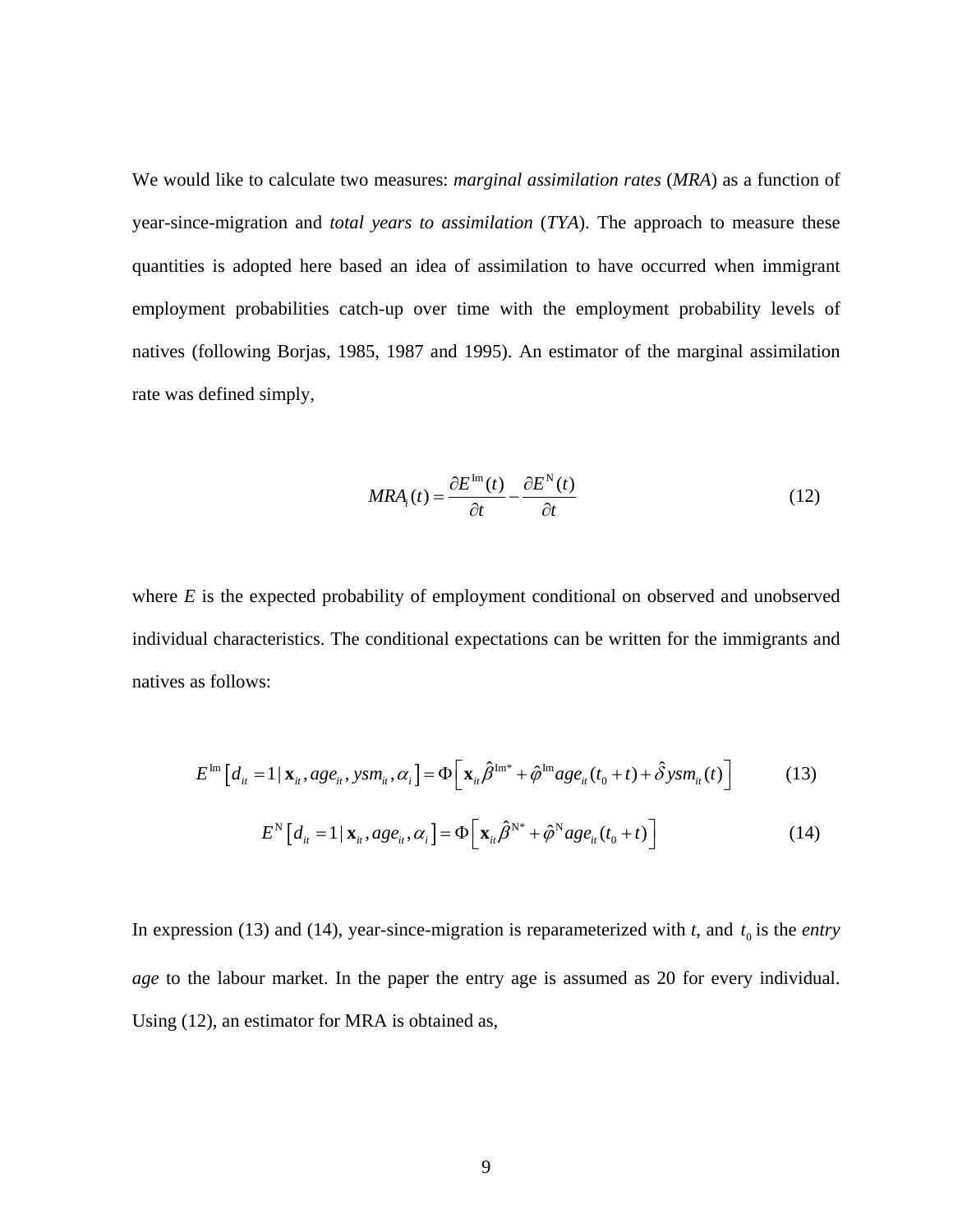We would like to calculate two measures: *marginal assimilation rates* (*MRA*) as a function of year-since-migration and *total years to assimilation* (*TYA*). The approach to measure these quantities is adopted here based an idea of assimilation to have occurred when immigrant employment probabilities catch-up over time with the employment probability levels of natives (following Borjas, 1985, 1987 and 1995). An estimator of the marginal assimilation rate was defined simply,

$$
MRA_i(t) = \frac{\partial E^{\text{Im}}(t)}{\partial t} - \frac{\partial E^{\text{N}}(t)}{\partial t}
$$
 (12)

where *E* is the expected probability of employment conditional on observed and unobserved individual characteristics. The conditional expectations can be written for the immigrants and natives as follows:

$$
E^{\text{Im}}\left[d_{it} = 1 | \mathbf{x}_{it}, age_{it}, ysm_{it}, \alpha_{i}\right] = \Phi\left[\mathbf{x}_{it}\hat{\beta}^{\text{Im}\,*} + \hat{\varphi}^{\text{Im}}age_{it}(t_{0} + t) + \hat{\delta}ysm_{it}(t)\right]
$$
(13)

$$
E^{\mathcal{N}}\left[d_{it}=1\,|\,\mathbf{x}_{it}, age_{it}, \alpha_{i}\right] = \Phi\left[\,\mathbf{x}_{it}\hat{\beta}^{\mathcal{N}^{*}} + \hat{\varphi}^{\mathcal{N}}age_{it}(t_{0}+t)\,\right] \tag{14}
$$

In expression (13) and (14), year-since-migration is reparameterized with  $t$ , and  $t_0$  is the *entry age* to the labour market. In the paper the entry age is assumed as 20 for every individual. Using (12), an estimator for MRA is obtained as,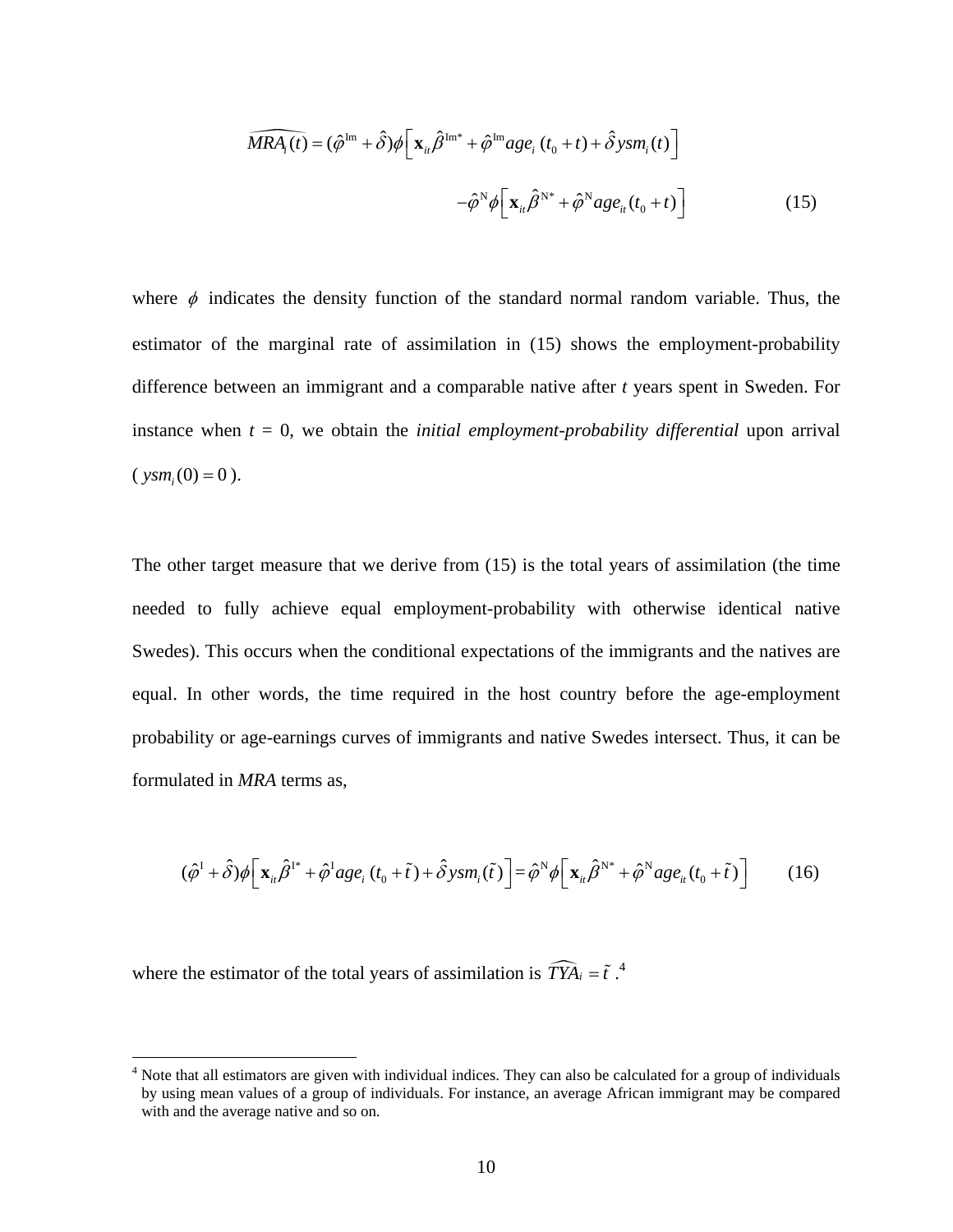$$
\widehat{MRA_i(t)} = (\hat{\varphi}^{\text{Im}} + \hat{\delta})\phi \Big[ \mathbf{x}_{ii} \hat{\beta}^{\text{Im}*} + \hat{\varphi}^{\text{Im}}age_i (t_0 + t) + \hat{\delta} ysm_i(t) \Big] \n- \hat{\varphi}^{\text{N}}\phi \Big[ \mathbf{x}_{ii} \hat{\beta}^{\text{N}*} + \hat{\varphi}^{\text{N}}age_{ii} (t_0 + t) \Big]
$$
\n(15)

where  $\phi$  indicates the density function of the standard normal random variable. Thus, the estimator of the marginal rate of assimilation in (15) shows the employment-probability difference between an immigrant and a comparable native after *t* years spent in Sweden. For instance when  $t = 0$ , we obtain the *initial employment-probability differential* upon arrival  $(y \, \text{sym}_{i} (0) = 0).$ 

The other target measure that we derive from (15) is the total years of assimilation (the time needed to fully achieve equal employment-probability with otherwise identical native Swedes). This occurs when the conditional expectations of the immigrants and the natives are equal. In other words, the time required in the host country before the age-employment probability or age-earnings curves of immigrants and native Swedes intersect. Thus, it can be formulated in *MRA* terms as,

$$
(\hat{\varphi}^{\mathrm{I}} + \hat{\delta})\phi \Big[\mathbf{x}_{ii}\hat{\beta}^{\mathrm{I}^*} + \hat{\varphi}^{\mathrm{I}}age_i(t_0 + \tilde{t}) + \hat{\delta}ysm_i(\tilde{t})\Big] = \hat{\varphi}^{\mathrm{N}}\phi \Big[\mathbf{x}_{ii}\hat{\beta}^{\mathrm{N}^*} + \hat{\varphi}^{\mathrm{N}}age_{ii}(t_0 + \tilde{t})\Big] \tag{16}
$$

where the estimator of the total years of assimilation is  $\widehat{TYA}_i = \tilde{t}$ .<sup>[4](#page-18-0)</sup>

 $\overline{a}$ 

<span id="page-18-0"></span><sup>&</sup>lt;sup>4</sup> Note that all estimators are given with individual indices. They can also be calculated for a group of individuals by using mean values of a group of individuals. For instance, an average African immigrant may be compared with and the average native and so on.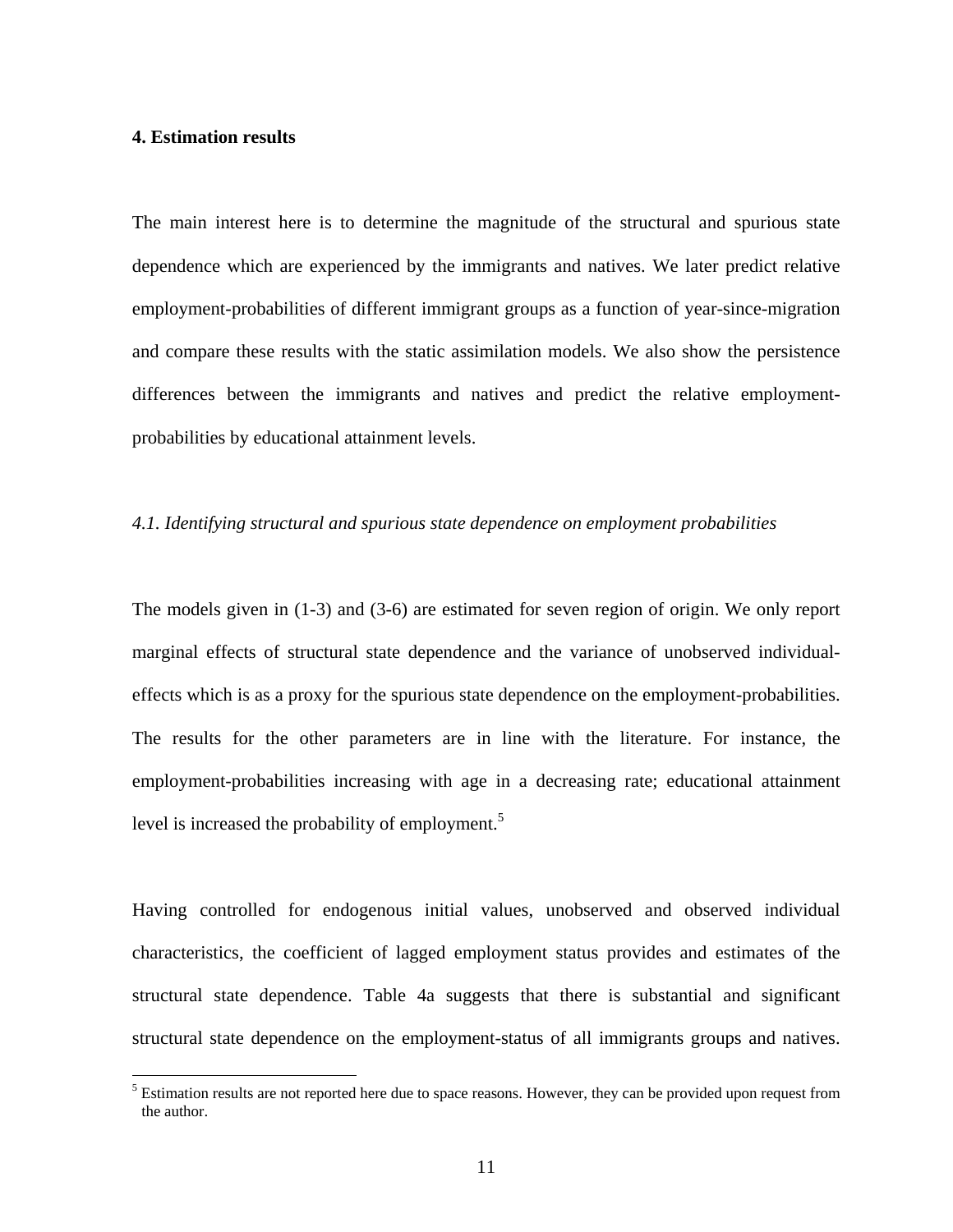# **4. Estimation results**

 $\overline{a}$ 

The main interest here is to determine the magnitude of the structural and spurious state dependence which are experienced by the immigrants and natives. We later predict relative employment-probabilities of different immigrant groups as a function of year-since-migration and compare these results with the static assimilation models. We also show the persistence differences between the immigrants and natives and predict the relative employmentprobabilities by educational attainment levels.

#### *4.1. Identifying structural and spurious state dependence on employment probabilities*

The models given in (1-3) and (3-6) are estimated for seven region of origin. We only report marginal effects of structural state dependence and the variance of unobserved individualeffects which is as a proxy for the spurious state dependence on the employment-probabilities. The results for the other parameters are in line with the literature. For instance, the employment-probabilities increasing with age in a decreasing rate; educational attainment level is increased the probability of employment.<sup>5</sup>

Having controlled for endogenous initial values, unobserved and observed individual characteristics, the coefficient of lagged employment status provides and estimates of the structural state dependence. Table 4a suggests that there is substantial and significant structural state dependence on the employment-status of all immigrants groups and natives.

<span id="page-19-0"></span><sup>&</sup>lt;sup>5</sup> Estimation results are not reported here due to space reasons. However, they can be provided upon request from the author.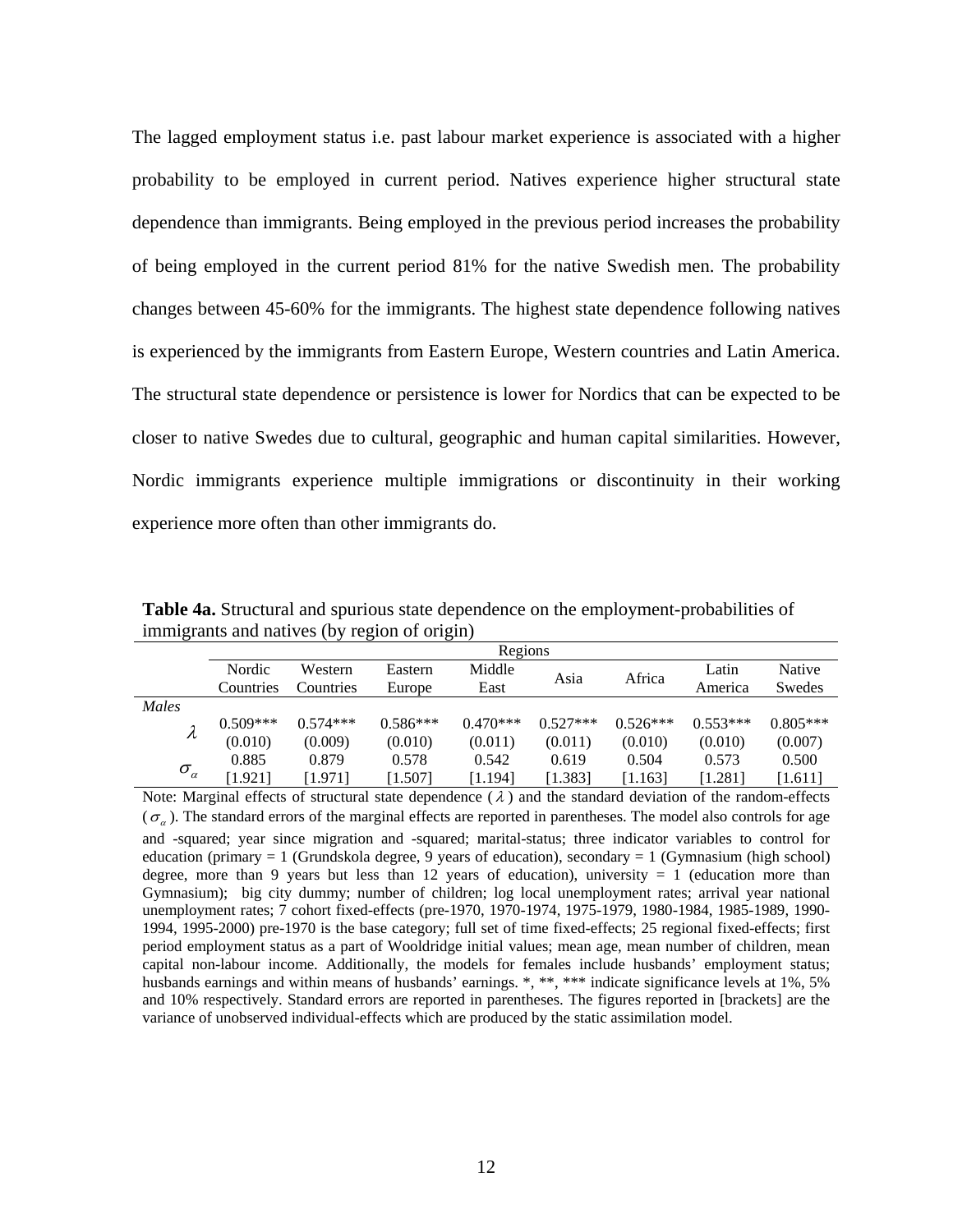The lagged employment status i.e. past labour market experience is associated with a higher probability to be employed in current period. Natives experience higher structural state dependence than immigrants. Being employed in the previous period increases the probability of being employed in the current period 81% for the native Swedish men. The probability changes between 45-60% for the immigrants. The highest state dependence following natives is experienced by the immigrants from Eastern Europe, Western countries and Latin America. The structural state dependence or persistence is lower for Nordics that can be expected to be closer to native Swedes due to cultural, geographic and human capital similarities. However, Nordic immigrants experience multiple immigrations or discontinuity in their working experience more often than other immigrants do.

**Table 4a.** Structural and spurious state dependence on the employment-probabilities of immigrants and natives (by region of origin)

|                                      | Regions    |            |            |            |            |            |            |            |  |  |  |
|--------------------------------------|------------|------------|------------|------------|------------|------------|------------|------------|--|--|--|
|                                      | Nordic     | Western    | Eastern    | Middle     | Asia       | Africa     | Latin      | Native     |  |  |  |
|                                      | Countries  | Countries  | Europe     | East       |            |            | America    | Swedes     |  |  |  |
| Males                                |            |            |            |            |            |            |            |            |  |  |  |
| $\lambda$                            | $0.509***$ | $0.574***$ | $0.586***$ | $0.470***$ | $0.527***$ | $0.526***$ | $0.553***$ | $0.805***$ |  |  |  |
|                                      | (0.010)    | (0.009)    | (0.010)    | (0.011)    | (0.011)    | (0.010)    | (0.010)    | (0.007)    |  |  |  |
|                                      | 0.885      | 0.879      | 0.578      | 0.542      | 0.619      | 0.504      | 0.573      | 0.500      |  |  |  |
| $\sigma_{\scriptscriptstyle \alpha}$ | [1.921]    | [1.971]    | 1.507      | [1.194]    | [1.383]    | [1.163]    | [1.281]    | [1.611]    |  |  |  |

Note: Marginal effects of structural state dependence  $(\lambda)$  and the standard deviation of the random-effects  $(\sigma_{\alpha})$ . The standard errors of the marginal effects are reported in parentheses. The model also controls for age and -squared; year since migration and -squared; marital-status; three indicator variables to control for education (primary = 1 (Grundskola degree, 9 years of education), secondary = 1 (Gymnasium (high school) degree, more than 9 years but less than 12 years of education), university  $= 1$  (education more than Gymnasium); big city dummy; number of children; log local unemployment rates; arrival year national unemployment rates; 7 cohort fixed-effects (pre-1970, 1970-1974, 1975-1979, 1980-1984, 1985-1989, 1990- 1994, 1995-2000) pre-1970 is the base category; full set of time fixed-effects; 25 regional fixed-effects; first period employment status as a part of Wooldridge initial values; mean age, mean number of children, mean capital non-labour income. Additionally, the models for females include husbands' employment status; husbands earnings and within means of husbands' earnings. \*, \*\*, \*\*\* indicate significance levels at 1%, 5% and 10% respectively. Standard errors are reported in parentheses. The figures reported in [brackets] are the variance of unobserved individual-effects which are produced by the static assimilation model.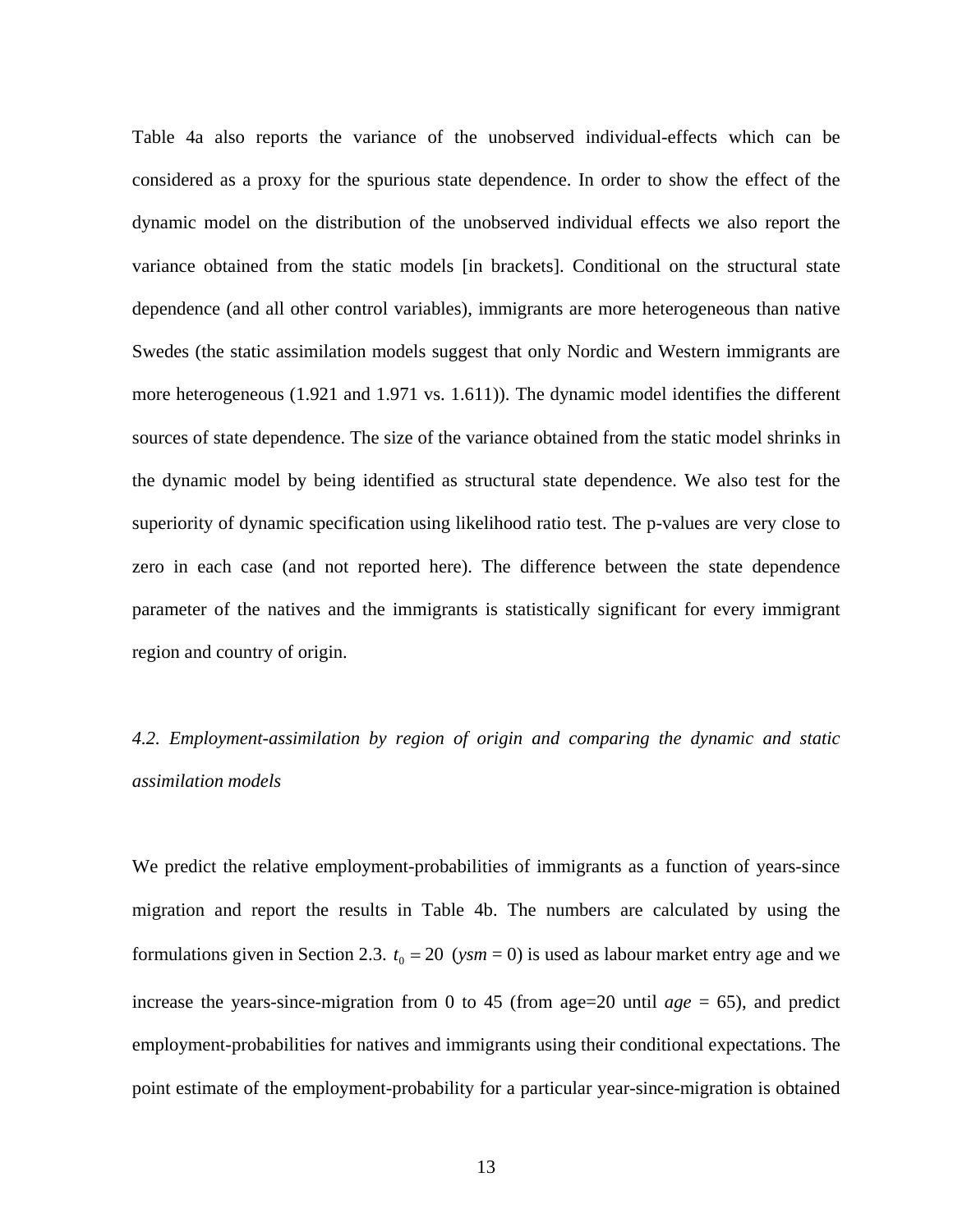Table 4a also reports the variance of the unobserved individual-effects which can be considered as a proxy for the spurious state dependence. In order to show the effect of the dynamic model on the distribution of the unobserved individual effects we also report the variance obtained from the static models [in brackets]. Conditional on the structural state dependence (and all other control variables), immigrants are more heterogeneous than native Swedes (the static assimilation models suggest that only Nordic and Western immigrants are more heterogeneous (1.921 and 1.971 vs. 1.611)). The dynamic model identifies the different sources of state dependence. The size of the variance obtained from the static model shrinks in the dynamic model by being identified as structural state dependence. We also test for the superiority of dynamic specification using likelihood ratio test. The p-values are very close to zero in each case (and not reported here). The difference between the state dependence parameter of the natives and the immigrants is statistically significant for every immigrant region and country of origin.

# *4.2. Employment-assimilation by region of origin and comparing the dynamic and static assimilation models*

We predict the relative employment-probabilities of immigrants as a function of years-since migration and report the results in Table 4b. The numbers are calculated by using the formulations given in Section 2.3.  $t_0 = 20$  (*ysm* = 0) is used as labour market entry age and we increase the years-since-migration from 0 to 45 (from age=20 until  $age = 65$ ), and predict employment-probabilities for natives and immigrants using their conditional expectations. The point estimate of the employment-probability for a particular year-since-migration is obtained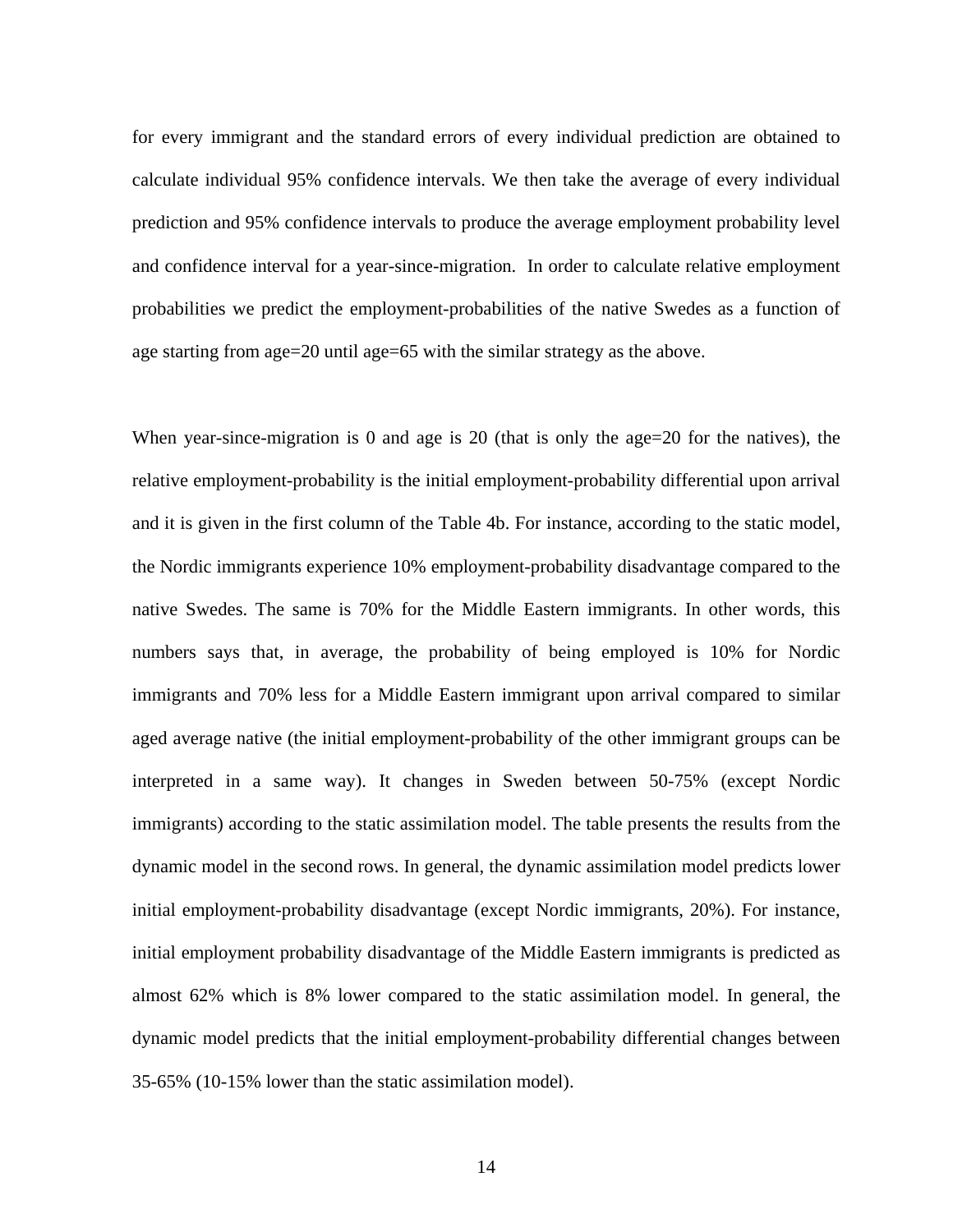for every immigrant and the standard errors of every individual prediction are obtained to calculate individual 95% confidence intervals. We then take the average of every individual prediction and 95% confidence intervals to produce the average employment probability level and confidence interval for a year-since-migration. In order to calculate relative employment probabilities we predict the employment-probabilities of the native Swedes as a function of age starting from age=20 until age=65 with the similar strategy as the above.

When year-since-migration is 0 and age is 20 (that is only the age=20 for the natives), the relative employment-probability is the initial employment-probability differential upon arrival and it is given in the first column of the Table 4b. For instance, according to the static model, the Nordic immigrants experience 10% employment-probability disadvantage compared to the native Swedes. The same is 70% for the Middle Eastern immigrants. In other words, this numbers says that, in average, the probability of being employed is 10% for Nordic immigrants and 70% less for a Middle Eastern immigrant upon arrival compared to similar aged average native (the initial employment-probability of the other immigrant groups can be interpreted in a same way). It changes in Sweden between 50-75% (except Nordic immigrants) according to the static assimilation model. The table presents the results from the dynamic model in the second rows. In general, the dynamic assimilation model predicts lower initial employment-probability disadvantage (except Nordic immigrants, 20%). For instance, initial employment probability disadvantage of the Middle Eastern immigrants is predicted as almost 62% which is 8% lower compared to the static assimilation model. In general, the dynamic model predicts that the initial employment-probability differential changes between 35-65% (10-15% lower than the static assimilation model).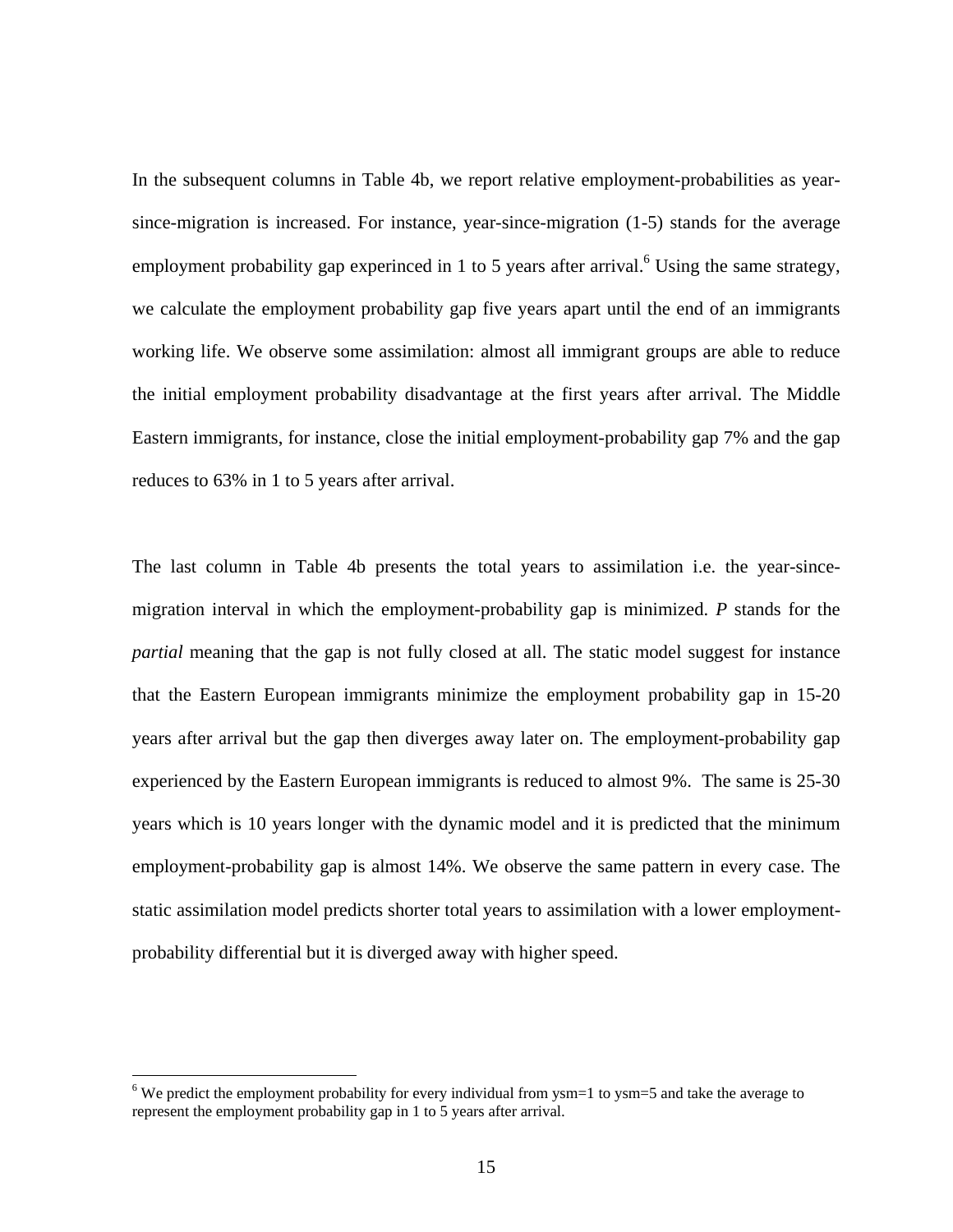In the subsequent columns in Table 4b, we report relative employment-probabilities as yearsince-migration is increased. For instance, year-since-migration (1-5) stands for the average employment probability gap experinced in 1 to 5 years after arrival.<sup>6</sup> Using the same strategy, we calculate the employment probability gap five years apart until the end of an immigrants working life. We observe some assimilation: almost all immigrant groups are able to reduce the initial employment probability disadvantage at the first years after arrival. The Middle Eastern immigrants, for instance, close the initial employment-probability gap 7% and the gap reduces to 63% in 1 to 5 years after arrival.

The last column in Table 4b presents the total years to assimilation i.e. the year-sincemigration interval in which the employment-probability gap is minimized. *P* stands for the *partial* meaning that the gap is not fully closed at all. The static model suggest for instance that the Eastern European immigrants minimize the employment probability gap in 15-20 years after arrival but the gap then diverges away later on. The employment-probability gap experienced by the Eastern European immigrants is reduced to almost 9%. The same is 25-30 years which is 10 years longer with the dynamic model and it is predicted that the minimum employment-probability gap is almost 14%. We observe the same pattern in every case. The static assimilation model predicts shorter total years to assimilation with a lower employmentprobability differential but it is diverged away with higher speed.

 $\overline{a}$ 

<span id="page-23-0"></span><sup>&</sup>lt;sup>6</sup> We predict the employment probability for every individual from ysm=1 to ysm=5 and take the average to represent the employment probability gap in 1 to 5 years after arrival.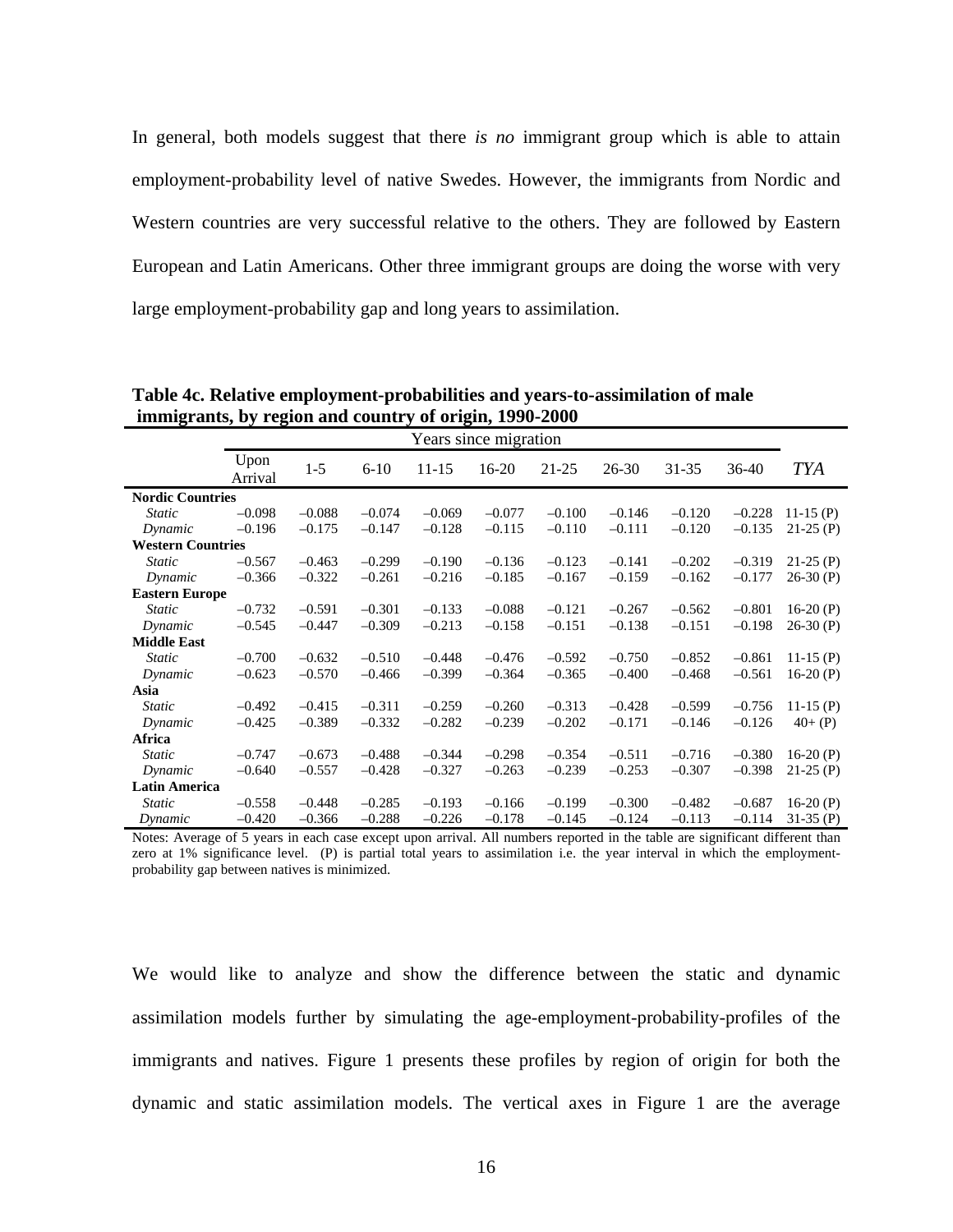In general, both models suggest that there *is no* immigrant group which is able to attain employment-probability level of native Swedes. However, the immigrants from Nordic and Western countries are very successful relative to the others. They are followed by Eastern European and Latin Americans. Other three immigrant groups are doing the worse with very large employment-probability gap and long years to assimilation.

|                          | Years since migration |          |          |           |          |          |          |          |          |             |
|--------------------------|-----------------------|----------|----------|-----------|----------|----------|----------|----------|----------|-------------|
|                          | Upon<br>Arrival       | $1 - 5$  | $6 - 10$ | $11 - 15$ | 16-20    | 21-25    | 26-30    | 31-35    | 36-40    | <b>TYA</b>  |
| <b>Nordic Countries</b>  |                       |          |          |           |          |          |          |          |          |             |
| <i>Static</i>            | $-0.098$              | $-0.088$ | $-0.074$ | $-0.069$  | $-0.077$ | $-0.100$ | $-0.146$ | $-0.120$ | $-0.228$ | 11-15 $(P)$ |
| Dynamic                  | $-0.196$              | $-0.175$ | $-0.147$ | $-0.128$  | $-0.115$ | $-0.110$ | $-0.111$ | $-0.120$ | $-0.135$ | $21-25(P)$  |
| <b>Western Countries</b> |                       |          |          |           |          |          |          |          |          |             |
| <i>Static</i>            | $-0.567$              | $-0.463$ | $-0.299$ | $-0.190$  | $-0.136$ | $-0.123$ | $-0.141$ | $-0.202$ | $-0.319$ | $21-25(P)$  |
| Dynamic                  | $-0.366$              | $-0.322$ | $-0.261$ | $-0.216$  | $-0.185$ | $-0.167$ | $-0.159$ | $-0.162$ | $-0.177$ | $26-30(P)$  |
| <b>Eastern Europe</b>    |                       |          |          |           |          |          |          |          |          |             |
| <b>Static</b>            | $-0.732$              | $-0.591$ | $-0.301$ | $-0.133$  | $-0.088$ | $-0.121$ | $-0.267$ | $-0.562$ | $-0.801$ | 16-20 $(P)$ |
| Dynamic                  | $-0.545$              | $-0.447$ | $-0.309$ | $-0.213$  | $-0.158$ | $-0.151$ | $-0.138$ | $-0.151$ | $-0.198$ | $26-30(P)$  |
| <b>Middle East</b>       |                       |          |          |           |          |          |          |          |          |             |
| <b>Static</b>            | $-0.700$              | $-0.632$ | $-0.510$ | $-0.448$  | $-0.476$ | $-0.592$ | $-0.750$ | $-0.852$ | $-0.861$ | $11-15(P)$  |
| Dynamic                  | $-0.623$              | $-0.570$ | $-0.466$ | $-0.399$  | $-0.364$ | $-0.365$ | $-0.400$ | $-0.468$ | $-0.561$ | 16-20 $(P)$ |
| Asia                     |                       |          |          |           |          |          |          |          |          |             |
| <b>Static</b>            | $-0.492$              | $-0.415$ | $-0.311$ | $-0.259$  | $-0.260$ | $-0.313$ | $-0.428$ | $-0.599$ | $-0.756$ | $11-15(P)$  |
| Dynamic                  | $-0.425$              | $-0.389$ | $-0.332$ | $-0.282$  | $-0.239$ | $-0.202$ | $-0.171$ | $-0.146$ | $-0.126$ | $40+$ (P)   |
| <b>Africa</b>            |                       |          |          |           |          |          |          |          |          |             |
| <i>Static</i>            | $-0.747$              | $-0.673$ | $-0.488$ | $-0.344$  | $-0.298$ | $-0.354$ | $-0.511$ | $-0.716$ | $-0.380$ | 16-20 $(P)$ |
| Dynamic                  | $-0.640$              | $-0.557$ | $-0.428$ | $-0.327$  | $-0.263$ | $-0.239$ | $-0.253$ | $-0.307$ | $-0.398$ | $21-25(P)$  |
| <b>Latin America</b>     |                       |          |          |           |          |          |          |          |          |             |
| <i>Static</i>            | $-0.558$              | $-0.448$ | $-0.285$ | $-0.193$  | $-0.166$ | $-0.199$ | $-0.300$ | $-0.482$ | $-0.687$ | 16-20 $(P)$ |
| Dynamic                  | $-0.420$              | $-0.366$ | $-0.288$ | $-0.226$  | $-0.178$ | $-0.145$ | $-0.124$ | $-0.113$ | $-0.114$ | $31-35$ (P) |

**Table 4c. Relative employment-probabilities and years-to-assimilation of male immigrants, by region and country of origin, 1990-2000** 

Notes: Average of 5 years in each case except upon arrival. All numbers reported in the table are significant different than zero at 1% significance level. (P) is partial total years to assimilation i.e. the year interval in which the employmentprobability gap between natives is minimized.

We would like to analyze and show the difference between the static and dynamic assimilation models further by simulating the age-employment-probability-profiles of the immigrants and natives. Figure 1 presents these profiles by region of origin for both the dynamic and static assimilation models. The vertical axes in Figure 1 are the average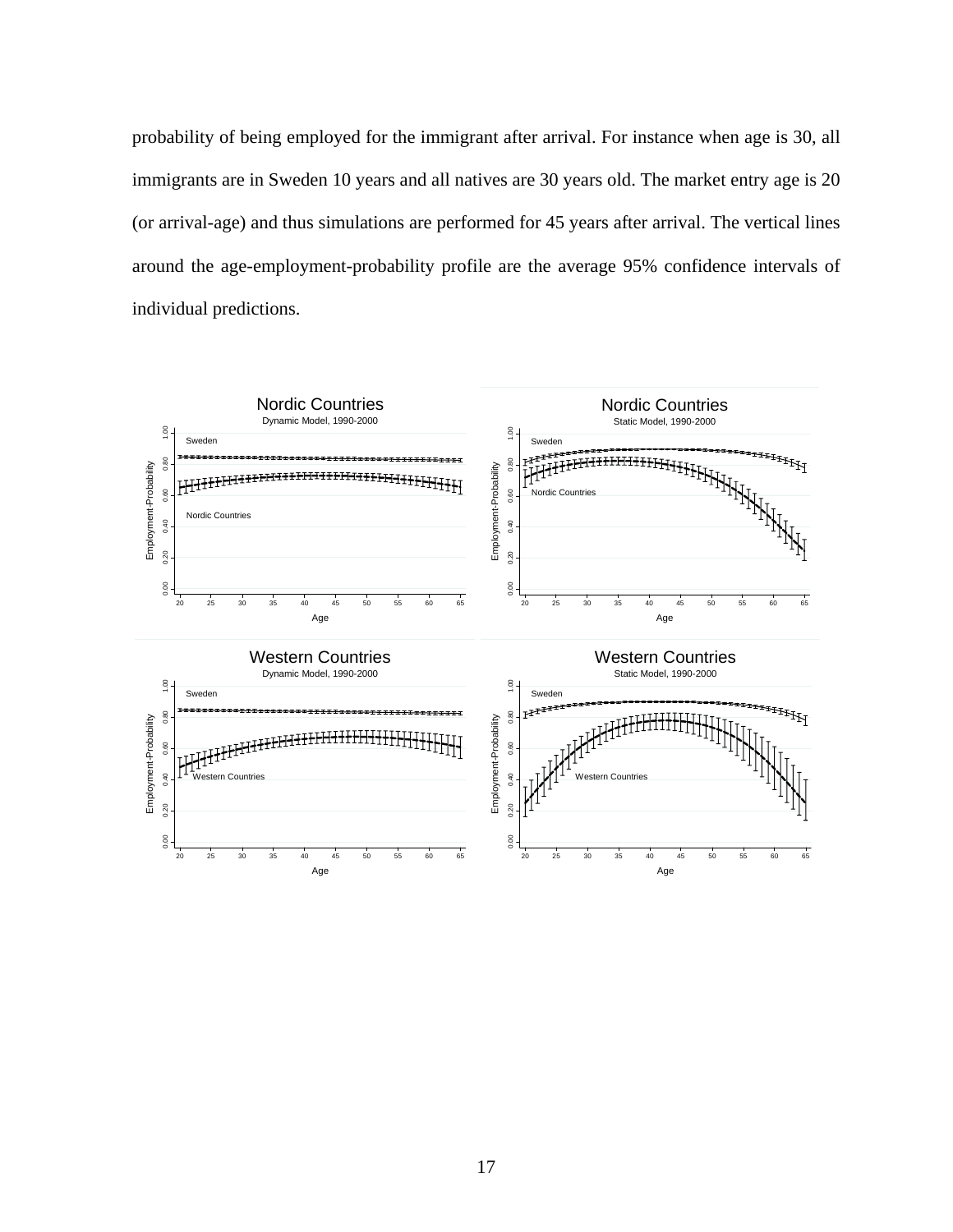probability of being employed for the immigrant after arrival. For instance when age is 30, all immigrants are in Sweden 10 years and all natives are 30 years old. The market entry age is 20 (or arrival-age) and thus simulations are performed for 45 years after arrival. The vertical lines around the age-employment-probability profile are the average 95% confidence intervals of individual predictions.

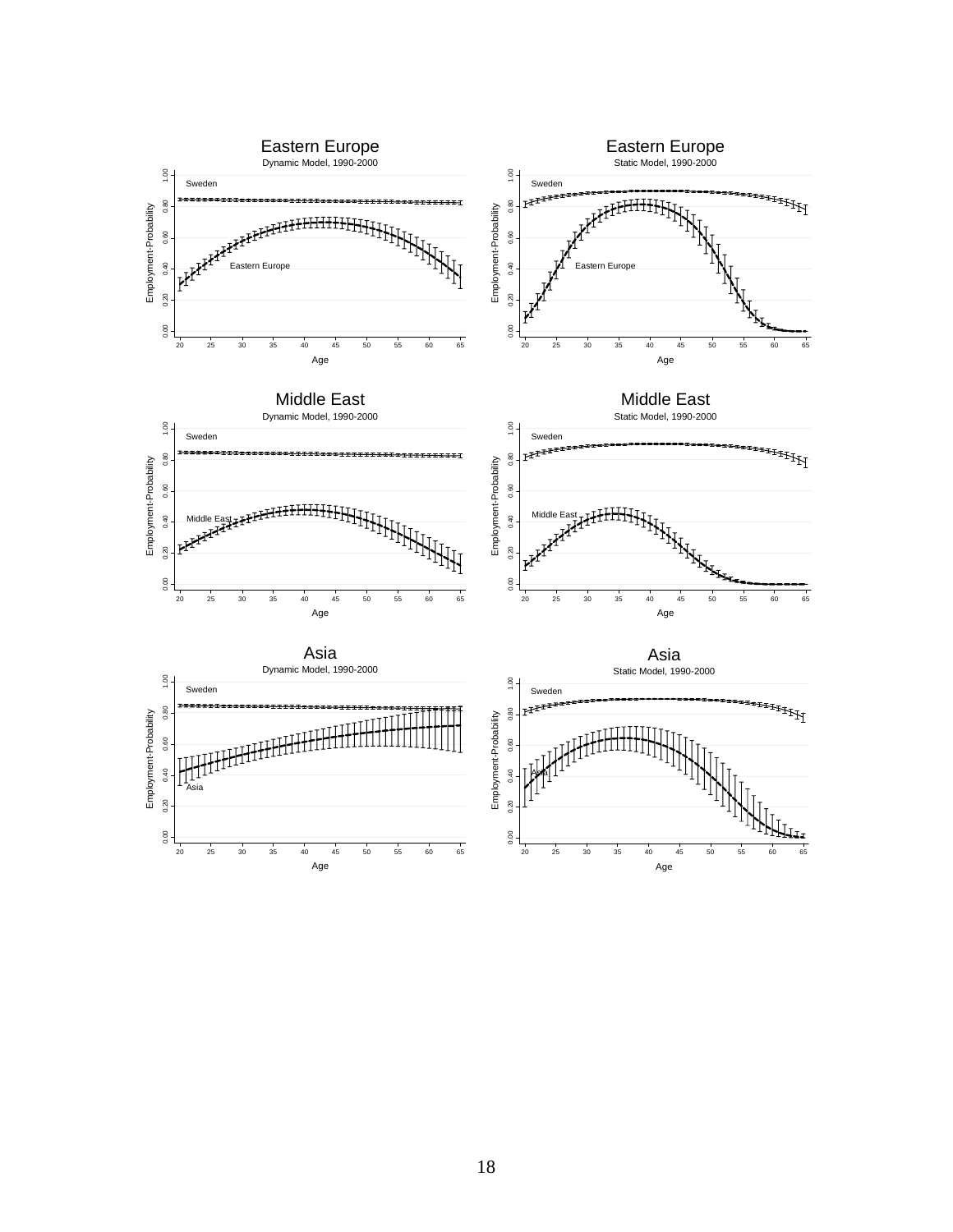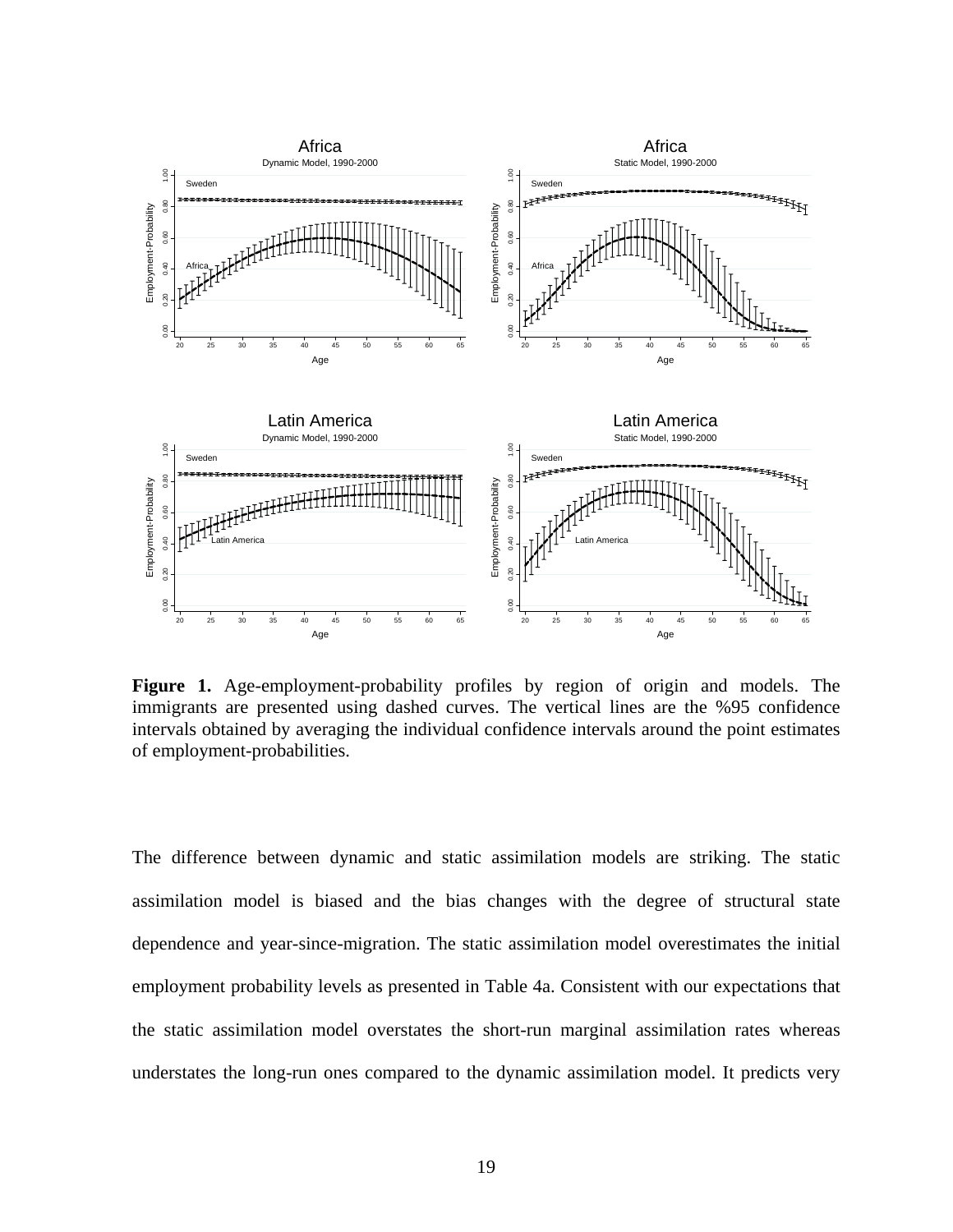

**Figure 1.** Age-employment-probability profiles by region of origin and models. The immigrants are presented using dashed curves. The vertical lines are the %95 confidence intervals obtained by averaging the individual confidence intervals around the point estimates of employment-probabilities.

The difference between dynamic and static assimilation models are striking. The static assimilation model is biased and the bias changes with the degree of structural state dependence and year-since-migration. The static assimilation model overestimates the initial employment probability levels as presented in Table 4a. Consistent with our expectations that the static assimilation model overstates the short-run marginal assimilation rates whereas understates the long-run ones compared to the dynamic assimilation model. It predicts very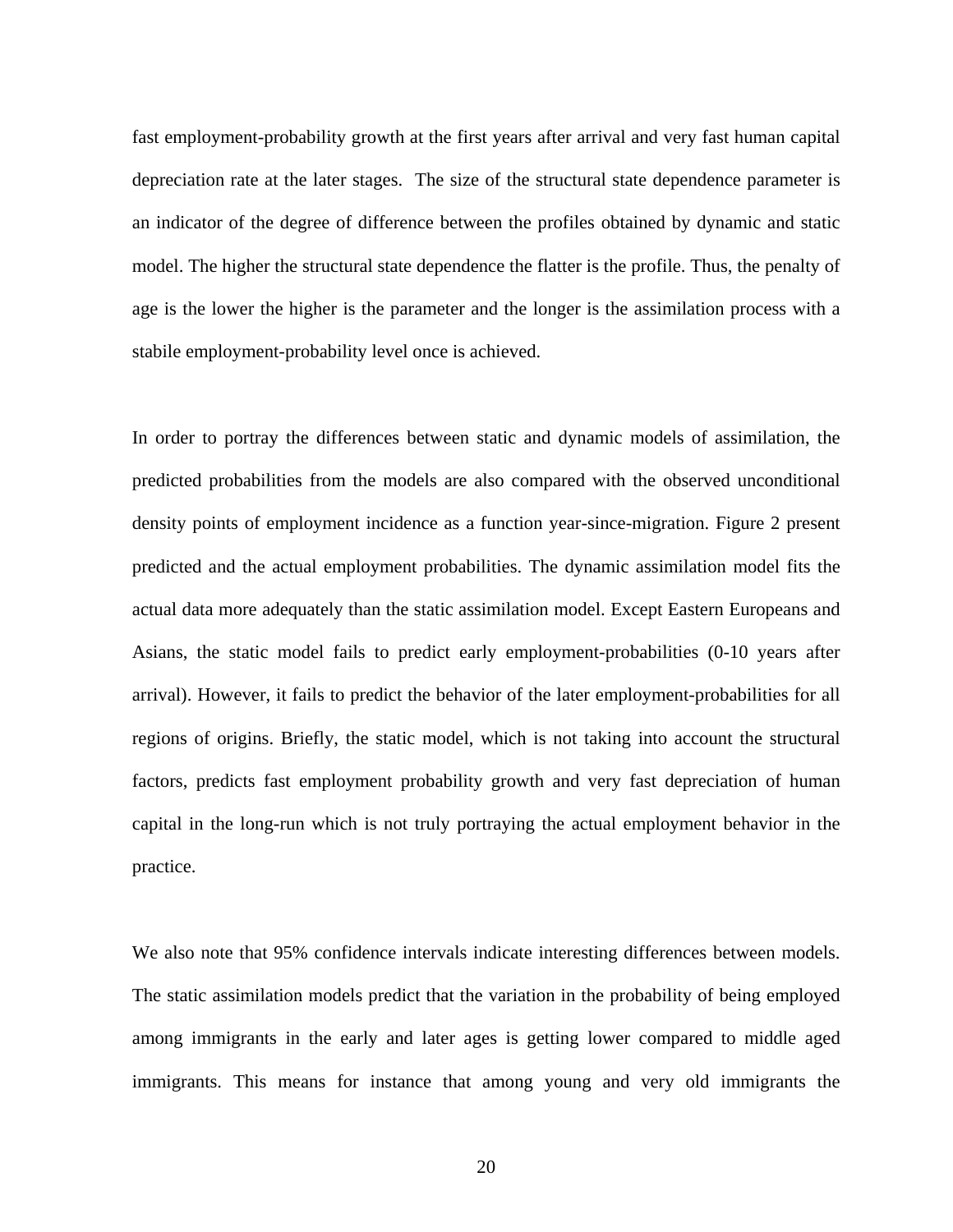fast employment-probability growth at the first years after arrival and very fast human capital depreciation rate at the later stages. The size of the structural state dependence parameter is an indicator of the degree of difference between the profiles obtained by dynamic and static model. The higher the structural state dependence the flatter is the profile. Thus, the penalty of age is the lower the higher is the parameter and the longer is the assimilation process with a stabile employment-probability level once is achieved.

In order to portray the differences between static and dynamic models of assimilation, the predicted probabilities from the models are also compared with the observed unconditional density points of employment incidence as a function year-since-migration. Figure 2 present predicted and the actual employment probabilities. The dynamic assimilation model fits the actual data more adequately than the static assimilation model. Except Eastern Europeans and Asians, the static model fails to predict early employment-probabilities (0-10 years after arrival). However, it fails to predict the behavior of the later employment-probabilities for all regions of origins. Briefly, the static model, which is not taking into account the structural factors, predicts fast employment probability growth and very fast depreciation of human capital in the long-run which is not truly portraying the actual employment behavior in the practice.

We also note that 95% confidence intervals indicate interesting differences between models. The static assimilation models predict that the variation in the probability of being employed among immigrants in the early and later ages is getting lower compared to middle aged immigrants. This means for instance that among young and very old immigrants the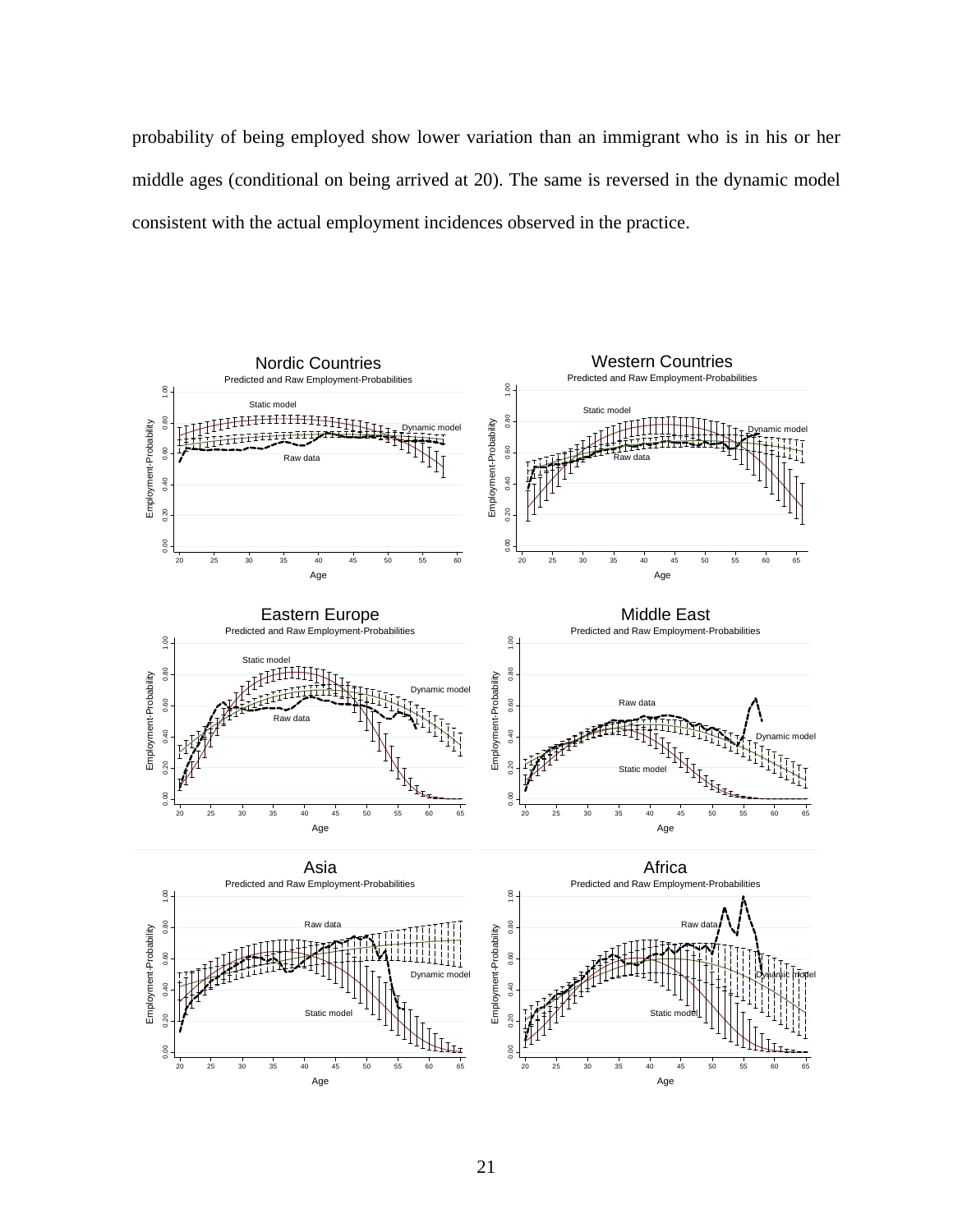probability of being employed show lower variation than an immigrant who is in his or her middle ages (conditional on being arrived at 20). The same is reversed in the dynamic model consistent with the actual employment incidences observed in the practice.

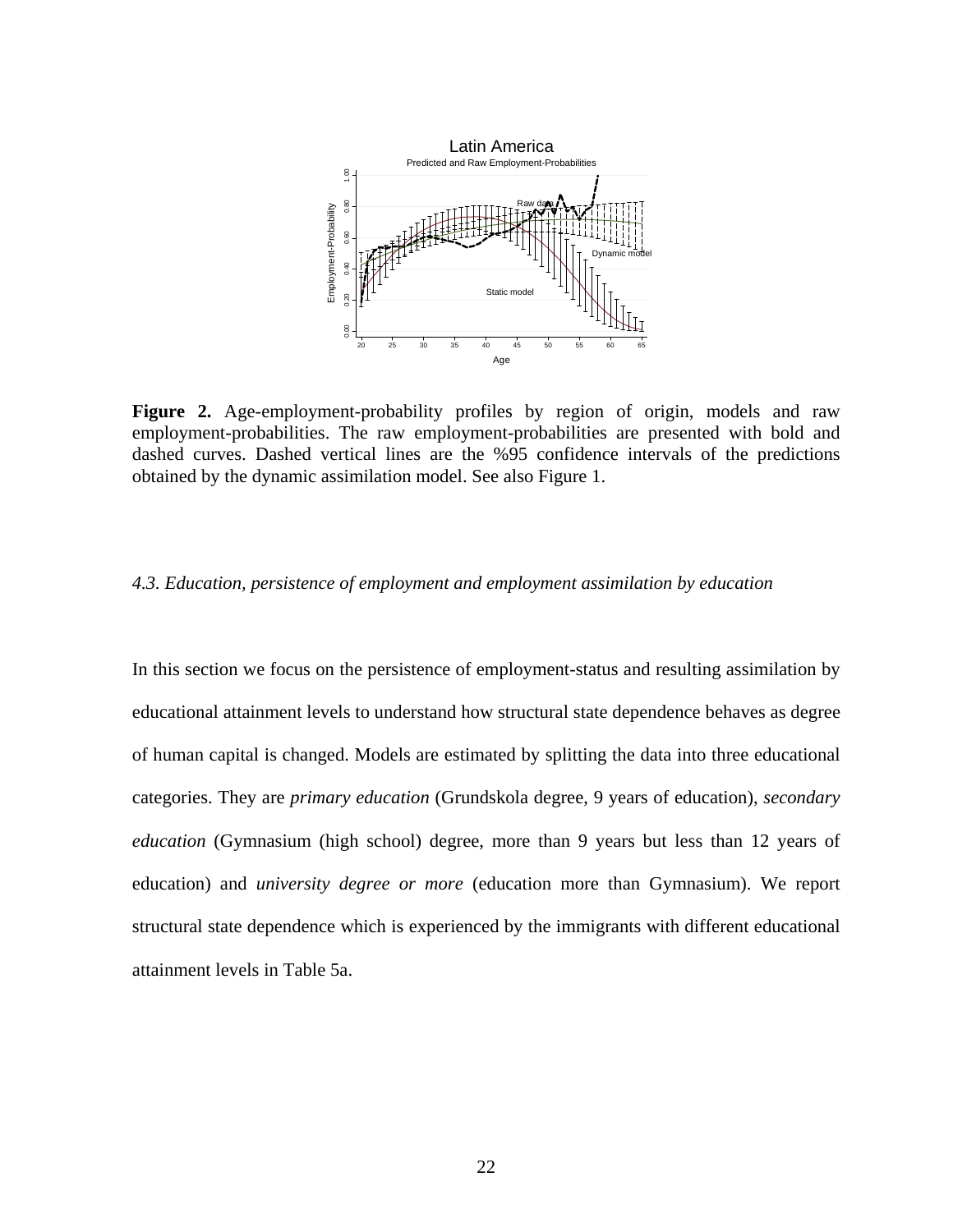

**Figure 2.** Age-employment-probability profiles by region of origin, models and raw employment-probabilities. The raw employment-probabilities are presented with bold and dashed curves. Dashed vertical lines are the %95 confidence intervals of the predictions obtained by the dynamic assimilation model. See also Figure 1.

#### *4.3. Education, persistence of employment and employment assimilation by education*

In this section we focus on the persistence of employment-status and resulting assimilation by educational attainment levels to understand how structural state dependence behaves as degree of human capital is changed. Models are estimated by splitting the data into three educational categories. They are *primary education* (Grundskola degree, 9 years of education), *secondary education* (Gymnasium (high school) degree, more than 9 years but less than 12 years of education) and *university degree or more* (education more than Gymnasium). We report structural state dependence which is experienced by the immigrants with different educational attainment levels in Table 5a.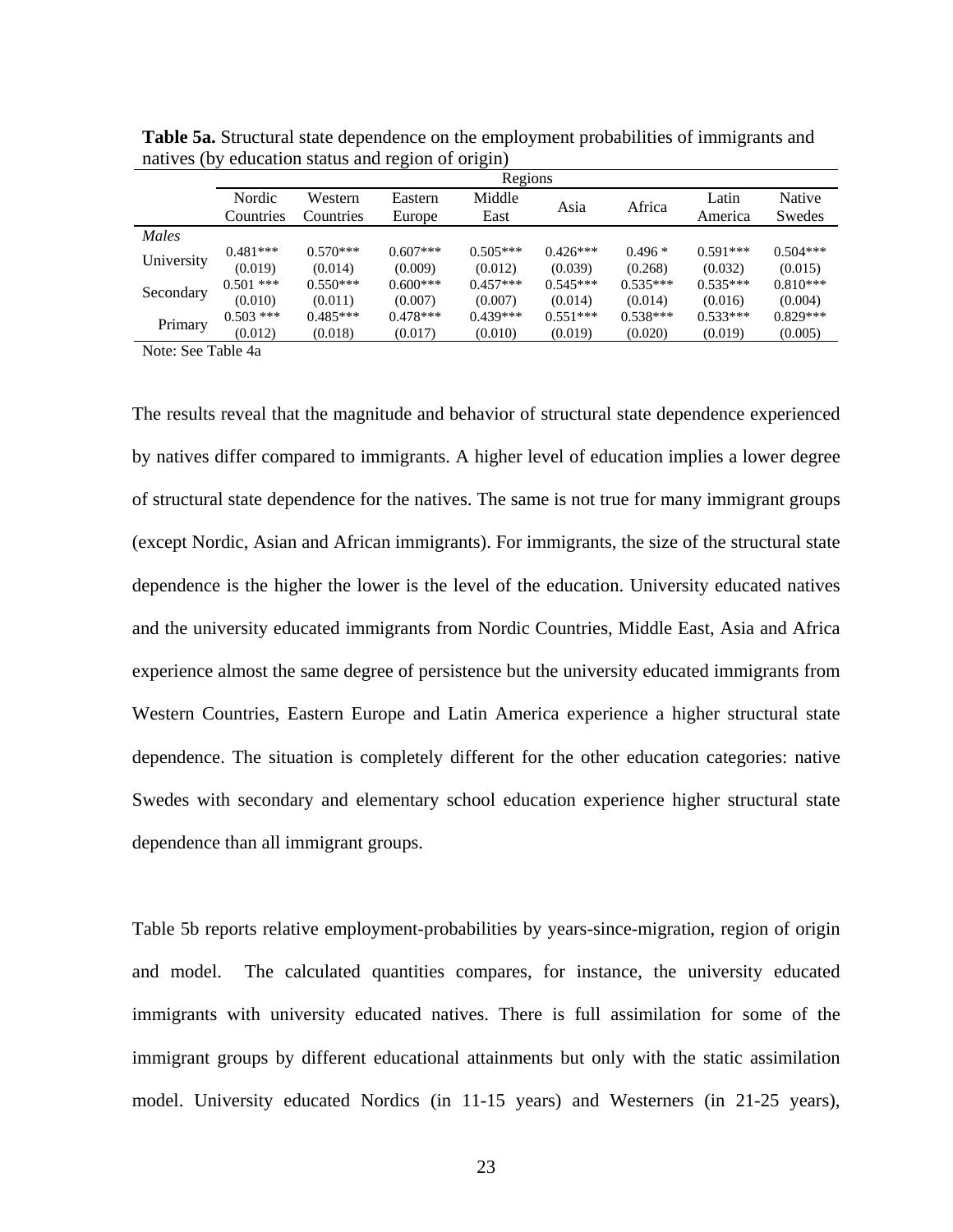|            | Regions     |            |            |            |            |            |            |            |  |
|------------|-------------|------------|------------|------------|------------|------------|------------|------------|--|
|            | Nordic      | Western    | Eastern    | Middle     |            | Africa     | Latin      | Native     |  |
|            | Countries   | Countries  | Europe     | East       | Asia       |            | America    | Swedes     |  |
| Males      |             |            |            |            |            |            |            |            |  |
| University | $0.481***$  | $0.570***$ | $0.607***$ | $0.505***$ | $0.426***$ | $0.496*$   | $0.591***$ | $0.504***$ |  |
|            | (0.019)     | (0.014)    | (0.009)    | (0.012)    | (0.039)    | (0.268)    | (0.032)    | (0.015)    |  |
| Secondary  | $0.501$ *** | $0.550***$ | $0.600***$ | $0.457***$ | $0.545***$ | $0.535***$ | $0.535***$ | $0.810***$ |  |
|            | (0.010)     | (0.011)    | (0.007)    | (0.007)    | (0.014)    | (0.014)    | (0.016)    | (0.004)    |  |
|            | $0.503$ *** | $0.485***$ | $0.478***$ | $0.439***$ | $0.551***$ | $0.538***$ | $0.533***$ | $0.829***$ |  |
| Primary    | (0.012)     | (0.018)    | (0.017)    | (0.010)    | (0.019)    | (0.020)    | (0.019)    | (0.005)    |  |

**Table 5a.** Structural state dependence on the employment probabilities of immigrants and natives (by education status and region of origin)

Note: See Table 4a

The results reveal that the magnitude and behavior of structural state dependence experienced by natives differ compared to immigrants. A higher level of education implies a lower degree of structural state dependence for the natives. The same is not true for many immigrant groups (except Nordic, Asian and African immigrants). For immigrants, the size of the structural state dependence is the higher the lower is the level of the education. University educated natives and the university educated immigrants from Nordic Countries, Middle East, Asia and Africa experience almost the same degree of persistence but the university educated immigrants from Western Countries, Eastern Europe and Latin America experience a higher structural state dependence. The situation is completely different for the other education categories: native Swedes with secondary and elementary school education experience higher structural state dependence than all immigrant groups.

Table 5b reports relative employment-probabilities by years-since-migration, region of origin and model. The calculated quantities compares, for instance, the university educated immigrants with university educated natives. There is full assimilation for some of the immigrant groups by different educational attainments but only with the static assimilation model. University educated Nordics (in 11-15 years) and Westerners (in 21-25 years),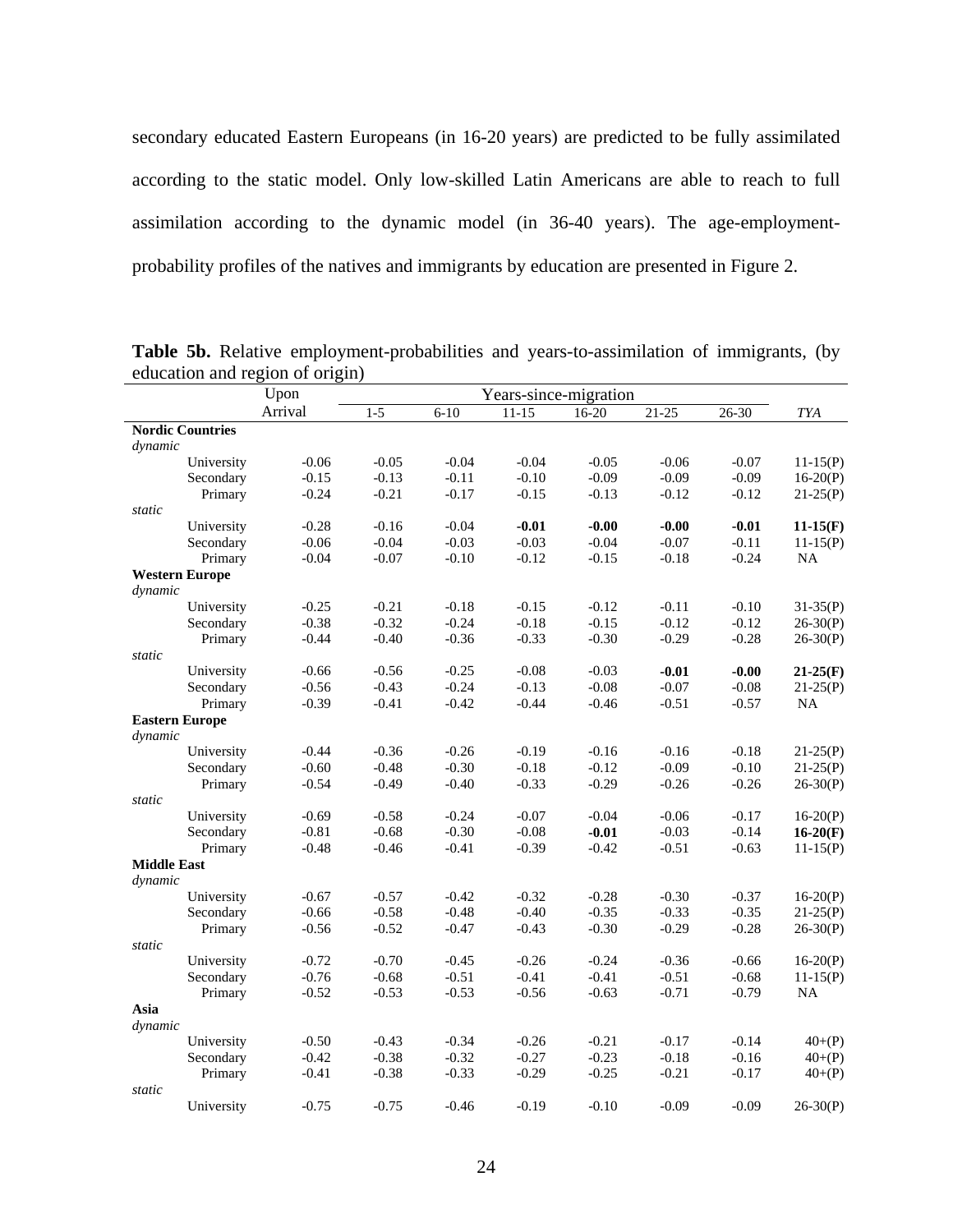secondary educated Eastern Europeans (in 16-20 years) are predicted to be fully assimilated according to the static model. Only low-skilled Latin Americans are able to reach to full assimilation according to the dynamic model (in 36-40 years). The age-employmentprobability profiles of the natives and immigrants by education are presented in Figure 2.

|                               |                         | Upon    | Years-since-migration |          |           |           |           |           |            |
|-------------------------------|-------------------------|---------|-----------------------|----------|-----------|-----------|-----------|-----------|------------|
|                               |                         | Arrival | $1 - 5$               | $6 - 10$ | $11 - 15$ | $16 - 20$ | $21 - 25$ | $26 - 30$ | TYA        |
|                               | <b>Nordic Countries</b> |         |                       |          |           |           |           |           |            |
| dynamic                       |                         |         |                       |          |           |           |           |           |            |
|                               | University              | $-0.06$ | $-0.05$               | $-0.04$  | $-0.04$   | $-0.05$   | $-0.06$   | $-0.07$   | $11-15(P)$ |
|                               | Secondary               | $-0.15$ | $-0.13$               | $-0.11$  | $-0.10$   | $-0.09$   | $-0.09$   | $-0.09$   | $16-20(P)$ |
|                               | Primary                 | $-0.24$ | $-0.21$               | $-0.17$  | $-0.15$   | $-0.13$   | $-0.12$   | $-0.12$   | $21-25(P)$ |
| static                        |                         |         |                       |          |           |           |           |           |            |
|                               | University              | $-0.28$ | $-0.16$               | $-0.04$  | $-0.01$   | $-0.00$   | $-0.00$   | $-0.01$   | $11-15(F)$ |
|                               | Secondary               | $-0.06$ | $-0.04$               | $-0.03$  | $-0.03$   | $-0.04$   | $-0.07$   | $-0.11$   | $11-15(P)$ |
|                               | Primary                 | $-0.04$ | $-0.07$               | $-0.10$  | $-0.12$   | $-0.15$   | $-0.18$   | $-0.24$   | <b>NA</b>  |
|                               | <b>Western Europe</b>   |         |                       |          |           |           |           |           |            |
| dynamic                       |                         |         |                       |          |           |           |           |           |            |
|                               | University              | $-0.25$ | $-0.21$               | $-0.18$  | $-0.15$   | $-0.12$   | $-0.11$   | $-0.10$   | $31-35(P)$ |
|                               | Secondary               | $-0.38$ | $-0.32$               | $-0.24$  | $-0.18$   | $-0.15$   | $-0.12$   | $-0.12$   | $26-30(P)$ |
|                               | Primary                 | $-0.44$ | $-0.40$               | $-0.36$  | $-0.33$   | $-0.30$   | $-0.29$   | $-0.28$   | $26-30(P)$ |
| static                        |                         |         |                       |          |           |           |           |           |            |
|                               | University              | $-0.66$ | $-0.56$               | $-0.25$  | $-0.08$   | $-0.03$   | $-0.01$   | $-0.00$   | $21-25(F)$ |
|                               | Secondary               | $-0.56$ | $-0.43$               | $-0.24$  | $-0.13$   | $-0.08$   | $-0.07$   | $-0.08$   | $21-25(P)$ |
|                               | Primary                 | $-0.39$ | $-0.41$               | $-0.42$  | $-0.44$   | $-0.46$   | $-0.51$   | $-0.57$   | NA         |
|                               | <b>Eastern Europe</b>   |         |                       |          |           |           |           |           |            |
| dynamic                       |                         |         |                       |          |           |           |           |           |            |
|                               | University              | $-0.44$ | $-0.36$               | $-0.26$  | $-0.19$   | $-0.16$   | $-0.16$   | $-0.18$   | $21-25(P)$ |
|                               | Secondary               | $-0.60$ | $-0.48$               | $-0.30$  | $-0.18$   | $-0.12$   | $-0.09$   | $-0.10$   | $21-25(P)$ |
|                               | Primary                 | $-0.54$ | $-0.49$               | $-0.40$  | $-0.33$   | $-0.29$   | $-0.26$   | $-0.26$   | $26-30(P)$ |
| static                        |                         |         |                       |          |           |           |           |           |            |
|                               | University              | $-0.69$ | $-0.58$               | $-0.24$  | $-0.07$   | $-0.04$   | $-0.06$   | $-0.17$   | $16-20(P)$ |
|                               | Secondary               | $-0.81$ | $-0.68$               | $-0.30$  | $-0.08$   | $-0.01$   | $-0.03$   | $-0.14$   | $16-20(F)$ |
|                               | Primary                 | $-0.48$ | $-0.46$               | $-0.41$  | $-0.39$   | $-0.42$   | $-0.51$   | $-0.63$   | $11-15(P)$ |
| <b>Middle East</b><br>dynamic |                         |         |                       |          |           |           |           |           |            |
|                               | University              | $-0.67$ | $-0.57$               | $-0.42$  | $-0.32$   | $-0.28$   | $-0.30$   | $-0.37$   | $16-20(P)$ |
|                               | Secondary               | $-0.66$ | $-0.58$               | $-0.48$  | $-0.40$   | $-0.35$   | $-0.33$   | $-0.35$   | $21-25(P)$ |
|                               | Primary                 | $-0.56$ | $-0.52$               | $-0.47$  | $-0.43$   | $-0.30$   | $-0.29$   | $-0.28$   | $26-30(P)$ |
| static                        |                         |         |                       |          |           |           |           |           |            |
|                               | University              | $-0.72$ | $-0.70$               | $-0.45$  | $-0.26$   | $-0.24$   | $-0.36$   | $-0.66$   | $16-20(P)$ |
|                               | Secondary               | $-0.76$ | $-0.68$               | $-0.51$  | $-0.41$   | $-0.41$   | $-0.51$   | $-0.68$   | $11-15(P)$ |
|                               | Primary                 | $-0.52$ | $-0.53$               | $-0.53$  | $-0.56$   | $-0.63$   | $-0.71$   | $-0.79$   | NA         |
| Asia                          |                         |         |                       |          |           |           |           |           |            |
| dynamic                       |                         |         |                       |          |           |           |           |           |            |
|                               | University              | $-0.50$ | $-0.43$               | $-0.34$  | $-0.26$   | $-0.21$   | $-0.17$   | $-0.14$   | $40+(P)$   |
|                               | Secondary               | $-0.42$ | $-0.38$               | $-0.32$  | $-0.27$   | $-0.23$   | $-0.18$   | $-0.16$   | $40+(P)$   |
|                               | Primary                 | $-0.41$ | $-0.38$               | $-0.33$  | $-0.29$   | $-0.25$   | $-0.21$   | $-0.17$   | $40+(P)$   |
| static                        |                         |         |                       |          |           |           |           |           |            |
|                               | University              | $-0.75$ | $-0.75$               | $-0.46$  | $-0.19$   | $-0.10$   | $-0.09$   | $-0.09$   | $26-30(P)$ |
|                               |                         |         |                       |          |           |           |           |           |            |

Table 5b. Relative employment-probabilities and years-to-assimilation of immigrants, (by education and region of origin)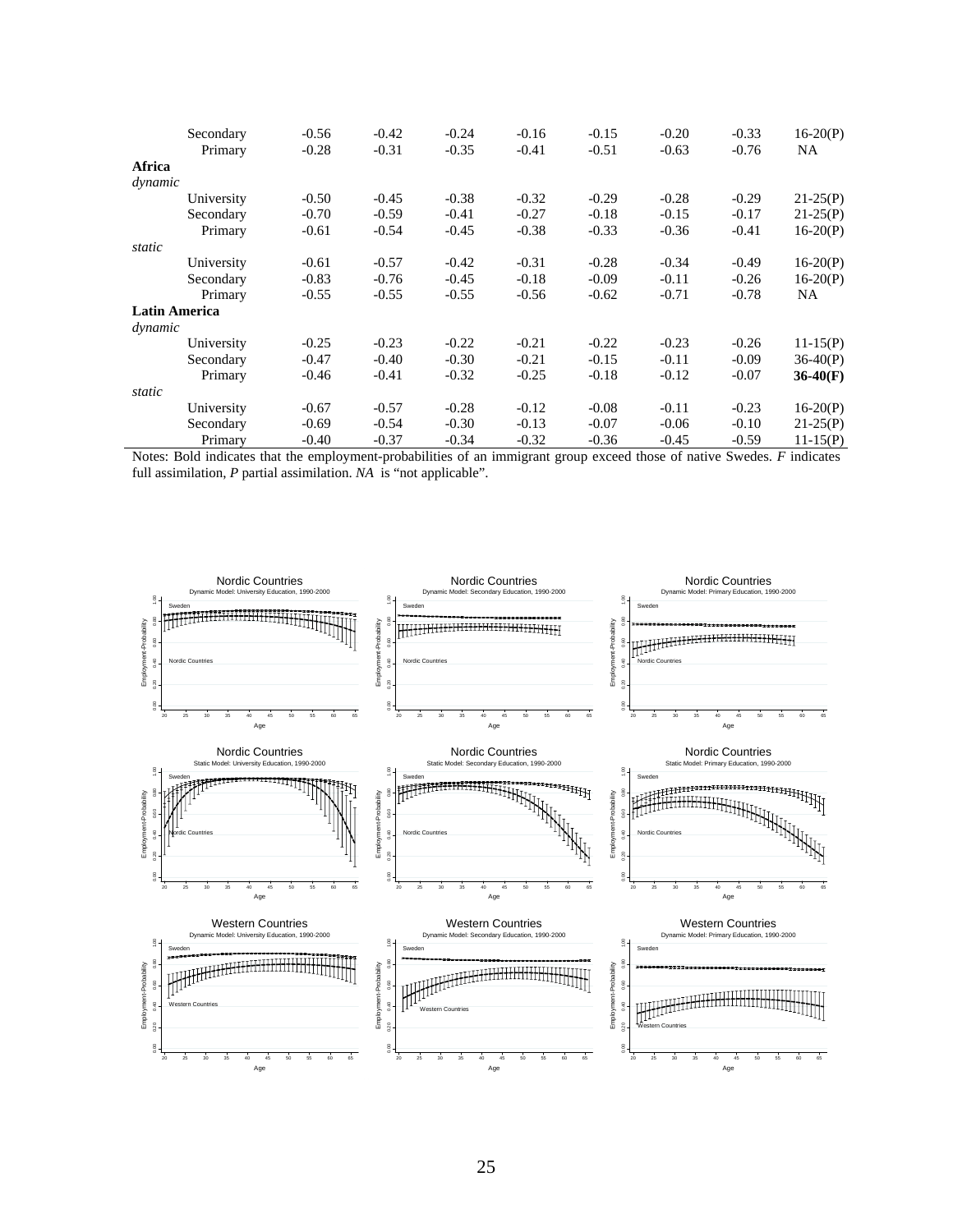|                      | Secondary<br>Primary | $-0.56$<br>$-0.28$ | $-0.42$<br>$-0.31$ | $-0.24$<br>$-0.35$ | $-0.16$<br>$-0.41$ | $-0.15$<br>$-0.51$ | $-0.20$<br>$-0.63$ | $-0.33$<br>$-0.76$ | $16-20(P)$<br>NA. |
|----------------------|----------------------|--------------------|--------------------|--------------------|--------------------|--------------------|--------------------|--------------------|-------------------|
| Africa               |                      |                    |                    |                    |                    |                    |                    |                    |                   |
| dynamic              |                      |                    |                    |                    |                    |                    |                    |                    |                   |
|                      | University           | $-0.50$            | $-0.45$            | $-0.38$            | $-0.32$            | $-0.29$            | $-0.28$            | $-0.29$            | $21-25(P)$        |
|                      | Secondary            | $-0.70$            | $-0.59$            | $-0.41$            | $-0.27$            | $-0.18$            | $-0.15$            | $-0.17$            | $21-25(P)$        |
|                      | Primary              | $-0.61$            | $-0.54$            | $-0.45$            | $-0.38$            | $-0.33$            | $-0.36$            | $-0.41$            | $16-20(P)$        |
| static               |                      |                    |                    |                    |                    |                    |                    |                    |                   |
|                      | University           | $-0.61$            | $-0.57$            | $-0.42$            | $-0.31$            | $-0.28$            | $-0.34$            | $-0.49$            | $16-20(P)$        |
|                      | Secondary            | $-0.83$            | $-0.76$            | $-0.45$            | $-0.18$            | $-0.09$            | $-0.11$            | $-0.26$            | $16-20(P)$        |
|                      | Primary              | $-0.55$            | $-0.55$            | $-0.55$            | $-0.56$            | $-0.62$            | $-0.71$            | $-0.78$            | NA.               |
| <b>Latin America</b> |                      |                    |                    |                    |                    |                    |                    |                    |                   |
| dynamic              |                      |                    |                    |                    |                    |                    |                    |                    |                   |
|                      | University           | $-0.25$            | $-0.23$            | $-0.22$            | $-0.21$            | $-0.22$            | $-0.23$            | $-0.26$            | $11-15(P)$        |
|                      | Secondary            | $-0.47$            | $-0.40$            | $-0.30$            | $-0.21$            | $-0.15$            | $-0.11$            | $-0.09$            | $36-40(P)$        |
|                      | Primary              | $-0.46$            | $-0.41$            | $-0.32$            | $-0.25$            | $-0.18$            | $-0.12$            | $-0.07$            | $36-40(F)$        |
| static               |                      |                    |                    |                    |                    |                    |                    |                    |                   |
|                      | University           | $-0.67$            | $-0.57$            | $-0.28$            | $-0.12$            | $-0.08$            | $-0.11$            | $-0.23$            | $16-20(P)$        |
|                      | Secondary            | $-0.69$            | $-0.54$            | $-0.30$            | $-0.13$            | $-0.07$            | $-0.06$            | $-0.10$            | $21-25(P)$        |
|                      | Primary              | $-0.40$            | $-0.37$            | $-0.34$            | $-0.32$            | $-0.36$            | $-0.45$            | $-0.59$            | $11-15(P)$        |

Notes: Bold indicates that the employment-probabilities of an immigrant group exceed those of native Swedes. *F* indicates full assimilation, *P* partial assimilation. *NA* is "not applicable".

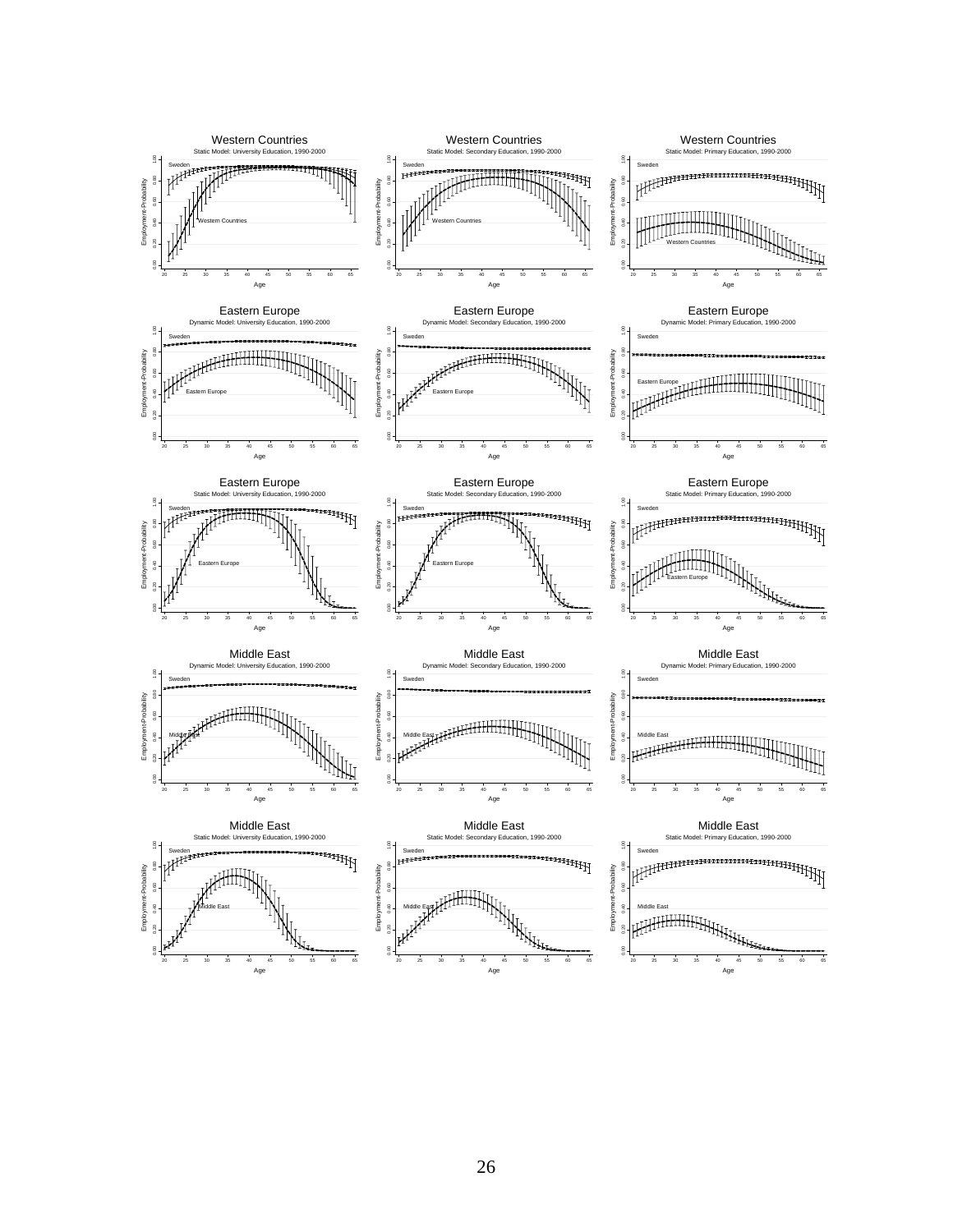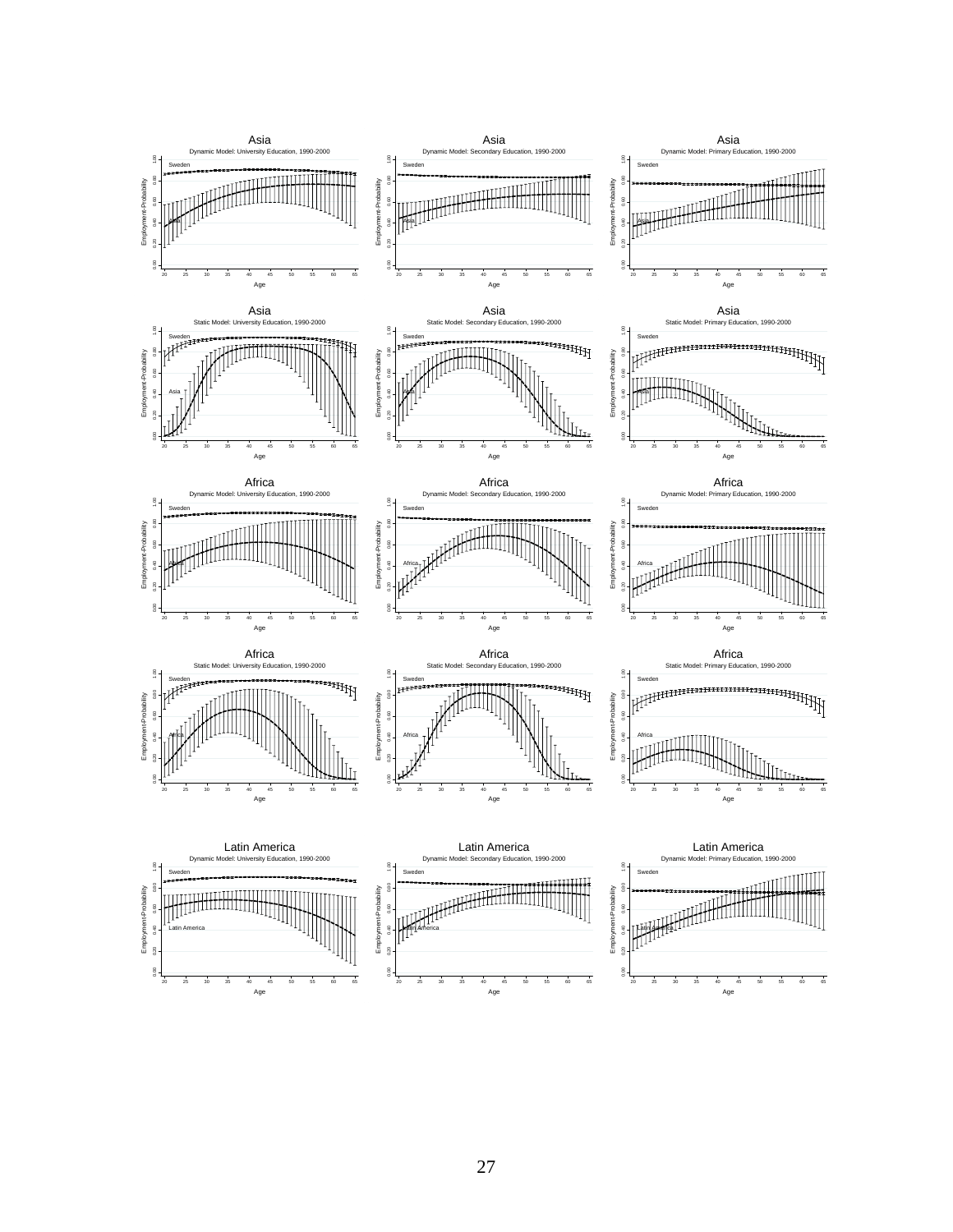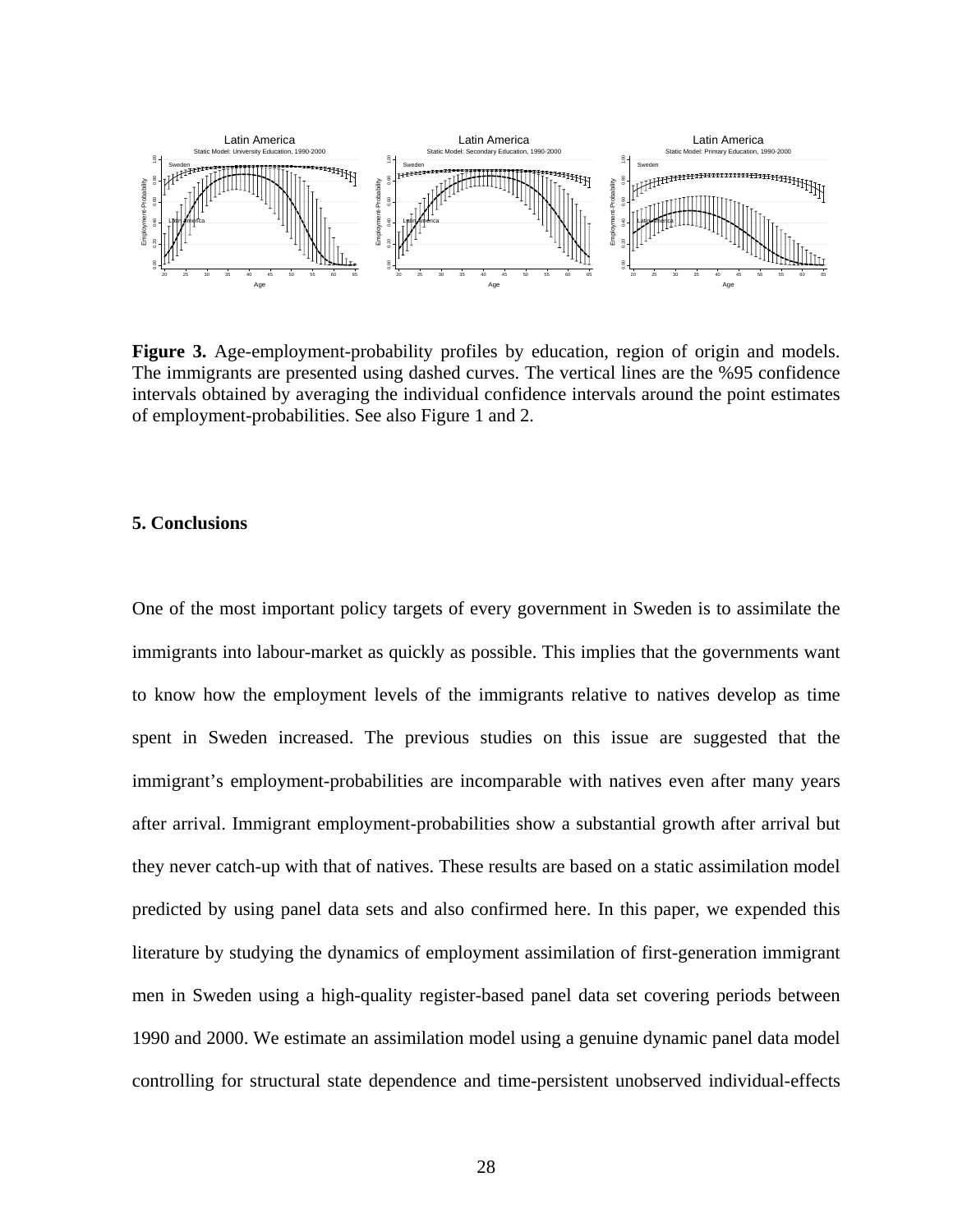

Figure 3. Age-employment-probability profiles by education, region of origin and models. The immigrants are presented using dashed curves. The vertical lines are the %95 confidence intervals obtained by averaging the individual confidence intervals around the point estimates of employment-probabilities. See also Figure 1 and 2.

# **5. Conclusions**

One of the most important policy targets of every government in Sweden is to assimilate the immigrants into labour-market as quickly as possible. This implies that the governments want to know how the employment levels of the immigrants relative to natives develop as time spent in Sweden increased. The previous studies on this issue are suggested that the immigrant's employment-probabilities are incomparable with natives even after many years after arrival. Immigrant employment-probabilities show a substantial growth after arrival but they never catch-up with that of natives. These results are based on a static assimilation model predicted by using panel data sets and also confirmed here. In this paper, we expended this literature by studying the dynamics of employment assimilation of first-generation immigrant men in Sweden using a high-quality register-based panel data set covering periods between 1990 and 2000. We estimate an assimilation model using a genuine dynamic panel data model controlling for structural state dependence and time-persistent unobserved individual-effects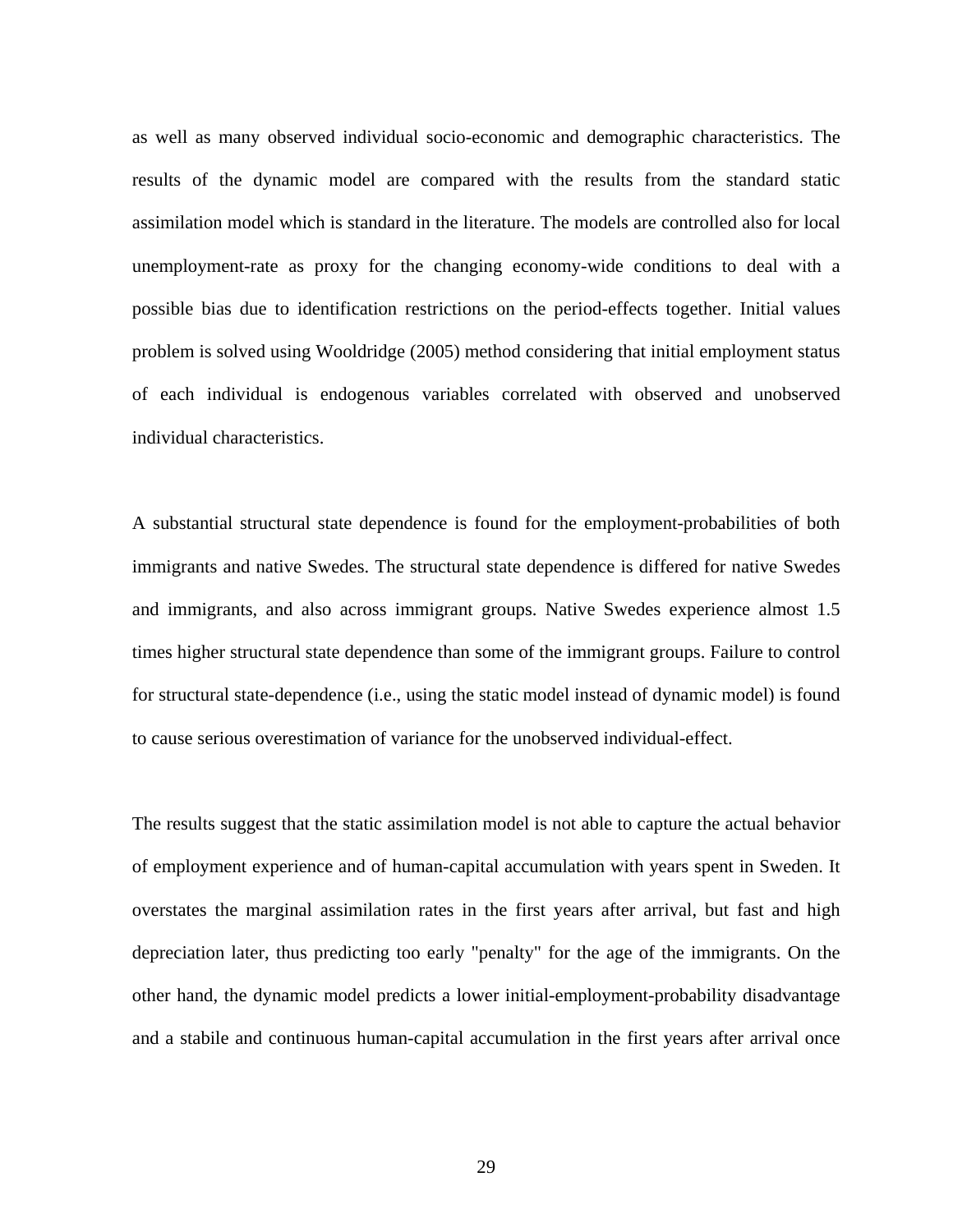as well as many observed individual socio-economic and demographic characteristics. The results of the dynamic model are compared with the results from the standard static assimilation model which is standard in the literature. The models are controlled also for local unemployment-rate as proxy for the changing economy-wide conditions to deal with a possible bias due to identification restrictions on the period-effects together. Initial values problem is solved using Wooldridge (2005) method considering that initial employment status of each individual is endogenous variables correlated with observed and unobserved individual characteristics.

A substantial structural state dependence is found for the employment-probabilities of both immigrants and native Swedes. The structural state dependence is differed for native Swedes and immigrants, and also across immigrant groups. Native Swedes experience almost 1.5 times higher structural state dependence than some of the immigrant groups. Failure to control for structural state-dependence (i.e., using the static model instead of dynamic model) is found to cause serious overestimation of variance for the unobserved individual-effect.

The results suggest that the static assimilation model is not able to capture the actual behavior of employment experience and of human-capital accumulation with years spent in Sweden. It overstates the marginal assimilation rates in the first years after arrival, but fast and high depreciation later, thus predicting too early "penalty" for the age of the immigrants. On the other hand, the dynamic model predicts a lower initial-employment-probability disadvantage and a stabile and continuous human-capital accumulation in the first years after arrival once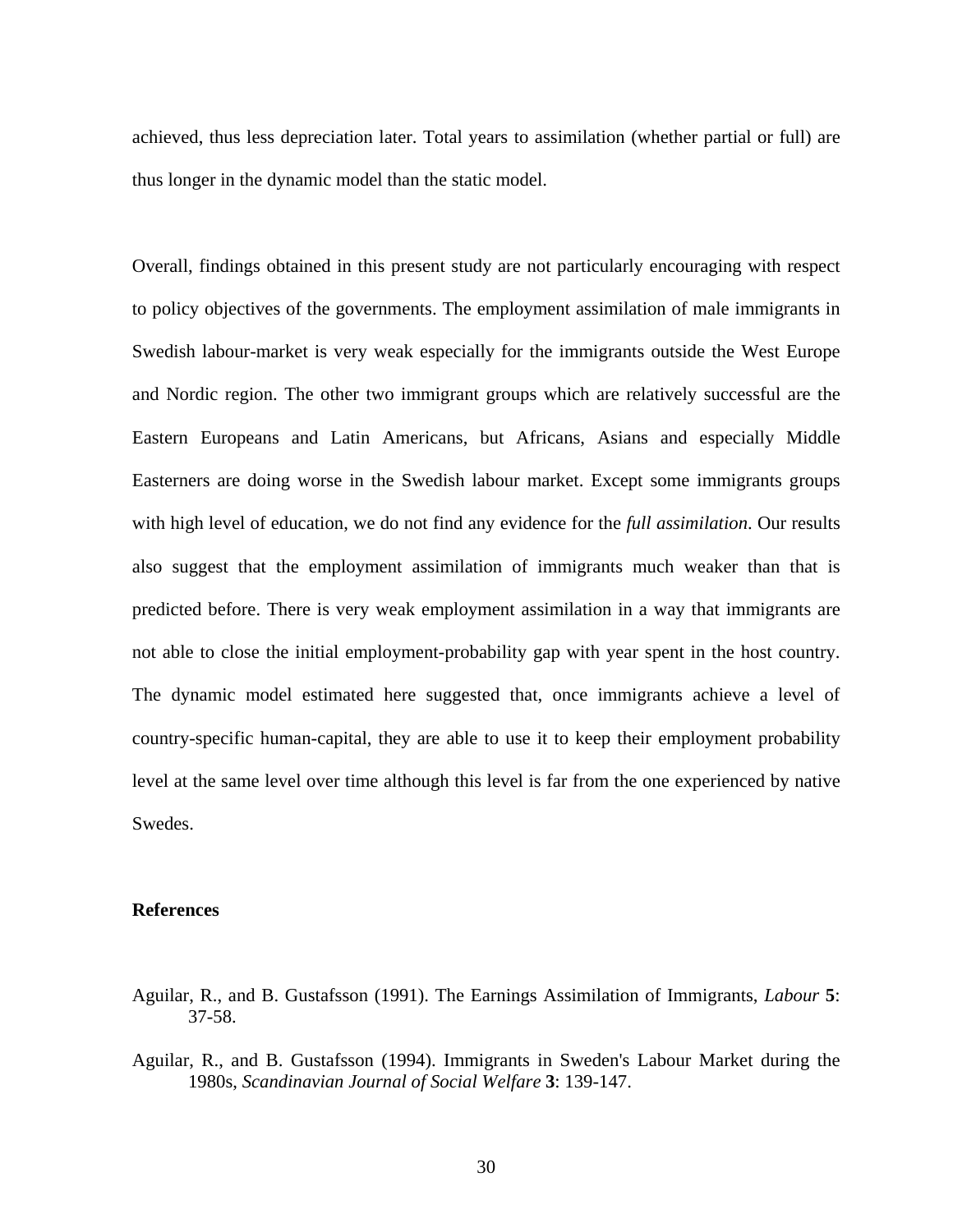achieved, thus less depreciation later. Total years to assimilation (whether partial or full) are thus longer in the dynamic model than the static model.

Overall, findings obtained in this present study are not particularly encouraging with respect to policy objectives of the governments. The employment assimilation of male immigrants in Swedish labour-market is very weak especially for the immigrants outside the West Europe and Nordic region. The other two immigrant groups which are relatively successful are the Eastern Europeans and Latin Americans, but Africans, Asians and especially Middle Easterners are doing worse in the Swedish labour market. Except some immigrants groups with high level of education, we do not find any evidence for the *full assimilation*. Our results also suggest that the employment assimilation of immigrants much weaker than that is predicted before. There is very weak employment assimilation in a way that immigrants are not able to close the initial employment-probability gap with year spent in the host country. The dynamic model estimated here suggested that, once immigrants achieve a level of country-specific human-capital, they are able to use it to keep their employment probability level at the same level over time although this level is far from the one experienced by native Swedes.

# **References**

- Aguilar, R., and B. Gustafsson (1991). The Earnings Assimilation of Immigrants, *Labour* **5**: 37-58.
- Aguilar, R., and B. Gustafsson (1994). Immigrants in Sweden's Labour Market during the 1980s, *Scandinavian Journal of Social Welfare* **3**: 139-147.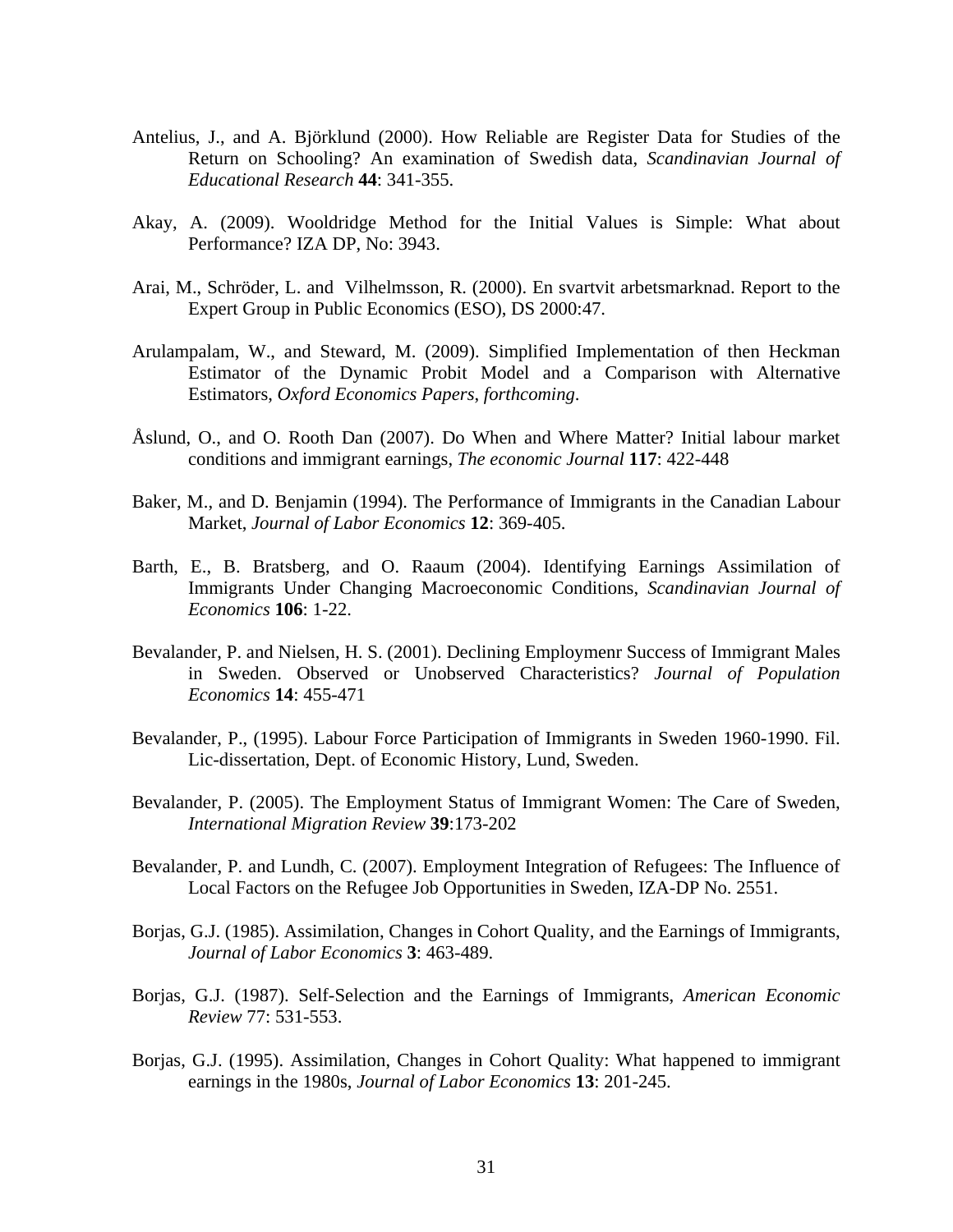- Antelius, J., and A. Björklund (2000). How Reliable are Register Data for Studies of the Return on Schooling? An examination of Swedish data, *Scandinavian Journal of Educational Research* **44**: 341-355.
- Akay, A. (2009). Wooldridge Method for the Initial Values is Simple: What about Performance? IZA DP, No: 3943.
- Arai, M., Schröder, L. and Vilhelmsson, R. (2000). En svartvit arbetsmarknad. Report to the Expert Group in Public Economics (ESO), DS 2000:47.
- Arulampalam, W., and Steward, M. (2009). Simplified Implementation of then Heckman Estimator of the Dynamic Probit Model and a Comparison with Alternative Estimators, *Oxford Economics Papers*, *forthcoming*.
- Åslund, O., and O. Rooth Dan (2007). Do When and Where Matter? Initial labour market conditions and immigrant earnings, *The economic Journal* **117**: 422-448
- Baker, M., and D. Benjamin (1994). The Performance of Immigrants in the Canadian Labour Market, *Journal of Labor Economics* **12**: 369-405.
- Barth, E., B. Bratsberg, and O. Raaum (2004). Identifying Earnings Assimilation of Immigrants Under Changing Macroeconomic Conditions, *Scandinavian Journal of Economics* **106**: 1-22.
- Bevalander, P. and Nielsen, H. S. (2001). Declining Employmenr Success of Immigrant Males in Sweden. Observed or Unobserved Characteristics? *Journal of Population Economics* **14**: 455-471
- Bevalander, P., (1995). Labour Force Participation of Immigrants in Sweden 1960-1990. Fil. Lic-dissertation, Dept. of Economic History, Lund, Sweden.
- Bevalander, P. (2005). The Employment Status of Immigrant Women: The Care of Sweden, *International Migration Review* **39**:173-202
- Bevalander, P. and Lundh, C. (2007). Employment Integration of Refugees: The Influence of Local Factors on the Refugee Job Opportunities in Sweden, IZA-DP No. 2551.
- Borjas, G.J. (1985). Assimilation, Changes in Cohort Quality, and the Earnings of Immigrants, *Journal of Labor Economics* **3**: 463-489.
- Borjas, G.J. (1987). Self-Selection and the Earnings of Immigrants, *American Economic Review* 77: 531-553.
- Borjas, G.J. (1995). Assimilation, Changes in Cohort Quality: What happened to immigrant earnings in the 1980s, *Journal of Labor Economics* **13**: 201-245.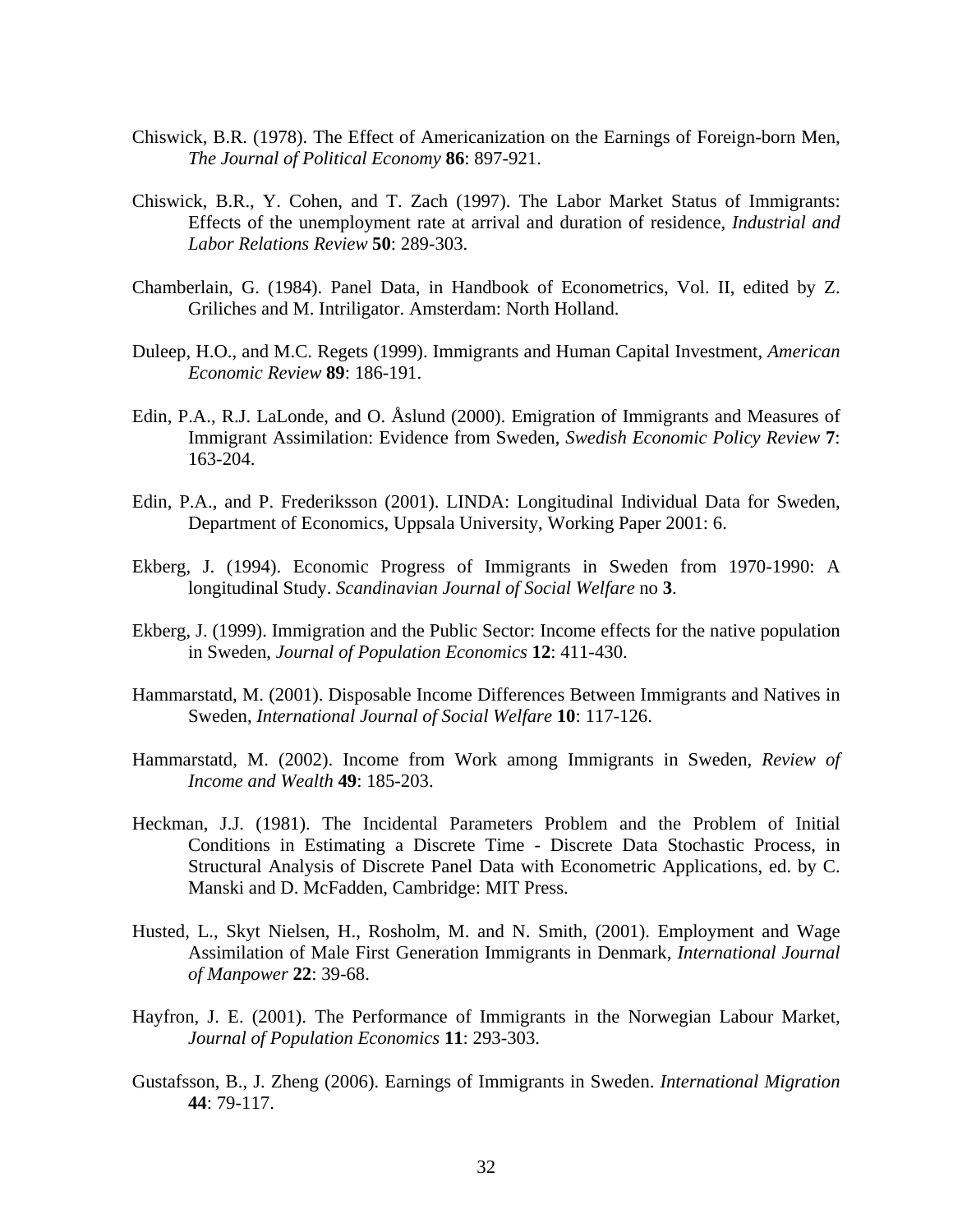- Chiswick, B.R. (1978). The Effect of Americanization on the Earnings of Foreign-born Men, *The Journal of Political Economy* **86**: 897-921.
- Chiswick, B.R., Y. Cohen, and T. Zach (1997). The Labor Market Status of Immigrants: Effects of the unemployment rate at arrival and duration of residence, *Industrial and Labor Relations Review* **50**: 289-303.
- Chamberlain, G. (1984). Panel Data, in Handbook of Econometrics, Vol. II, edited by Z. Griliches and M. Intriligator. Amsterdam: North Holland.
- Duleep, H.O., and M.C. Regets (1999). Immigrants and Human Capital Investment, *American Economic Review* **89**: 186-191.
- Edin, P.A., R.J. LaLonde, and O. Åslund (2000). Emigration of Immigrants and Measures of Immigrant Assimilation: Evidence from Sweden, *Swedish Economic Policy Review* **7**: 163-204.
- Edin, P.A., and P. Frederiksson (2001). LINDA: Longitudinal Individual Data for Sweden, Department of Economics, Uppsala University, Working Paper 2001: 6.
- Ekberg, J. (1994). Economic Progress of Immigrants in Sweden from 1970-1990: A longitudinal Study. *Scandinavian Journal of Social Welfare* no **3**.
- Ekberg, J. (1999). Immigration and the Public Sector: Income effects for the native population in Sweden, *Journal of Population Economics* **12**: 411-430.
- Hammarstatd, M. (2001). Disposable Income Differences Between Immigrants and Natives in Sweden, *International Journal of Social Welfare* **10**: 117-126.
- Hammarstatd, M. (2002). Income from Work among Immigrants in Sweden, *Review of Income and Wealth* **49**: 185-203.
- Heckman, J.J. (1981). The Incidental Parameters Problem and the Problem of Initial Conditions in Estimating a Discrete Time - Discrete Data Stochastic Process, in Structural Analysis of Discrete Panel Data with Econometric Applications, ed. by C. Manski and D. McFadden, Cambridge: MIT Press.
- Husted, L., Skyt Nielsen, H., Rosholm, M. and N. Smith, (2001). Employment and Wage Assimilation of Male First Generation Immigrants in Denmark, *International Journal of Manpower* **22**: 39-68.
- Hayfron, J. E. (2001). The Performance of Immigrants in the Norwegian Labour Market, *Journal of Population Economics* **11**: 293-303.
- Gustafsson, B., J. Zheng (2006). Earnings of Immigrants in Sweden. *International Migration*  **44**: 79-117.